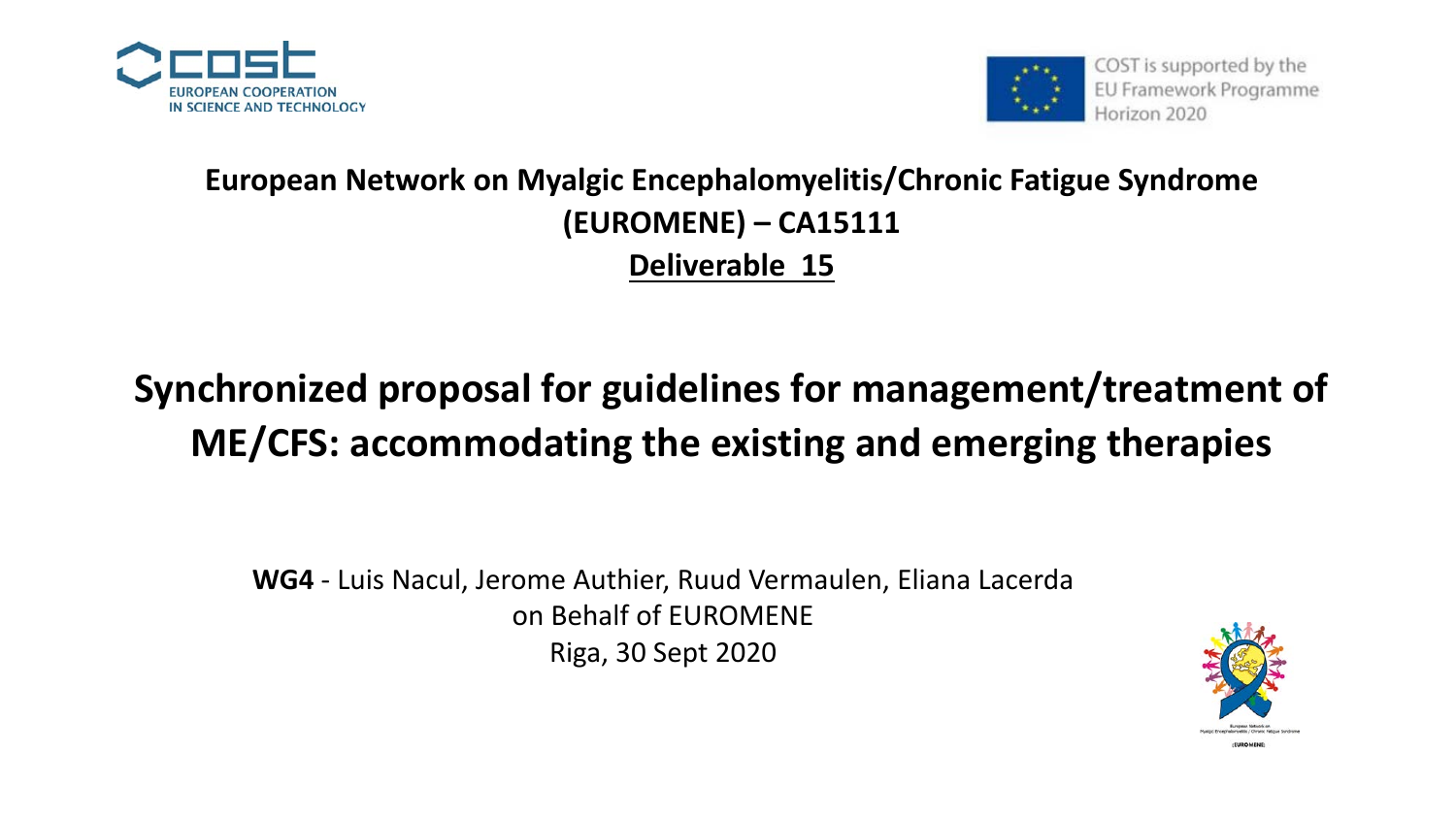



### **European Network on Myalgic Encephalomyelitis/Chronic Fatigue Syndrome (EUROMENE) – CA15111 Deliverable 15**

## **Synchronized proposal for guidelines for management/treatment of ME/CFS: accommodating the existing and emerging therapies**

**WG4** - Luis Nacul, Jerome Authier, Ruud Vermaulen, Eliana Lacerda on Behalf of EUROMENE Riga, 30 Sept 2020

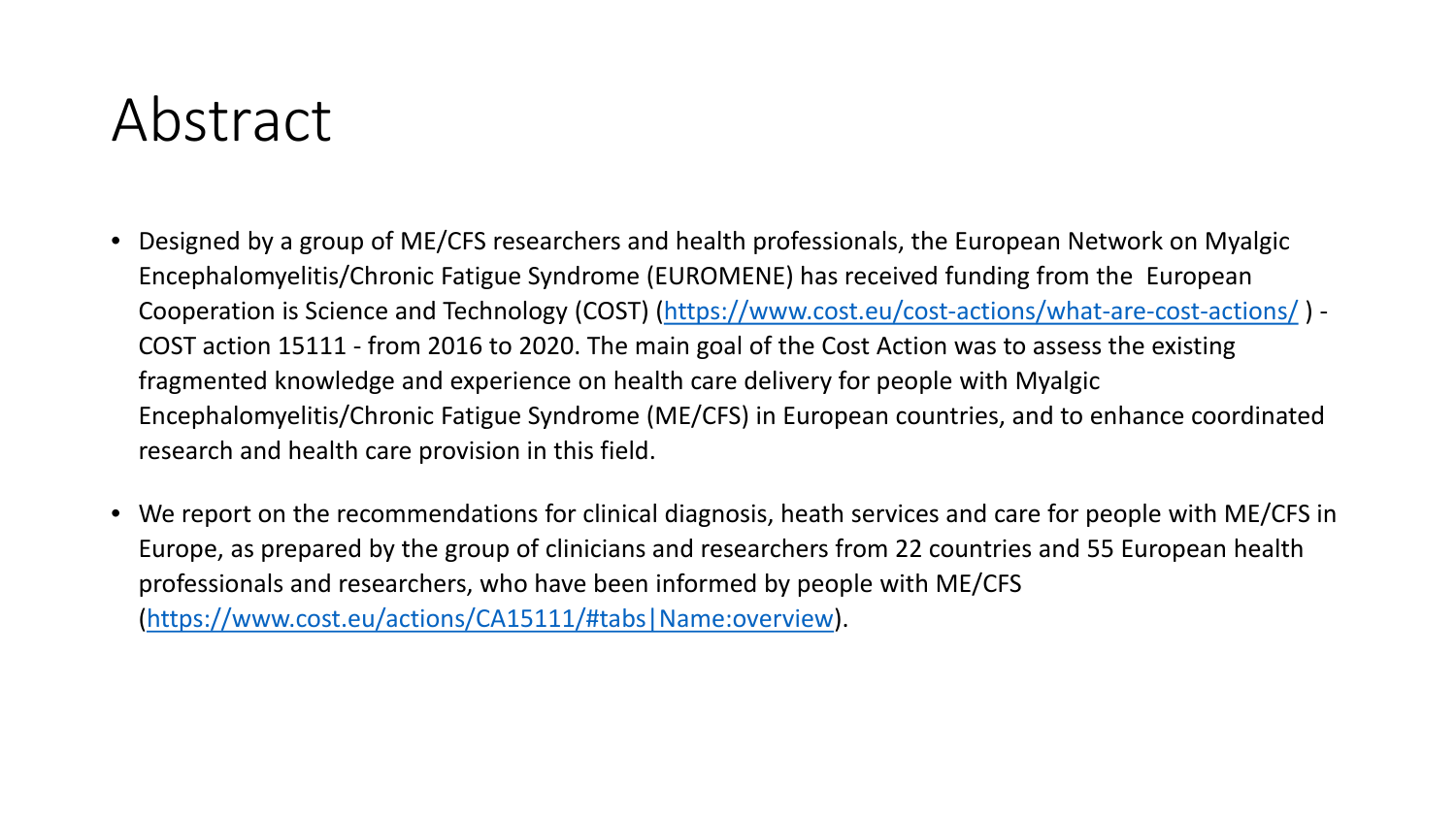# Abstract

- Designed by a group of ME/CFS researchers and health professionals, the European Network on Myalgic Encephalomyelitis/Chronic Fatigue Syndrome (EUROMENE) has received funding from the European Cooperation is Science and Technology (COST) (<https://www.cost.eu/cost-actions/what-are-cost-actions/> ) - COST action 15111 - from 2016 to 2020. The main goal of the Cost Action was to assess the existing fragmented knowledge and experience on health care delivery for people with Myalgic Encephalomyelitis/Chronic Fatigue Syndrome (ME/CFS) in European countries, and to enhance coordinated research and health care provision in this field.
- We report on the recommendations for clinical diagnosis, heath services and care for people with ME/CFS in Europe, as prepared by the group of clinicians and researchers from 22 countries and 55 European health professionals and researchers, who have been informed by people with ME/CFS ([https://www.cost.eu/actions/CA15111/#tabs|Name:overview\)](https://www.cost.eu/actions/CA15111/).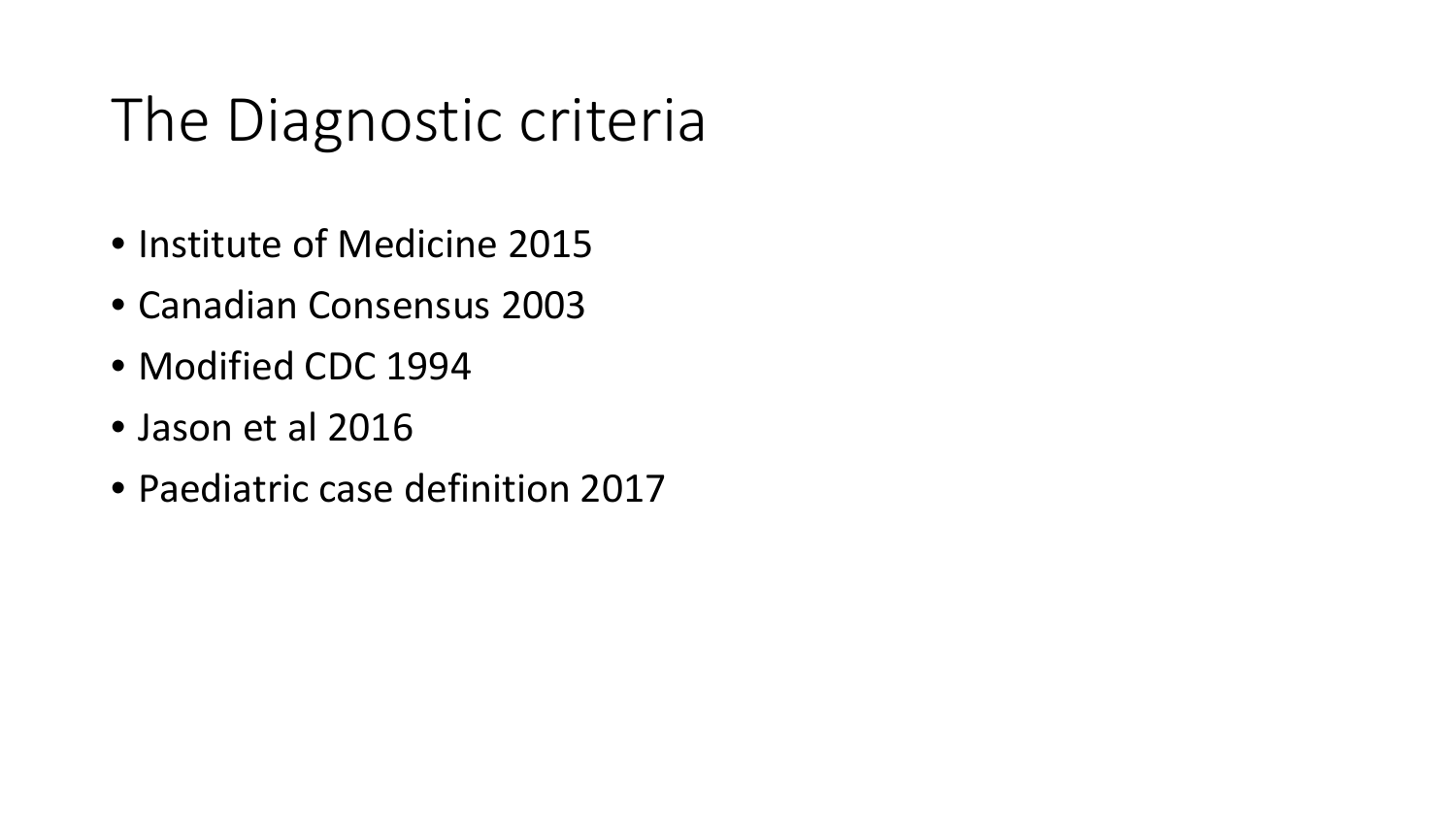# The Diagnostic criteria

- Institute of Medicine 2015
- Canadian Consensus 2003
- Modified CDC 1994
- Jason et al 2016
- Paediatric case definition 2017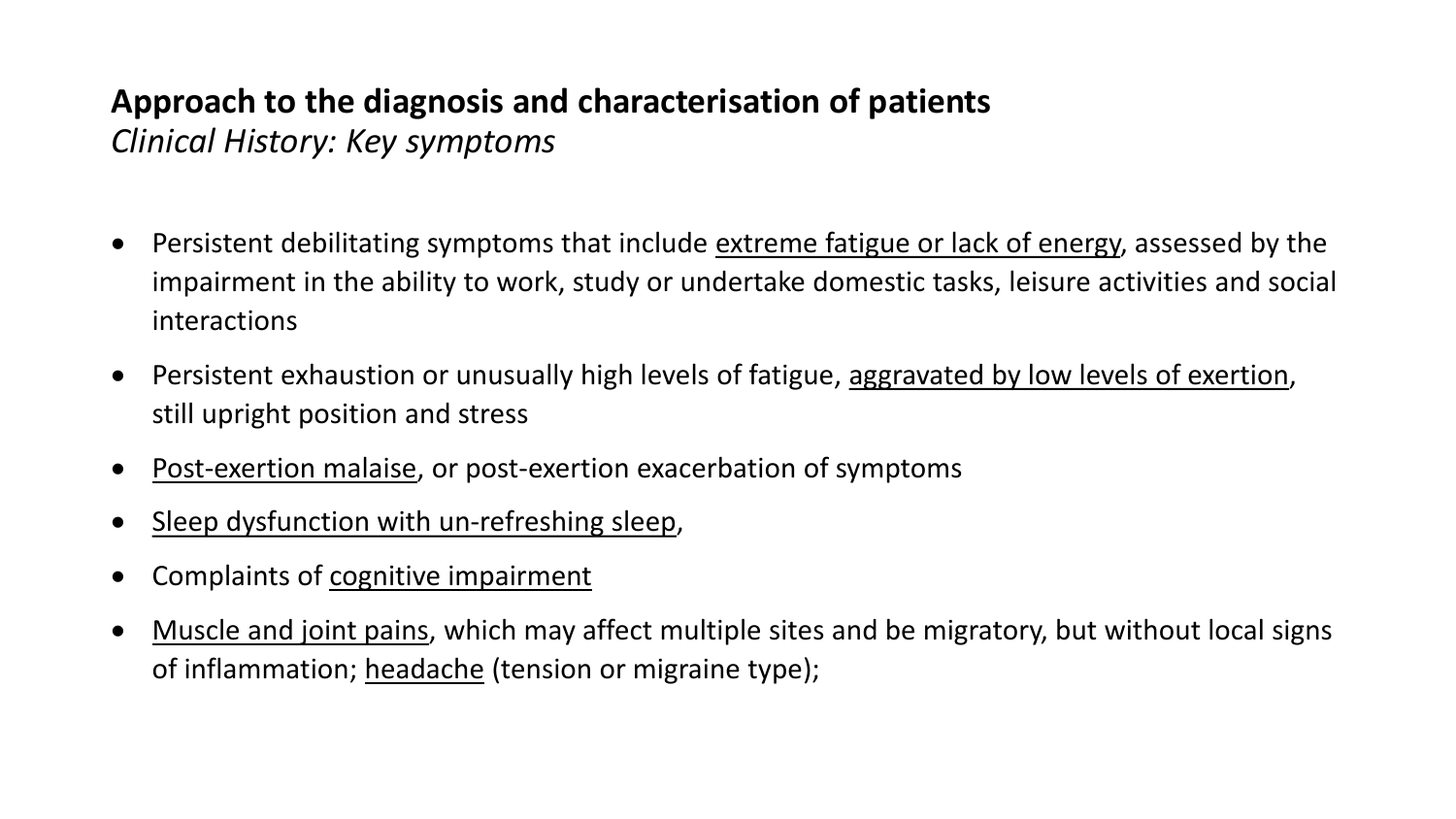### **Approach to the diagnosis and characterisation of patients** *Clinical History: Key symptoms*

- Persistent debilitating symptoms that include extreme fatigue or lack of energy, assessed by the impairment in the ability to work, study or undertake domestic tasks, leisure activities and social interactions
- Persistent exhaustion or unusually high levels of fatigue, aggravated by low levels of exertion, still upright position and stress
- Post-exertion malaise, or post-exertion exacerbation of symptoms
- Sleep dysfunction with un-refreshing sleep,
- Complaints of cognitive impairment
- Muscle and joint pains, which may affect multiple sites and be migratory, but without local signs of inflammation; headache (tension or migraine type);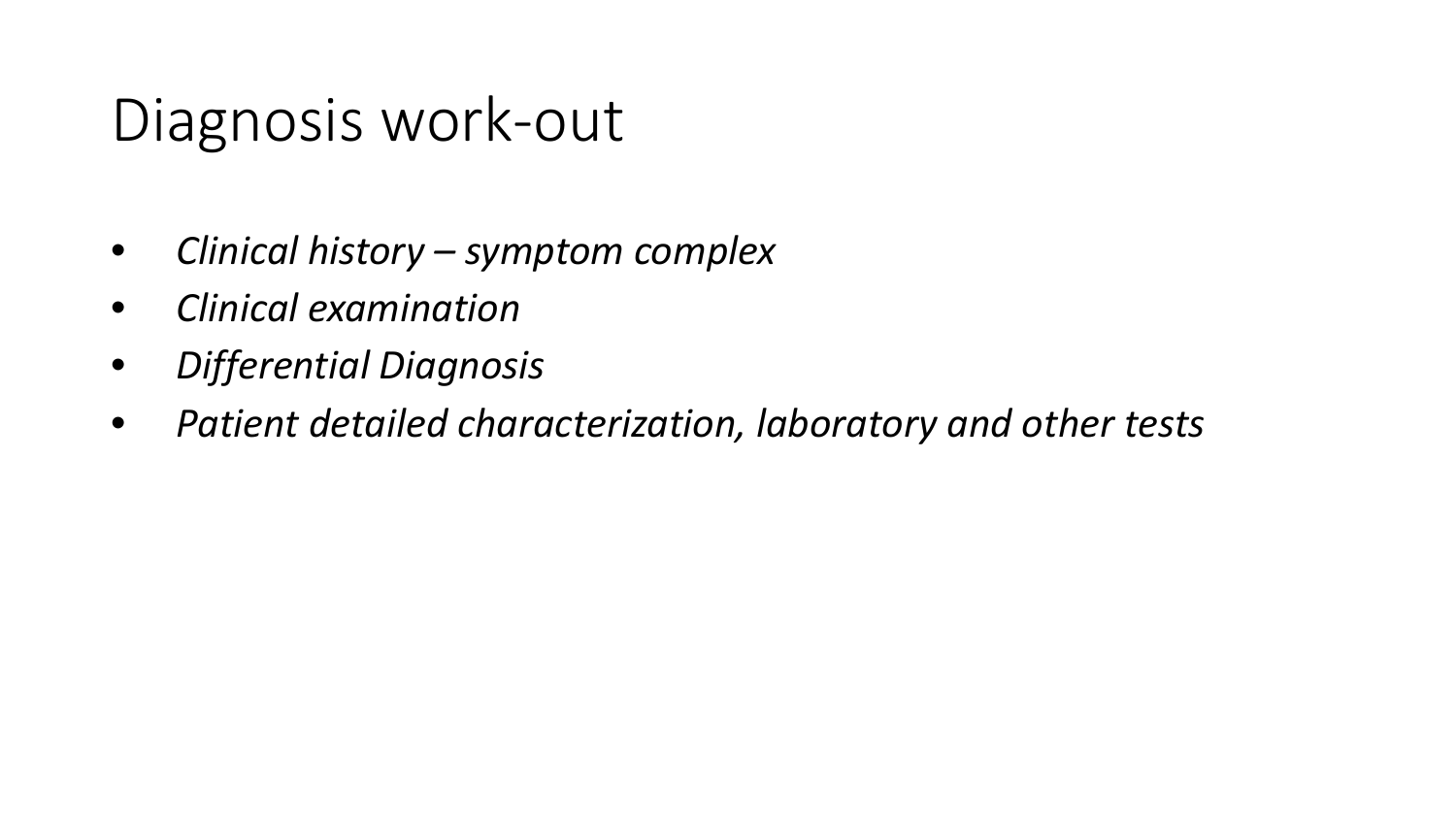# Diagnosis work-out

- *Clinical history – symptom complex*
- *Clinical examination*
- *Differential Diagnosis*
- *Patient detailed characterization, laboratory and other tests*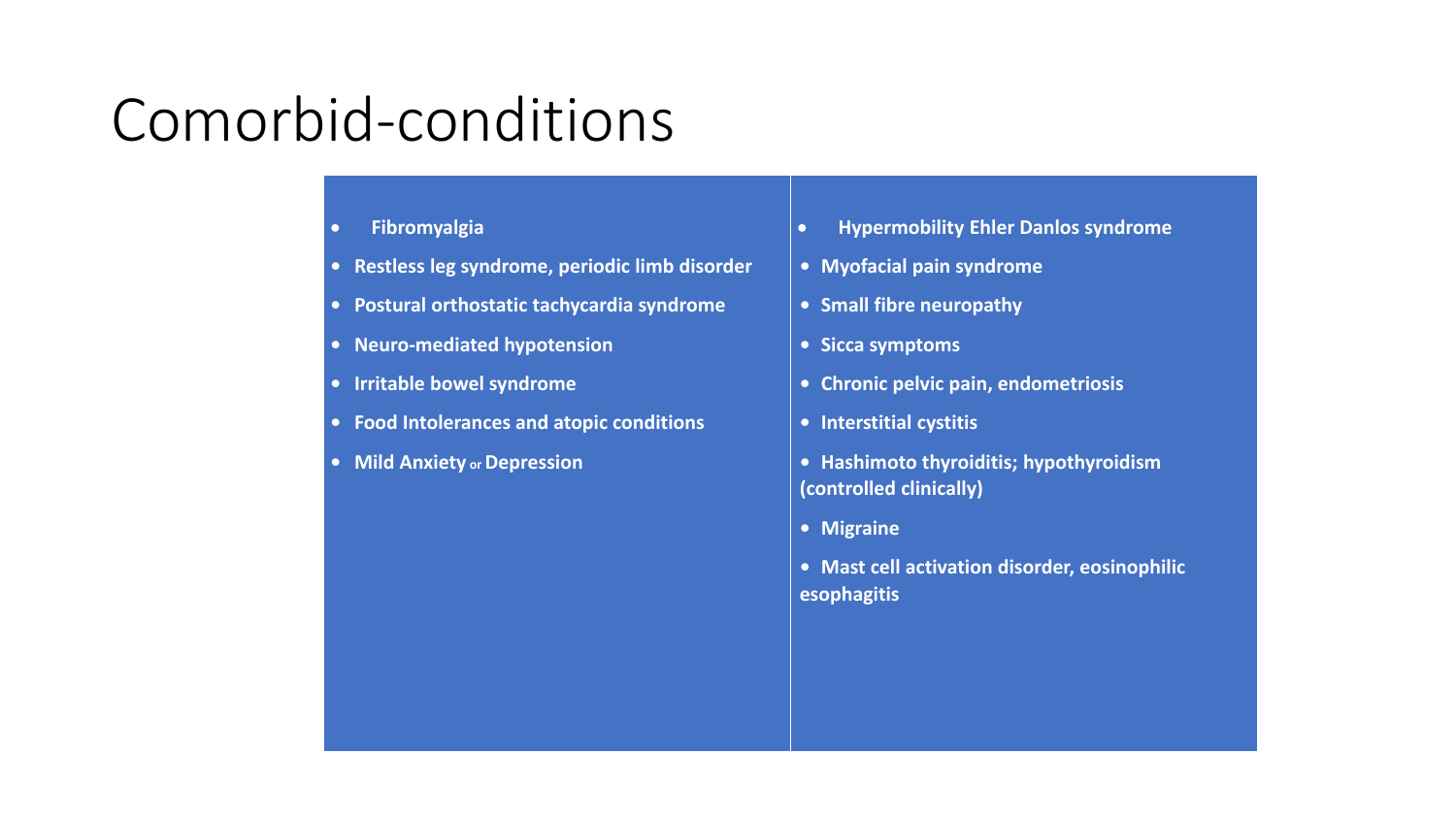# Comorbid-conditions

- **Fibromyalgia**
- **• Restless leg syndrome, periodic limb disorder**
- **• Postural orthostatic tachycardia syndrome**
- **• Neuro-mediated hypotension**
- **• Irritable bowel syndrome**
- **• Food Intolerances and atopic conditions**
- **• Mild Anxiety or Depression**
- **Hypermobility Ehler Danlos syndrome**
- **• Myofacial pain syndrome**
- **• Small fibre neuropathy**
- **• Sicca symptoms**
- **• Chronic pelvic pain, endometriosis**
- **• Interstitial cystitis**
- **• Hashimoto thyroiditis; hypothyroidism (controlled clinically)**
- **• Migraine**
- **• Mast cell activation disorder, eosinophilic esophagitis**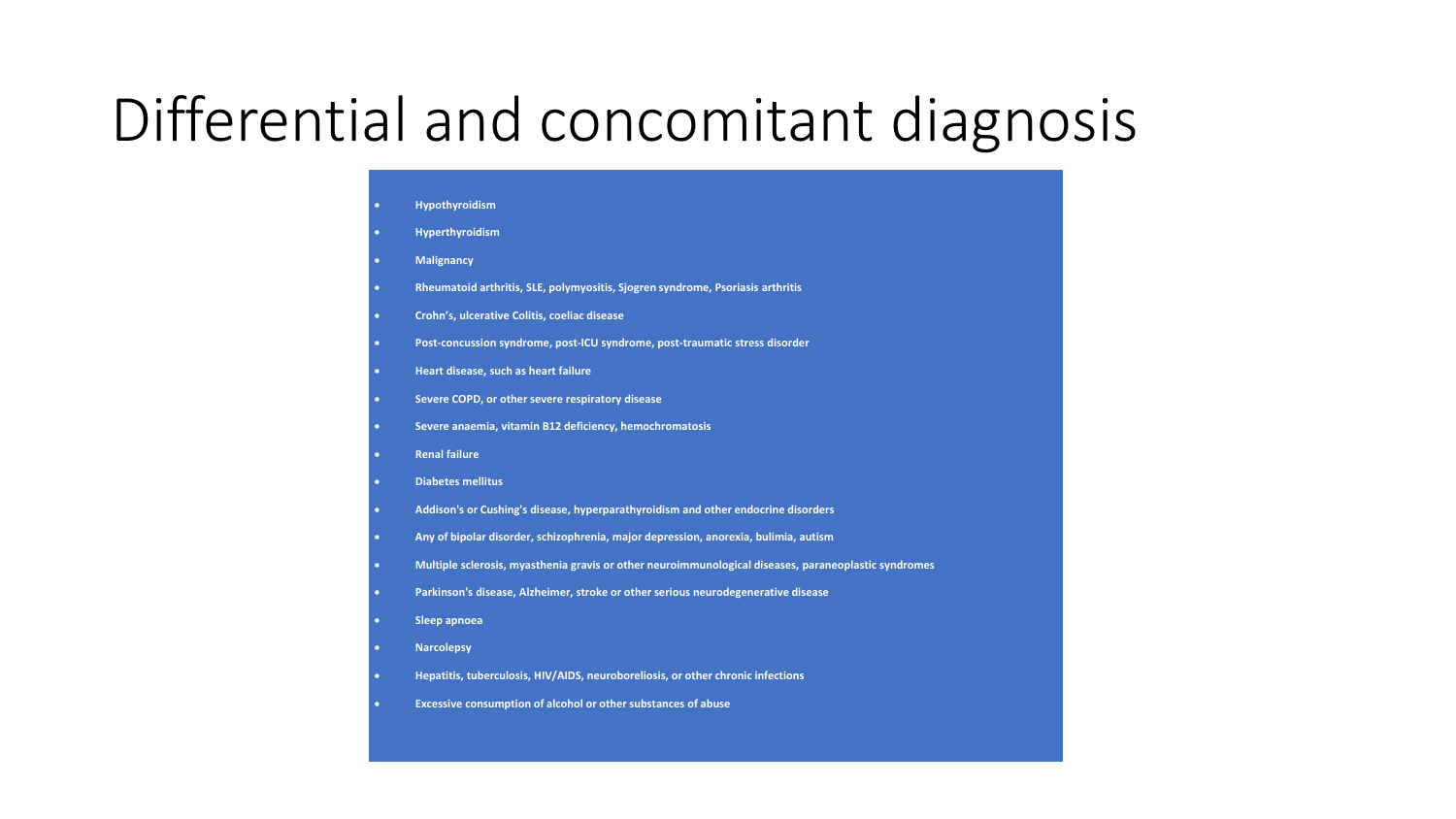# Differential and concomitant diagnosis

| ٠         | <b>Hypothyroidism</b>                                                                                |
|-----------|------------------------------------------------------------------------------------------------------|
| ٠         | <b>Hyperthyroidism</b>                                                                               |
| ٠         | <b>Malignancy</b>                                                                                    |
| ٠         | Rheumatoid arthritis, SLE, polymyositis, Sjogren syndrome, Psoriasis arthritis                       |
| ٠         | Crohn's, ulcerative Colitis, coeliac disease                                                         |
| ٠         | Post-concussion syndrome, post-ICU syndrome, post-traumatic stress disorder                          |
| ٠         | Heart disease, such as heart failure                                                                 |
| ٠         | Severe COPD, or other severe respiratory disease                                                     |
| ٠         | Severe anaemia, vitamin B12 deficiency, hemochromatosis                                              |
| ٠         | <b>Renal failure</b>                                                                                 |
| ٠         | <b>Diabetes mellitus</b>                                                                             |
| ٠         | Addison's or Cushing's disease, hyperparathyroidism and other endocrine disorders                    |
| ٠         | Any of bipolar disorder, schizophrenia, major depression, anorexia, bulimia, autism                  |
| ٠         | Multiple sclerosis, myasthenia gravis or other neuroimmunological diseases, paraneoplastic syndromes |
| ٠         | Parkinson's disease, Alzheimer, stroke or other serious neurodegenerative disease                    |
| ٠         | Sleep apnoea                                                                                         |
| ٠         | <b>Narcolepsy</b>                                                                                    |
| ٠         | Hepatitis, tuberculosis, HIV/AIDS, neuroboreliosis, or other chronic infections                      |
| $\bullet$ | Excessive consumption of alcohol or other substances of abuse                                        |
|           |                                                                                                      |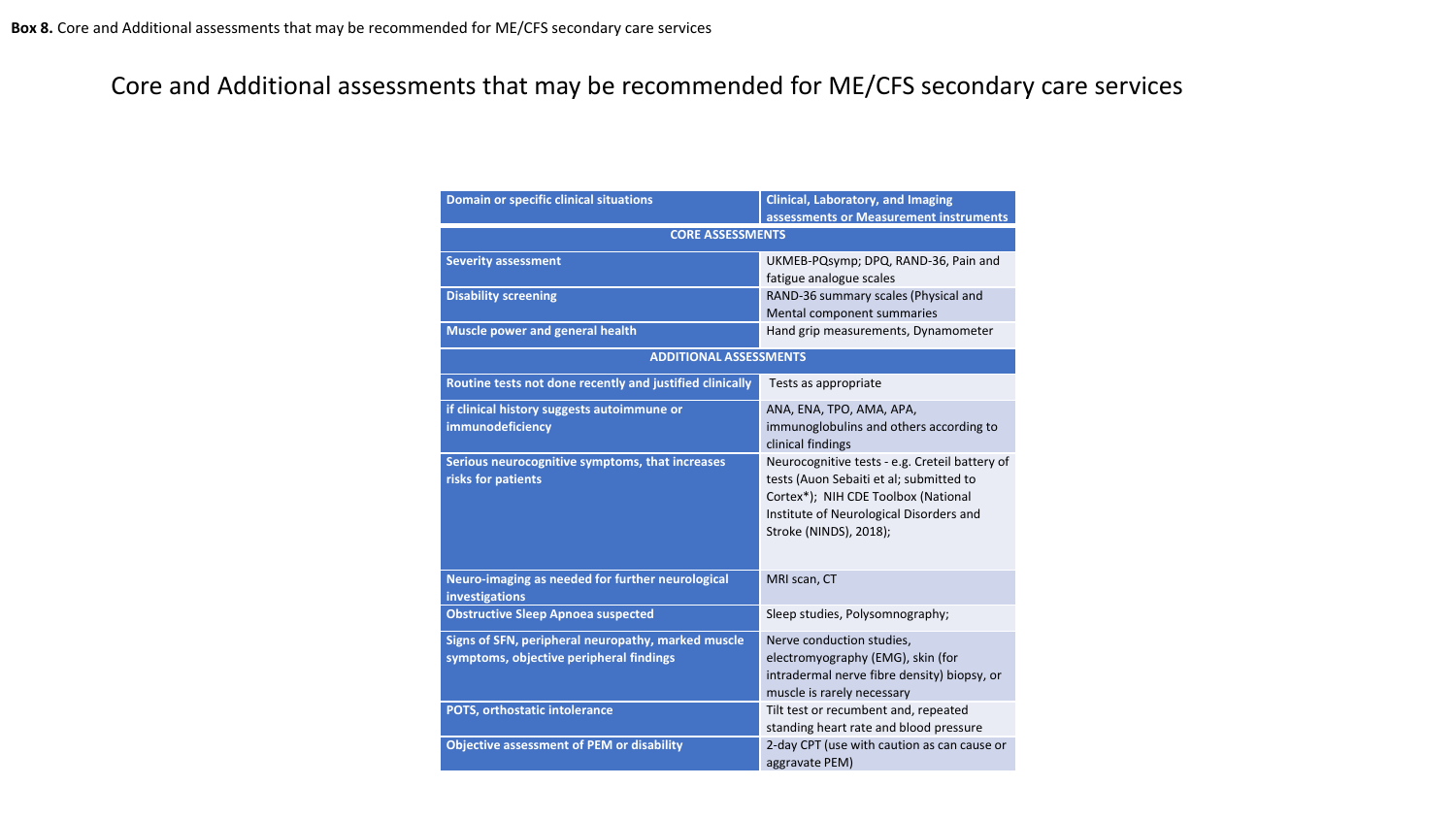### Core and Additional assessments that may be recommended for ME/CFS secondary care services

| <b>Domain or specific clinical situations</b>                                                 | <b>Clinical, Laboratory, and Imaging</b><br>assessments or Measurement instruments                                                                                                                    |  |  |
|-----------------------------------------------------------------------------------------------|-------------------------------------------------------------------------------------------------------------------------------------------------------------------------------------------------------|--|--|
| <b>CORE ASSESSMENTS</b>                                                                       |                                                                                                                                                                                                       |  |  |
| <b>Severity assessment</b>                                                                    | UKMEB-PQsymp; DPQ, RAND-36, Pain and<br>fatigue analogue scales                                                                                                                                       |  |  |
| <b>Disability screening</b>                                                                   | RAND-36 summary scales (Physical and<br>Mental component summaries                                                                                                                                    |  |  |
| Muscle power and general health                                                               | Hand grip measurements, Dynamometer                                                                                                                                                                   |  |  |
| <b>ADDITIONAL ASSESSMENTS</b>                                                                 |                                                                                                                                                                                                       |  |  |
| Routine tests not done recently and justified clinically                                      | Tests as appropriate                                                                                                                                                                                  |  |  |
| if clinical history suggests autoimmune or<br>immunodeficiency                                | ANA, ENA, TPO, AMA, APA,<br>immunoglobulins and others according to<br>clinical findings                                                                                                              |  |  |
| Serious neurocognitive symptoms, that increases<br>risks for patients                         | Neurocognitive tests - e.g. Creteil battery of<br>tests (Auon Sebaiti et al; submitted to<br>Cortex*); NIH CDE Toolbox (National<br>Institute of Neurological Disorders and<br>Stroke (NINDS), 2018); |  |  |
| Neuro-imaging as needed for further neurological<br>investigations                            | MRI scan, CT                                                                                                                                                                                          |  |  |
| <b>Obstructive Sleep Apnoea suspected</b>                                                     | Sleep studies, Polysomnography;                                                                                                                                                                       |  |  |
| Signs of SFN, peripheral neuropathy, marked muscle<br>symptoms, objective peripheral findings | Nerve conduction studies,<br>electromyography (EMG), skin (for<br>intradermal nerve fibre density) biopsy, or<br>muscle is rarely necessary                                                           |  |  |
| POTS, orthostatic intolerance                                                                 | Tilt test or recumbent and, repeated<br>standing heart rate and blood pressure                                                                                                                        |  |  |
| <b>Objective assessment of PEM or disability</b>                                              | 2-day CPT (use with caution as can cause or<br>aggravate PEM)                                                                                                                                         |  |  |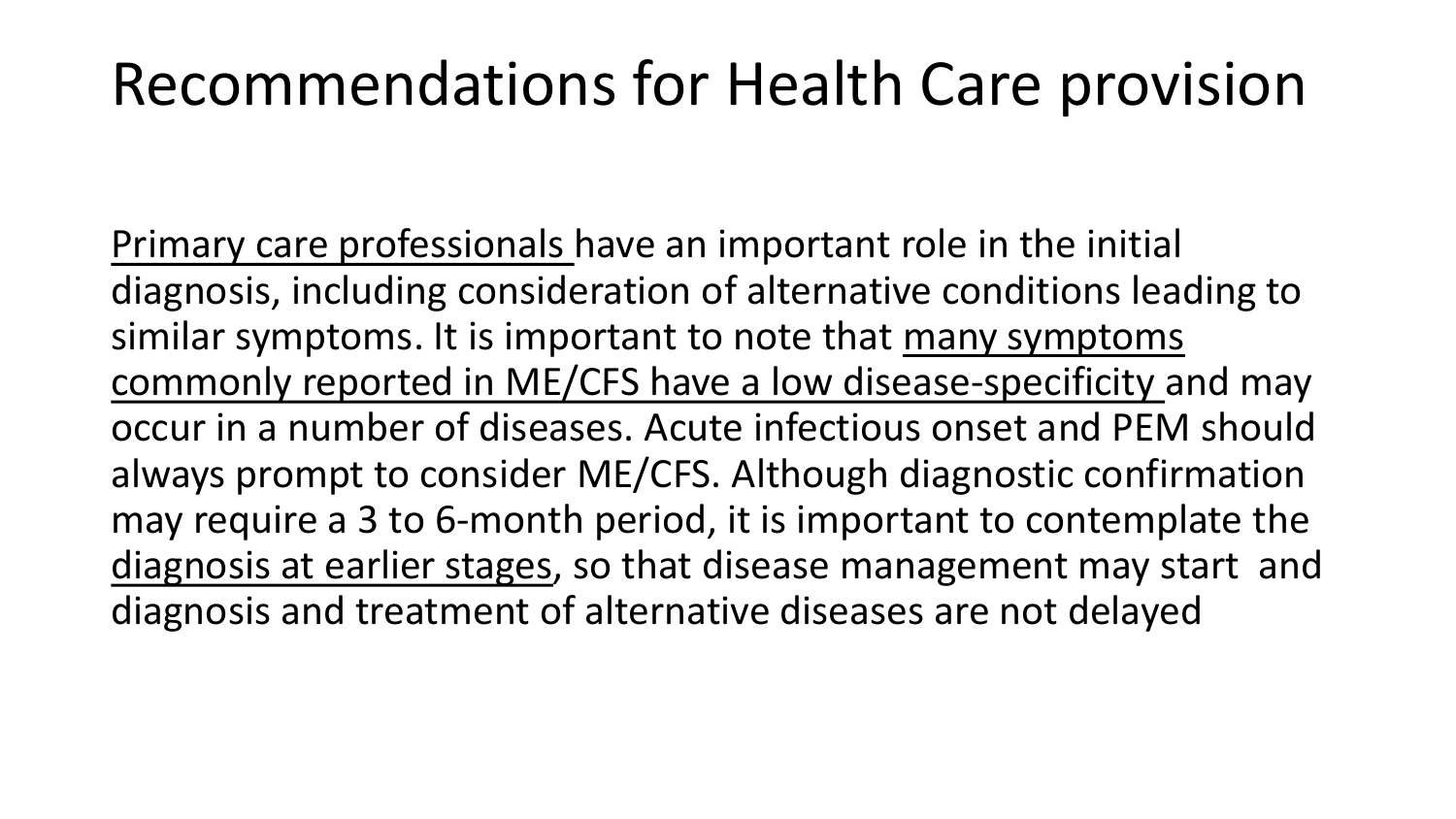# Recommendations for Health Care provision

Primary care professionals have an important role in the initial diagnosis, including consideration of alternative conditions leading to similar symptoms. It is important to note that many symptoms commonly reported in ME/CFS have a low disease-specificity and may occur in a number of diseases. Acute infectious onset and PEM should always prompt to consider ME/CFS. Although diagnostic confirmation may require a 3 to 6-month period, it is important to contemplate the diagnosis at earlier stages, so that disease management may start and diagnosis and treatment of alternative diseases are not delayed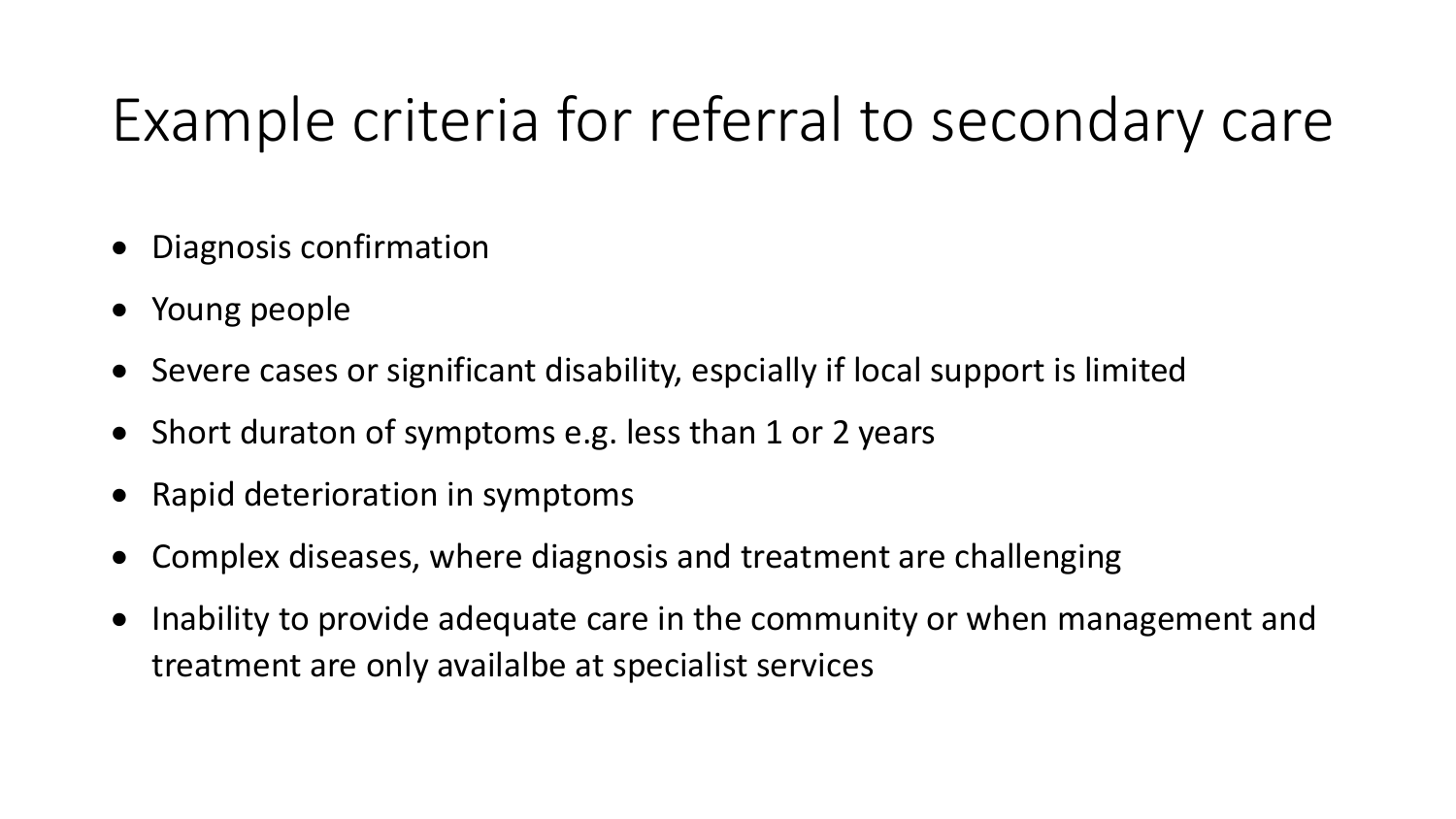# Example criteria for referral to secondary care

- Diagnosis confirmation
- Young people
- Severe cases or significant disability, espcially if local support is limited
- Short duraton of symptoms e.g. less than 1 or 2 years
- Rapid deterioration in symptoms
- Complex diseases, where diagnosis and treatment are challenging
- Inability to provide adequate care in the community or when management and treatment are only availalbe at specialist services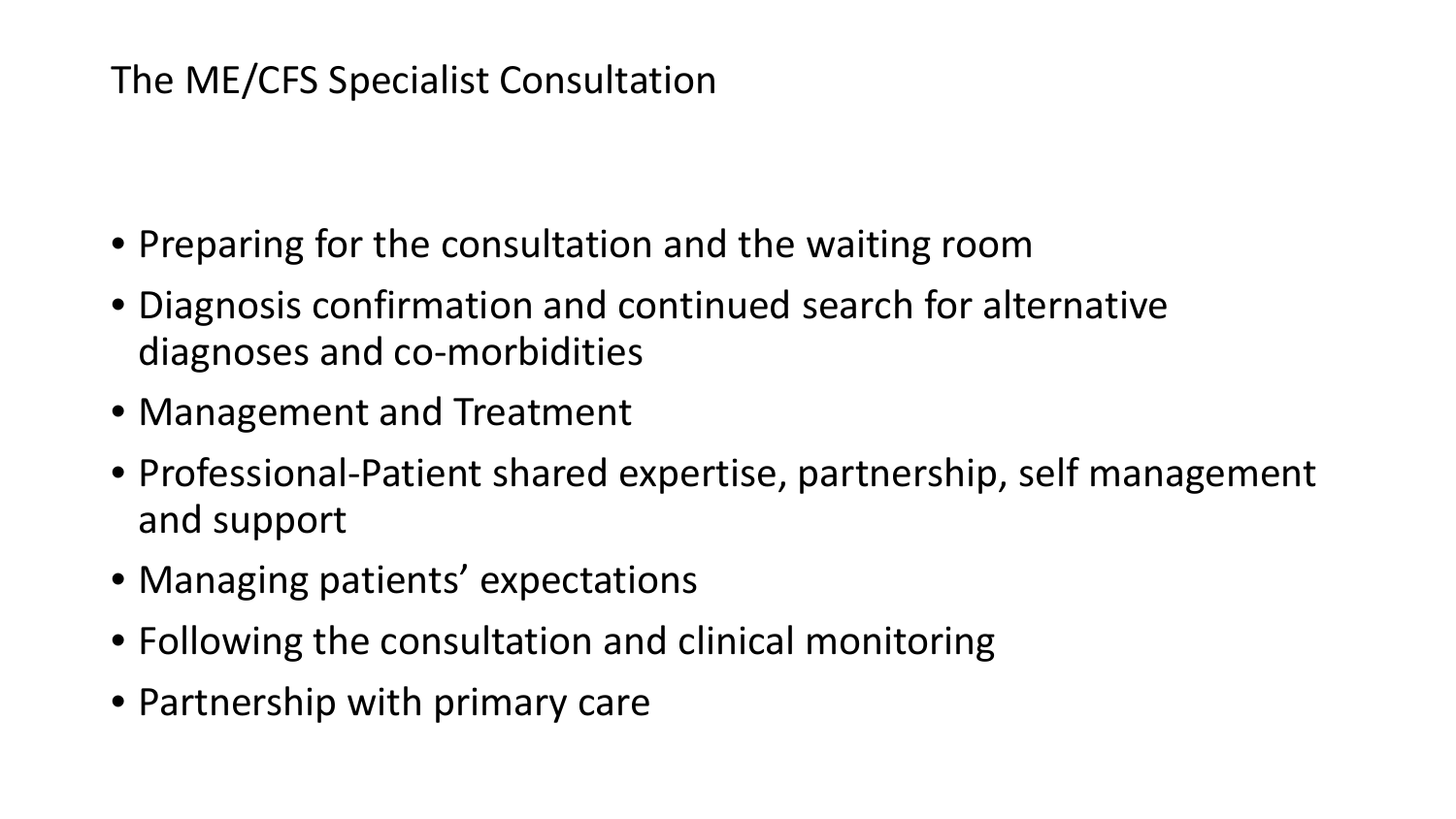## The ME/CFS Specialist Consultation

- Preparing for the consultation and the waiting room
- Diagnosis confirmation and continued search for alternative diagnoses and co-morbidities
- Management and Treatment
- Professional-Patient shared expertise, partnership, self management and support
- Managing patients' expectations
- Following the consultation and clinical monitoring
- Partnership with primary care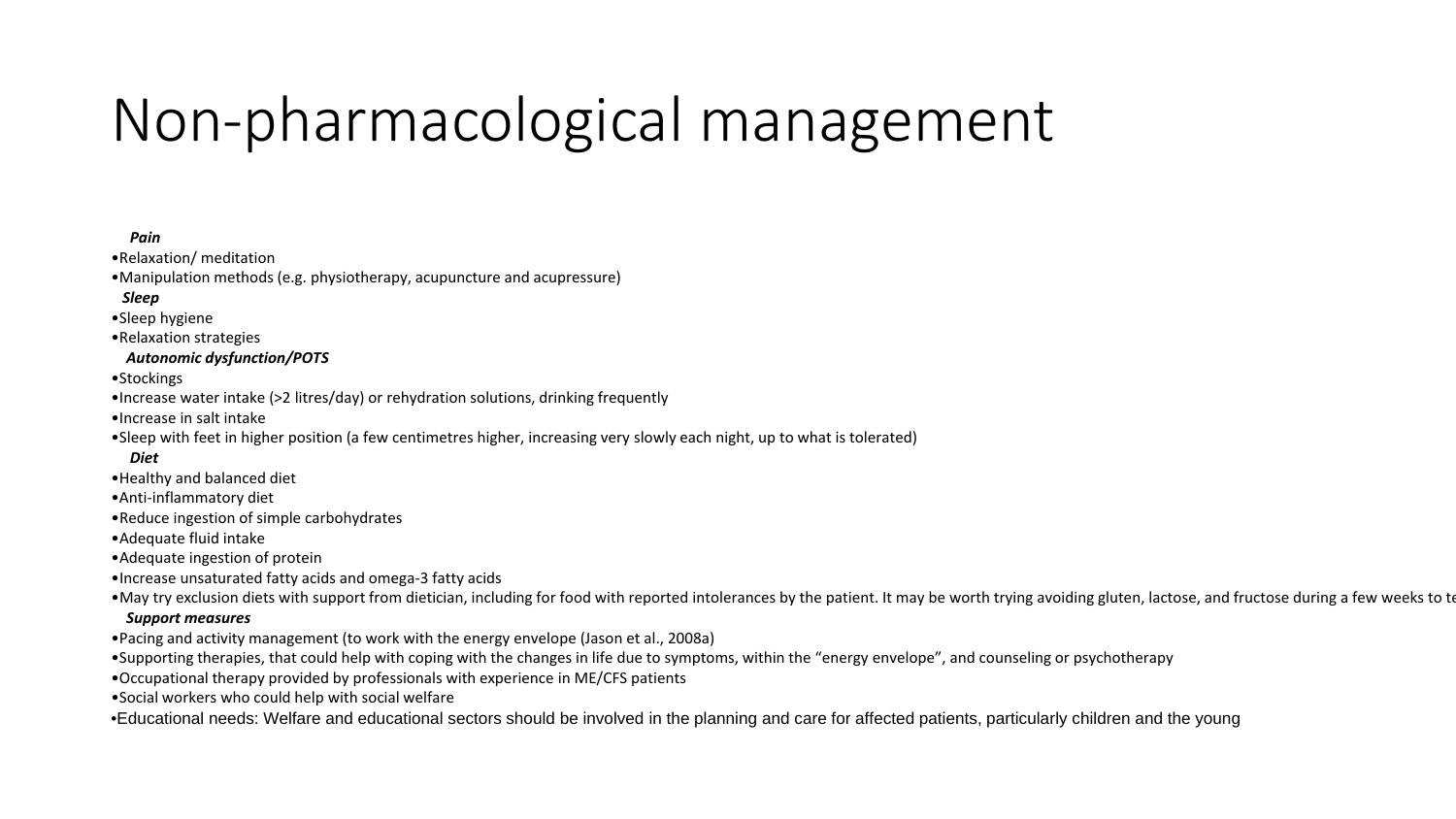# Non-pharmacological management

#### *Pain*

•Relaxation/ meditation

•Manipulation methods (e.g. physiotherapy, acupuncture and acupressure)

#### *Sleep*

•Sleep hygiene

•Relaxation strategies

#### *Autonomic dysfunction/POTS*

•Stockings

•Increase water intake (>2 litres/day) or rehydration solutions, drinking frequently

•Increase in salt intake

•Sleep with feet in higher position (a few centimetres higher, increasing very slowly each night, up to what is tolerated)

*Diet*

- •Healthy and balanced diet
- •Anti-inflammatory diet
- •Reduce ingestion of simple carbohydrates
- •Adequate fluid intake

•Adequate ingestion of protein

•Increase unsaturated fatty acids and omega-3 fatty acids

•May try exclusion diets with support from dietician, including for food with reported intolerances by the patient. It may be worth trying avoiding gluten, lactose, and fructose during a few weeks to to

#### *Support measures*

- •Pacing and activity management (to work with the energy envelope (Jason et al., 2008a)
- •Supporting therapies, that could help with coping with the changes in life due to symptoms, within the "energy envelope", and counseling or psychotherapy
- •Occupational therapy provided by professionals with experience in ME/CFS patients
- •Social workers who could help with social welfare

•Educational needs: Welfare and educational sectors should be involved in the planning and care for affected patients, particularly children and the young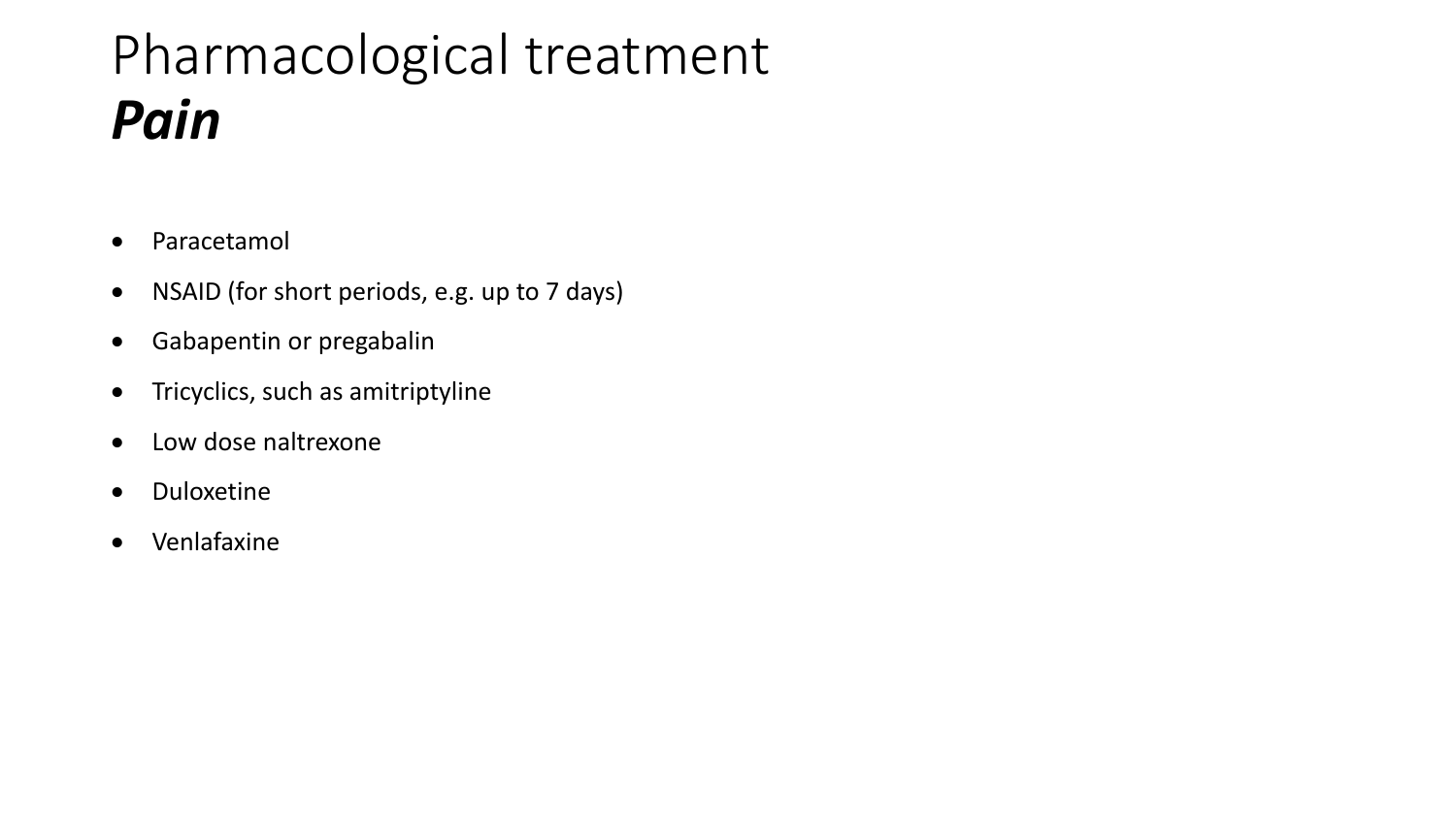# Pharmacological treatment *Pain*

- Paracetamol
- NSAID (for short periods, e.g. up to 7 days)
- Gabapentin or pregabalin
- Tricyclics, such as amitriptyline
- Low dose naltrexone
- Duloxetine
- Venlafaxine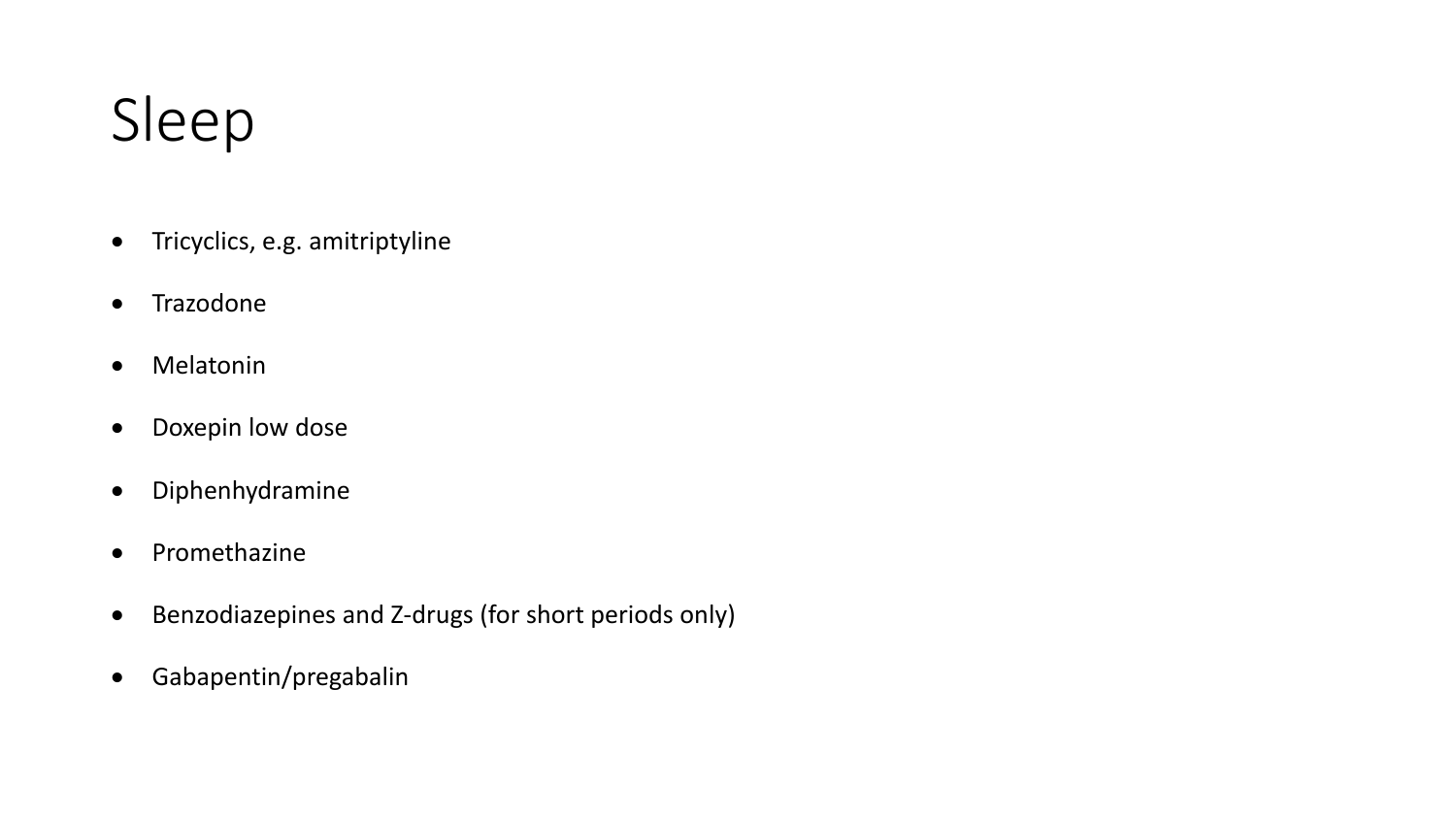# Sleep

- Tricyclics, e.g. amitriptyline
- Trazodone
- Melatonin
- Doxepin low dose
- Diphenhydramine
- Promethazine
- Benzodiazepines and Z-drugs (for short periods only)
- Gabapentin/pregabalin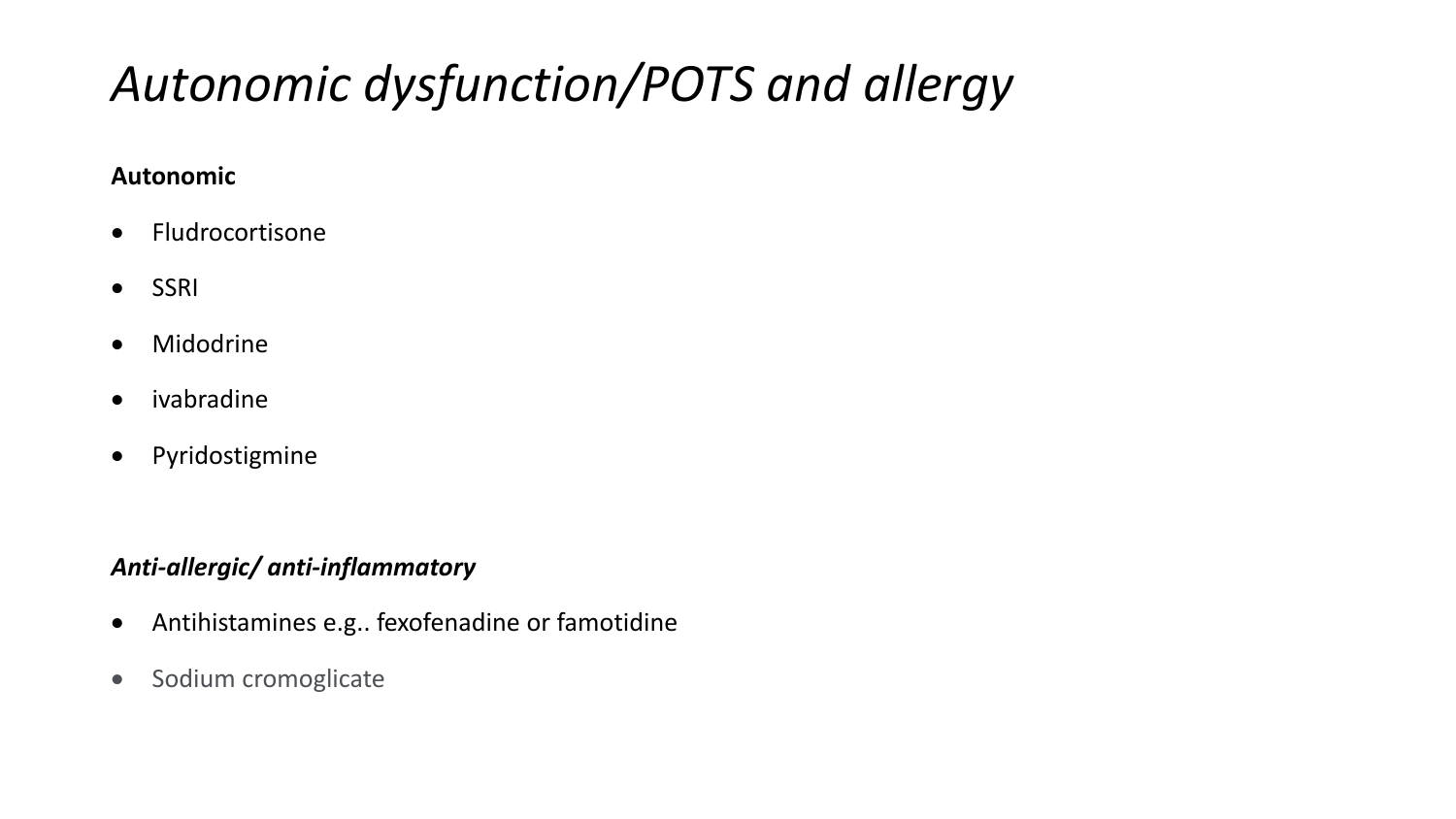## *Autonomic dysfunction/POTS and allergy*

### **Autonomic**

- Fludrocortisone
- SSRI
- Midodrine
- ivabradine
- Pyridostigmine

### *Anti-allergic/ anti-inflammatory*

- Antihistamines e.g.. fexofenadine or famotidine
- Sodium cromoglicate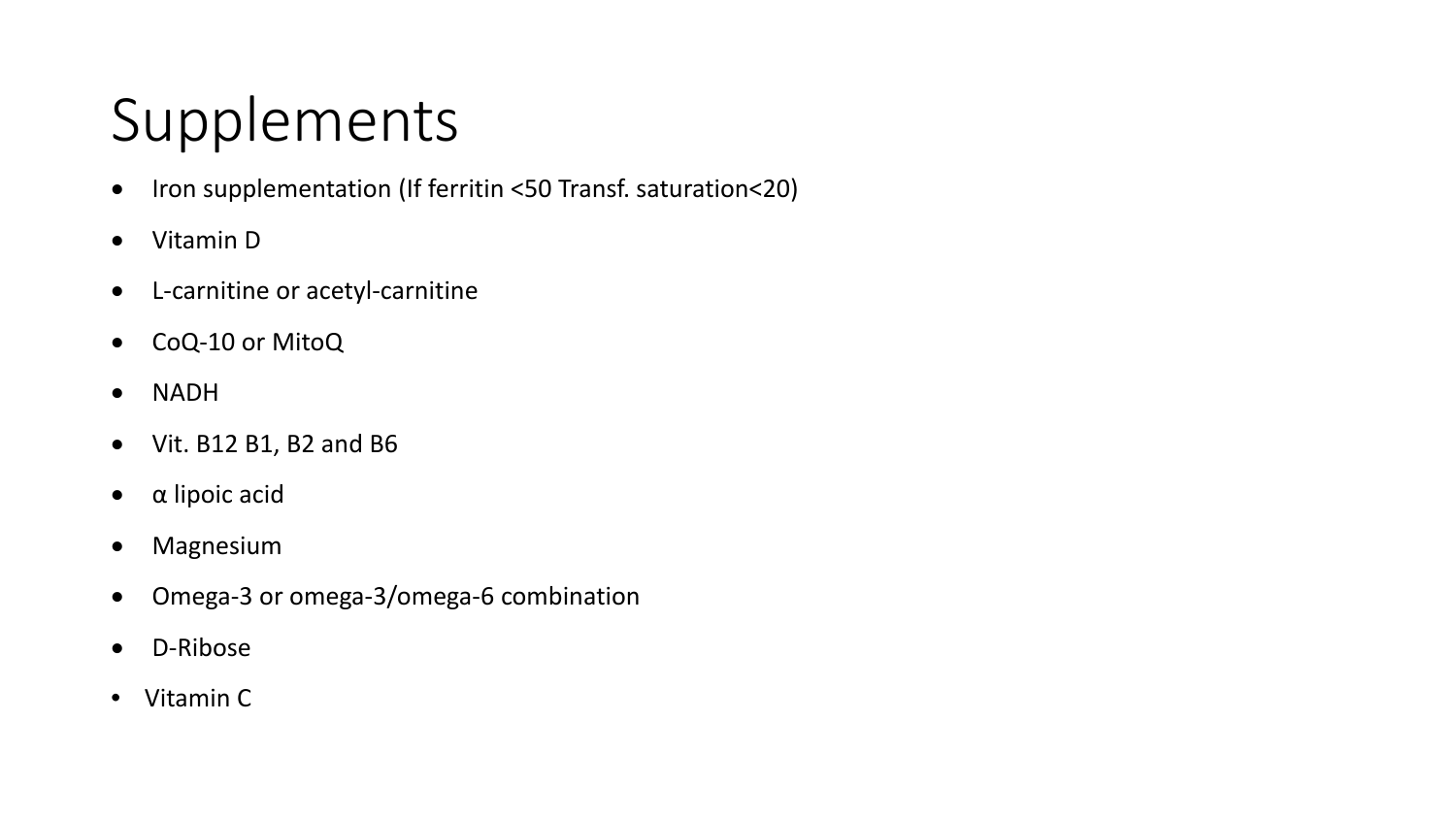# Supplements

- Iron supplementation (If ferritin <50 Transf. saturation<20)
- Vitamin D
- L-carnitine or acetyl-carnitine
- CoQ-10 or MitoQ
- NADH
- Vit. B12 B1, B2 and B6
- α lipoic acid
- Magnesium
- Omega-3 or omega-3/omega-6 combination
- D-Ribose
- Vitamin C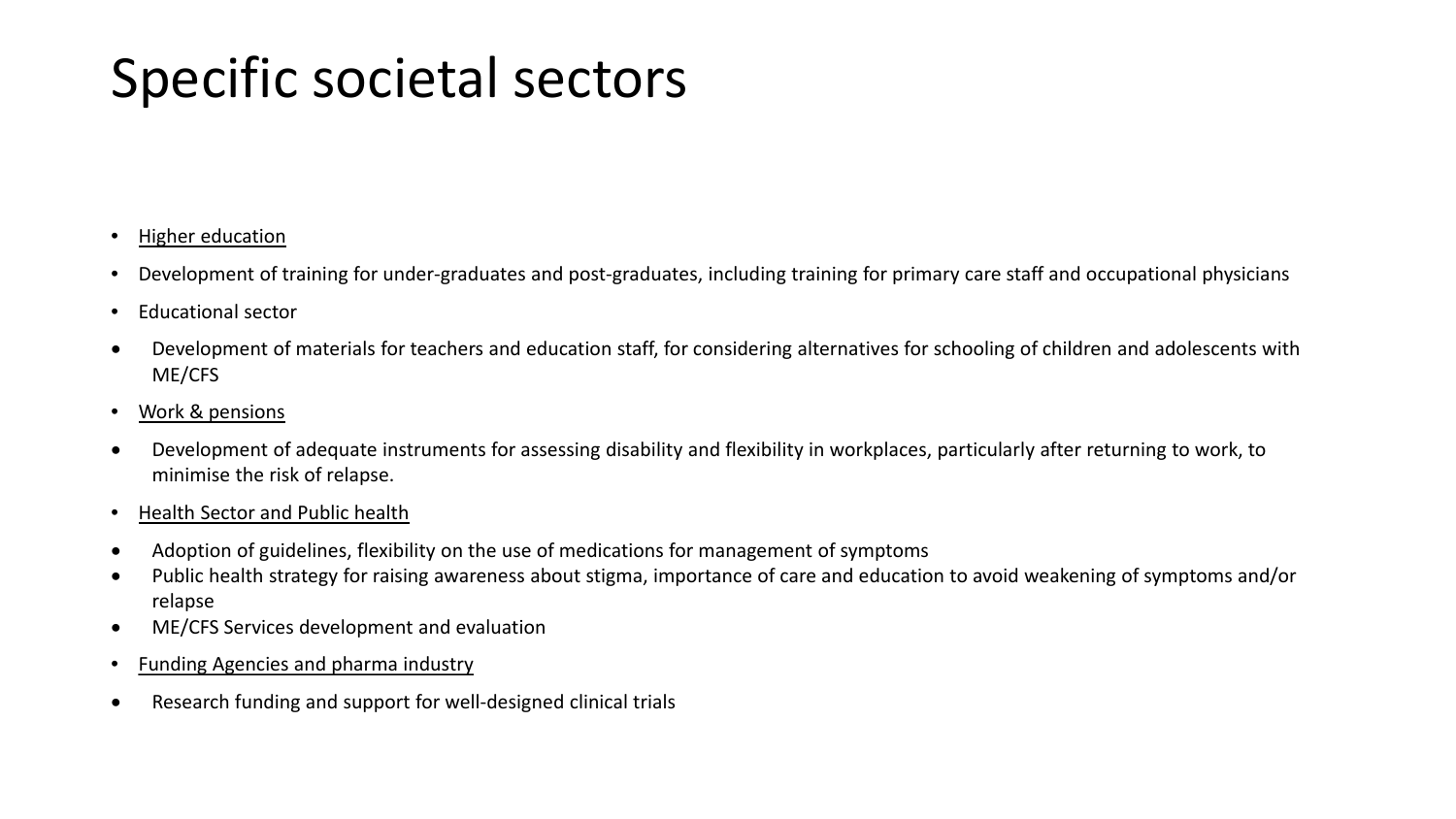# Specific societal sectors

- Higher education
- Development of training for under-graduates and post-graduates, including training for primary care staff and occupational physicians
- Educational sector
- Development of materials for teachers and education staff, for considering alternatives for schooling of children and adolescents with ME/CFS
- Work & pensions
- Development of adequate instruments for assessing disability and flexibility in workplaces, particularly after returning to work, to minimise the risk of relapse.
- Health Sector and Public health
- Adoption of guidelines, flexibility on the use of medications for management of symptoms
- Public health strategy for raising awareness about stigma, importance of care and education to avoid weakening of symptoms and/or relapse
- ME/CFS Services development and evaluation
- Funding Agencies and pharma industry
- Research funding and support for well-designed clinical trials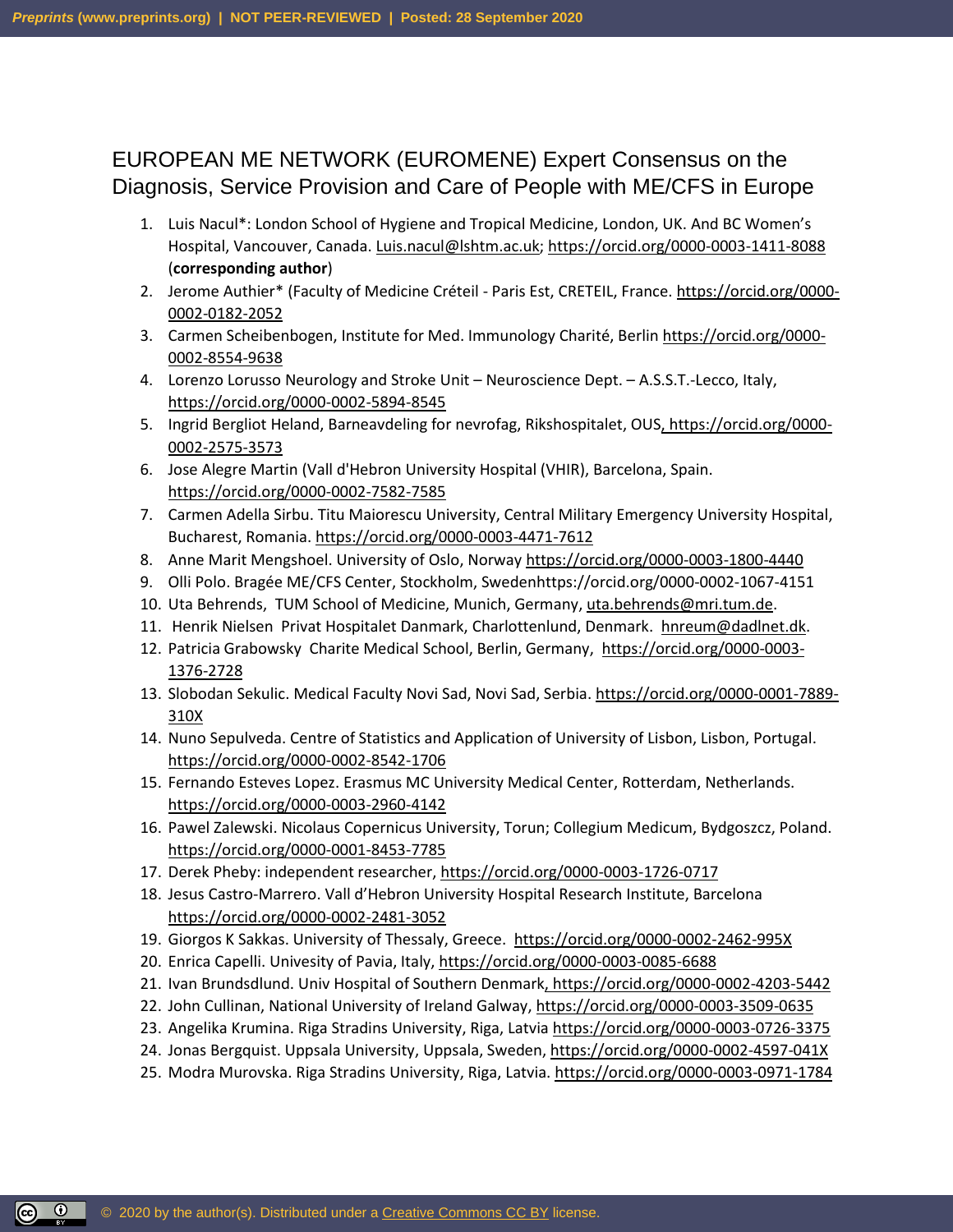### EUROPEAN ME NETWORK (EUROMENE) Expert Consensus on the Diagnosis, Service Provision and Care of People with ME/CFS in Europe

- 1. Luis Nacul\*: London School of Hygiene and Tropical Medicine, London, UK. And BC Women's Hospital, Vancouver, Canada[. Luis.nacul@lshtm.ac.uk;](mailto:Luis.nacul@lshtm.ac.uk)<https://orcid.org/0000-0003-1411-8088> (**corresponding author**)
- 2. Jerome Authier\* (Faculty of Medicine Créteil Paris Est, CRETEIL, France. https://orcid.org/0000- 0002-0182-2052
- 3. Carmen Scheibenbogen, Institute for Med. Immunology Charité, Berlin https://orcid.org/0000- 0002-8554-9638
- 4. Lorenzo Lorusso Neurology and Stroke Unit Neuroscience Dept. A.S.S.T.-Lecco, Italy, <https://orcid.org/0000-0002-5894-8545>
- 5. Ingrid Bergliot Heland, Barneavdeling for nevrofag, Rikshospitalet, OUS, https://orcid.org/0000-0002-2575-3573
- 6. Jose Alegre Martin (Vall d'Hebron University Hospital (VHIR), Barcelona, Spain. https://orcid.org/0000-0002-7582-7585
- 7. Carmen Adella Sirbu. Titu Maiorescu University, Central Military Emergency University Hospital, Bucharest, Romania. <https://orcid.org/0000-0003-4471-7612>
- 8. Anne Marit Mengshoel. University of Oslo, Norway<https://orcid.org/0000-0003-1800-4440>
- 9. Olli Polo. Bragée ME/CFS Center, Stockholm, Swedenhttps://orcid.org/0000-0002-1067-4151
- 10. Uta Behrends, TUM School of Medicine, Munich, Germany, [uta.behrends@mri.tum.de.](mailto:uta.behrends@mri.tum.de)
- 11. Henrik Nielsen Privat Hospitalet Danmark, Charlottenlund, Denmark. hnreum@dadlnet.dk.
- 12. Patricia Grabowsky Charite Medical School, Berlin, Germany, [https://orcid.org/0000-0003-](https://protect-eu.mimecast.com/s/kx-EC5LPGC0Mg6OUzpIZz?domain=orcid.org) [1376-2728](https://protect-eu.mimecast.com/s/kx-EC5LPGC0Mg6OUzpIZz?domain=orcid.org)
- 13. Slobodan Sekulic. Medical Faculty Novi Sad, Novi Sad, Serbia. https://orcid.org/0000-0001-7889- 310X
- 14. Nuno Sepulveda. Centre of Statistics and Application of University of Lisbon, Lisbon, Portugal. https://orcid.org/0000-0002-8542-1706
- 15. Fernando Esteves Lopez. Erasmus MC University Medical Center, Rotterdam, Netherlands. https://orcid.org/0000-0003-2960-4142
- 16. Pawel Zalewski. Nicolaus Copernicus University, Torun; Collegium Medicum, Bydgoszcz, Poland. https://orcid.org/0000-0001-8453-7785
- 17. Derek Pheby: independent researcher, https://orcid.org/0000-0003-1726-0717
- 18. Jesus Castro-Marrero. Vall d'Hebron University Hospital Research Institute, Barcelona <https://orcid.org/0000-0002-2481-3052>
- 19. Giorgos K Sakkas. University of Thessaly, Greece. https://orcid.org/0000-0002-2462-995X
- 20. Enrica Capelli. Univesity of Pavia, Italy, https://orcid.org/0000-0003-0085-6688
- 21. Ivan Brundsdlund. Univ Hospital of Southern Denmark, https://orcid.org/0000-0002-4203-5442
- 22. John Cullinan, National University of Ireland Galway, <https://orcid.org/0000-0003-3509-0635>
- 23. Angelika Krumina. Riga Stradins University, Riga, Latvia <https://orcid.org/0000-0003-0726-3375>
- 24. Jonas Bergquist. Uppsala University, Uppsala, Sweden, https://orcid.org/0000-0002-4597-041X
- 25. Modra Murovska. Riga Stradins University, Riga, Latvia.<https://orcid.org/0000-0003-0971-1784>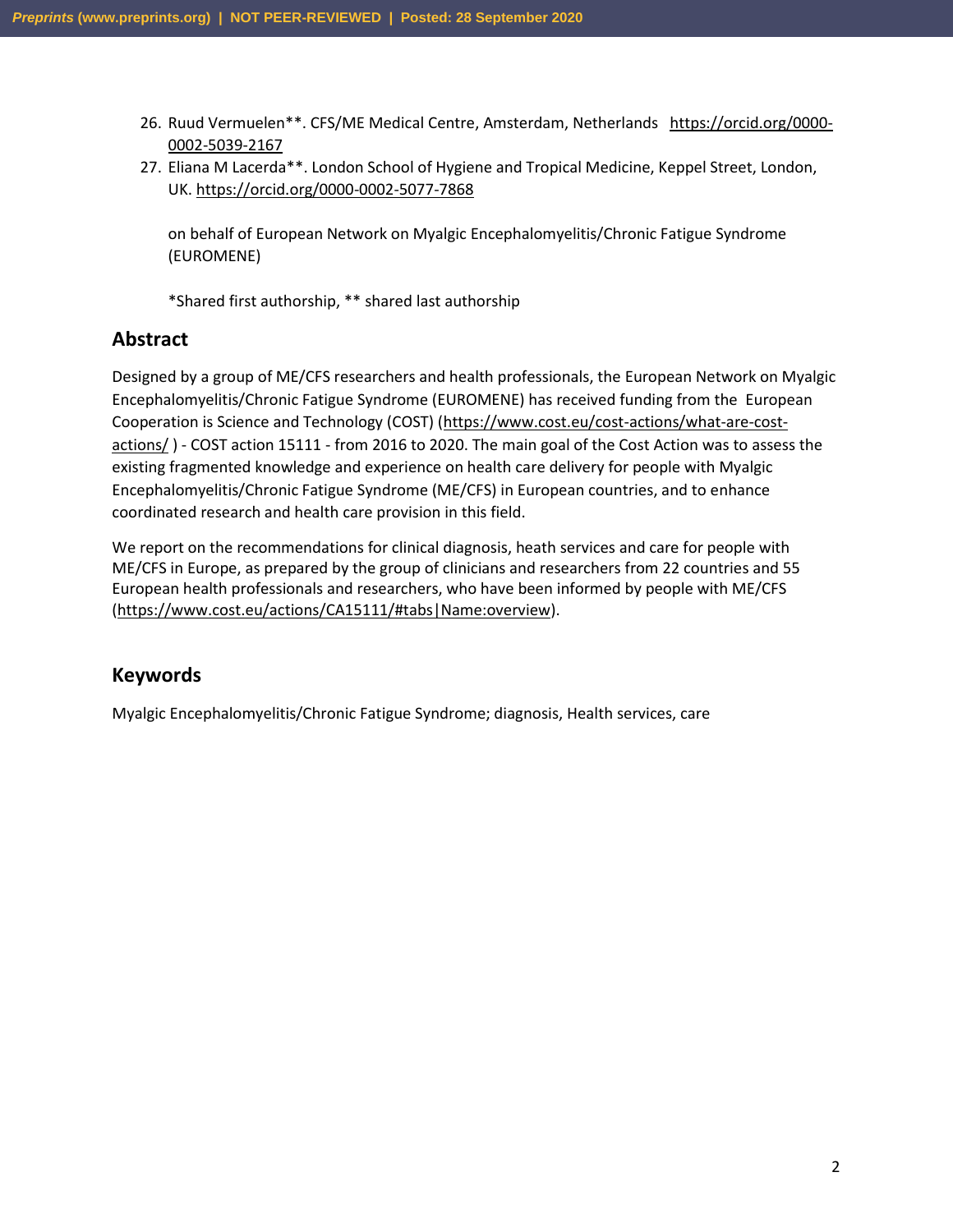- 26. Ruud Vermuelen\*\*. CFS/ME Medical Centre, Amsterdam, Netherlands https://orcid.org/0000- 0002-5039-2167
- 27. Eliana M Lacerda\*\*. London School of Hygiene and Tropical Medicine, Keppel Street, London, UK.<https://orcid.org/0000-0002-5077-7868>

on behalf of European Network on Myalgic Encephalomyelitis/Chronic Fatigue Syndrome (EUROMENE)

\*Shared first authorship, \*\* shared last authorship

### **Abstract**

Designed by a group of ME/CFS researchers and health professionals, the European Network on Myalgic Encephalomyelitis/Chronic Fatigue Syndrome (EUROMENE) has received funding from the European Cooperation is Science and Technology (COST) [\(https://www.cost.eu/cost-actions/what-are-cost](https://www.cost.eu/cost-actions/what-are-cost-actions/)[actions/](https://www.cost.eu/cost-actions/what-are-cost-actions/)) - COST action 15111 - from 2016 to 2020. The main goal of the Cost Action was to assess the existing fragmented knowledge and experience on health care delivery for people with Myalgic Encephalomyelitis/Chronic Fatigue Syndrome (ME/CFS) in European countries, and to enhance coordinated research and health care provision in this field.

We report on the recommendations for clinical diagnosis, heath services and care for people with ME/CFS in Europe, as prepared by the group of clinicians and researchers from 22 countries and 55 European health professionals and researchers, who have been informed by people with ME/CFS [\(https://www.cost.eu/actions/CA15111/#tabs|Name:overview\)](https://www.cost.eu/actions/CA15111/#tabs|Name:overview).

#### **Keywords**

Myalgic Encephalomyelitis/Chronic Fatigue Syndrome; diagnosis, Health services, care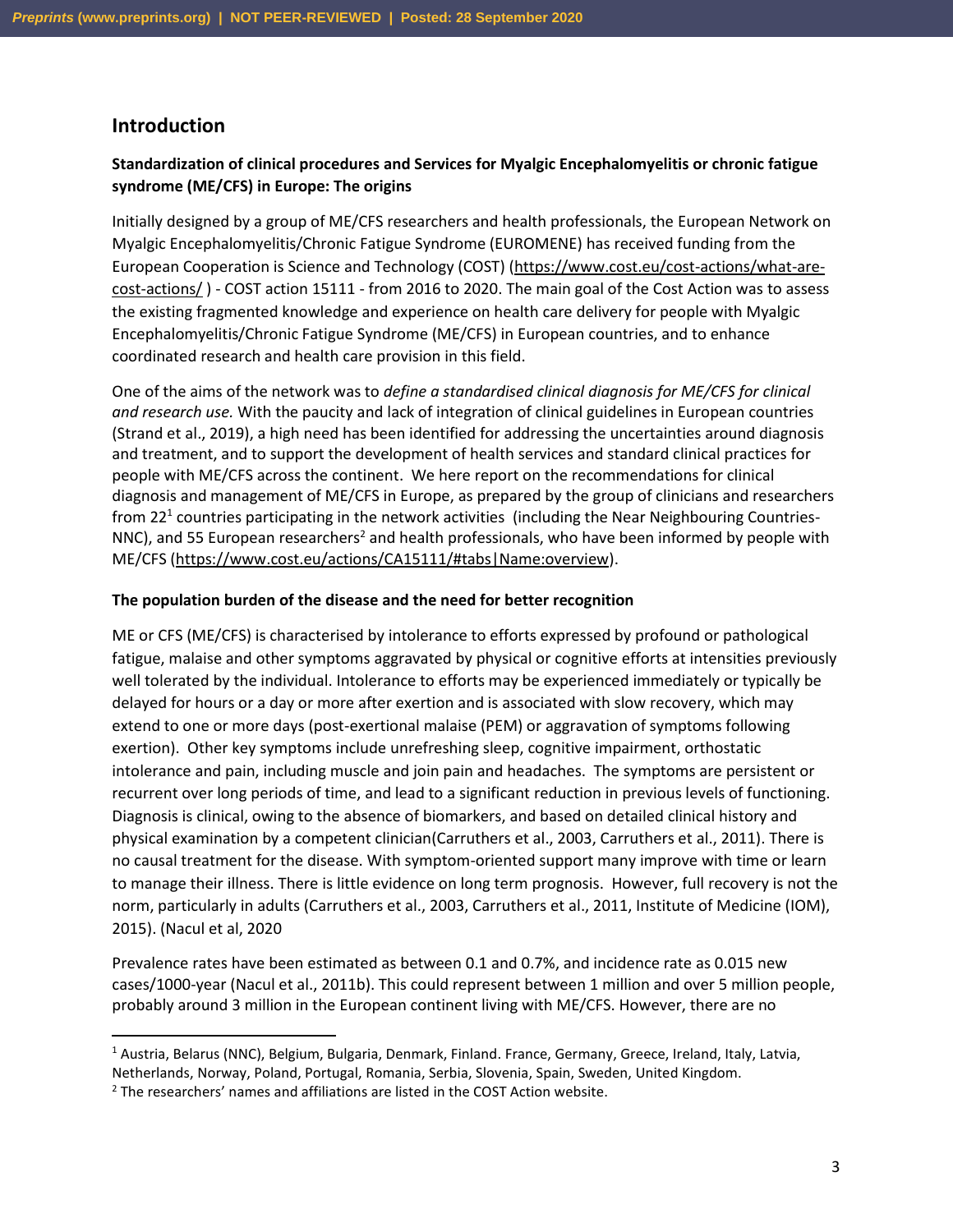#### **Introduction**

#### **Standardization of clinical procedures and Services for Myalgic Encephalomyelitis or chronic fatigue syndrome (ME/CFS) in Europe: The origins**

Initially designed by a group of ME/CFS researchers and health professionals, the European Network on Myalgic Encephalomyelitis/Chronic Fatigue Syndrome (EUROMENE) has received funding from the European Cooperation is Science and Technology (COST) [\(https://www.cost.eu/cost-actions/what-are](https://www.cost.eu/cost-actions/what-are-cost-actions/)[cost-actions/](https://www.cost.eu/cost-actions/what-are-cost-actions/) ) - COST action 15111 - from 2016 to 2020. The main goal of the Cost Action was to assess the existing fragmented knowledge and experience on health care delivery for people with Myalgic Encephalomyelitis/Chronic Fatigue Syndrome (ME/CFS) in European countries, and to enhance coordinated research and health care provision in this field.

One of the aims of the network was to *define a standardised clinical diagnosis for ME/CFS for clinical and research use.* With the paucity and lack of integration of clinical guidelines in European countries (Strand et al., 2019), a high need has been identified for addressing the uncertainties around diagnosis and treatment, and to support the development of health services and standard clinical practices for people with ME/CFS across the continent. We here report on the recommendations for clinical diagnosis and management of ME/CFS in Europe, as prepared by the group of clinicians and researchers from 22<sup>1</sup> countries participating in the network activities (including the Near Neighbouring Countries-NNC), and 55 European researchers<sup>2</sup> and health professionals, who have been informed by people with ME/CFS [\(https://www.cost.eu/actions/CA15111/#tabs|Name:overview\)](https://www.cost.eu/actions/CA15111/#tabs|Name:overview).

#### **The population burden of the disease and the need for better recognition**

ME or CFS (ME/CFS) is characterised by intolerance to efforts expressed by profound or pathological fatigue, malaise and other symptoms aggravated by physical or cognitive efforts at intensities previously well tolerated by the individual. Intolerance to efforts may be experienced immediately or typically be delayed for hours or a day or more after exertion and is associated with slow recovery, which may extend to one or more days (post-exertional malaise (PEM) or aggravation of symptoms following exertion). Other key symptoms include unrefreshing sleep, cognitive impairment, orthostatic intolerance and pain, including muscle and join pain and headaches. The symptoms are persistent or recurrent over long periods of time, and lead to a significant reduction in previous levels of functioning. Diagnosis is clinical, owing to the absence of biomarkers, and based on detailed clinical history and physical examination by a competent clinician(Carruthers et al., 2003, Carruthers et al., 2011). There is no causal treatment for the disease. With symptom-oriented support many improve with time or learn to manage their illness. There is little evidence on long term prognosis. However, full recovery is not the norm, particularly in adults (Carruthers et al., 2003, Carruthers et al., 2011, Institute of Medicine (IOM), 2015). (Nacul et al, 2020

Prevalence rates have been estimated as between 0.1 and 0.7%, and incidence rate as 0.015 new cases/1000-year (Nacul et al., 2011b). This could represent between 1 million and over 5 million people, probably around 3 million in the European continent living with ME/CFS. However, there are no

<sup>1</sup> Austria, Belarus (NNC), Belgium, Bulgaria, Denmark, Finland. France, Germany, Greece, Ireland, Italy, Latvia, Netherlands, Norway, Poland, Portugal, Romania, Serbia, Slovenia, Spain, Sweden, United Kingdom.

 $<sup>2</sup>$  The researchers' names and affiliations are listed in the COST Action website.</sup>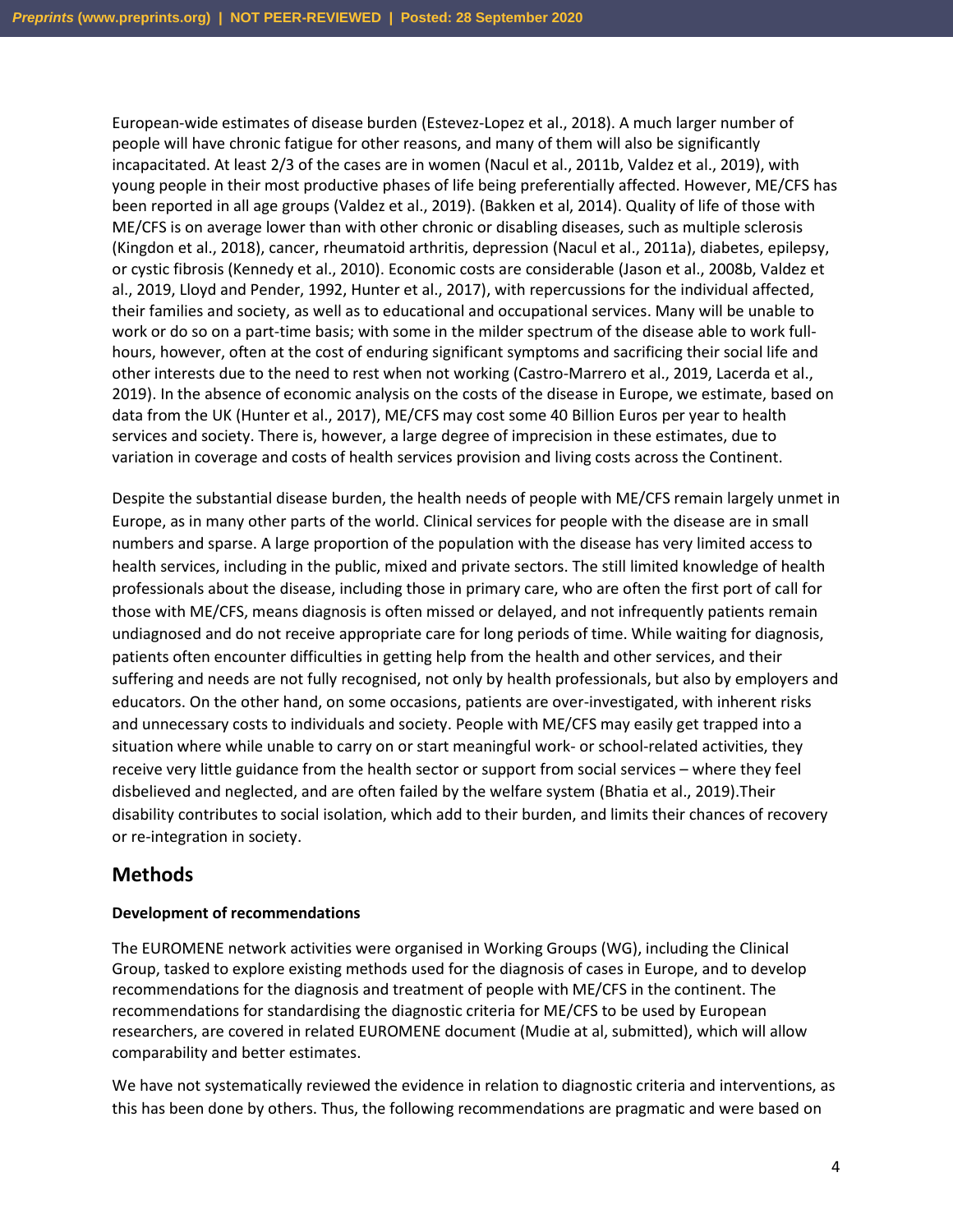European-wide estimates of disease burden (Estevez-Lopez et al., 2018). A much larger number of people will have chronic fatigue for other reasons, and many of them will also be significantly incapacitated. At least 2/3 of the cases are in women (Nacul et al., 2011b, Valdez et al., 2019), with young people in their most productive phases of life being preferentially affected. However, ME/CFS has been reported in all age groups (Valdez et al., 2019). (Bakken et al, 2014). Quality of life of those with ME/CFS is on average lower than with other chronic or disabling diseases, such as multiple sclerosis (Kingdon et al., 2018), cancer, rheumatoid arthritis, depression (Nacul et al., 2011a), diabetes, epilepsy, or cystic fibrosis (Kennedy et al., 2010). Economic costs are considerable (Jason et al., 2008b, Valdez et al., 2019, Lloyd and Pender, 1992, Hunter et al., 2017), with repercussions for the individual affected, their families and society, as well as to educational and occupational services. Many will be unable to work or do so on a part-time basis; with some in the milder spectrum of the disease able to work fullhours, however, often at the cost of enduring significant symptoms and sacrificing their social life and other interests due to the need to rest when not working (Castro-Marrero et al., 2019, Lacerda et al., 2019). In the absence of economic analysis on the costs of the disease in Europe, we estimate, based on data from the UK (Hunter et al., 2017), ME/CFS may cost some 40 Billion Euros per year to health services and society. There is, however, a large degree of imprecision in these estimates, due to variation in coverage and costs of health services provision and living costs across the Continent.

Despite the substantial disease burden, the health needs of people with ME/CFS remain largely unmet in Europe, as in many other parts of the world. Clinical services for people with the disease are in small numbers and sparse. A large proportion of the population with the disease has very limited access to health services, including in the public, mixed and private sectors. The still limited knowledge of health professionals about the disease, including those in primary care, who are often the first port of call for those with ME/CFS, means diagnosis is often missed or delayed, and not infrequently patients remain undiagnosed and do not receive appropriate care for long periods of time. While waiting for diagnosis, patients often encounter difficulties in getting help from the health and other services, and their suffering and needs are not fully recognised, not only by health professionals, but also by employers and educators. On the other hand, on some occasions, patients are over-investigated, with inherent risks and unnecessary costs to individuals and society. People with ME/CFS may easily get trapped into a situation where while unable to carry on or start meaningful work- or school-related activities, they receive very little guidance from the health sector or support from social services – where they feel disbelieved and neglected, and are often failed by the welfare system (Bhatia et al., 2019).Their disability contributes to social isolation, which add to their burden, and limits their chances of recovery or re-integration in society.

### **Methods**

#### **Development of recommendations**

The EUROMENE network activities were organised in Working Groups (WG), including the Clinical Group, tasked to explore existing methods used for the diagnosis of cases in Europe, and to develop recommendations for the diagnosis and treatment of people with ME/CFS in the continent. The recommendations for standardising the diagnostic criteria for ME/CFS to be used by European researchers, are covered in related EUROMENE document (Mudie at al, submitted), which will allow comparability and better estimates.

We have not systematically reviewed the evidence in relation to diagnostic criteria and interventions, as this has been done by others. Thus, the following recommendations are pragmatic and were based on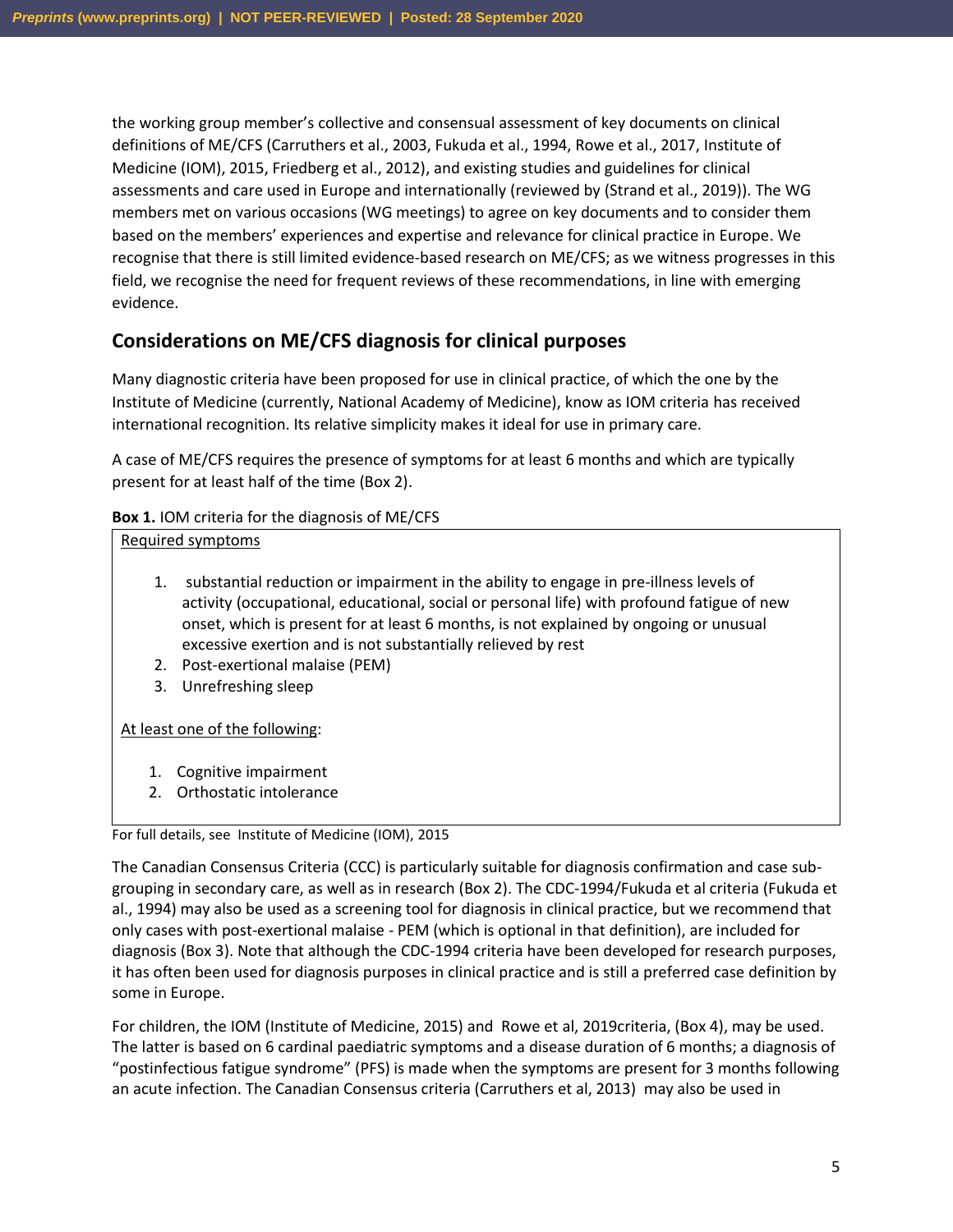the working group member's collective and consensual assessment of key documents on clinical definitions of ME/CFS (Carruthers et al., 2003, Fukuda et al., 1994, Rowe et al., 2017, Institute of Medicine (IOM), 2015, Friedberg et al., 2012), and existing studies and guidelines for clinical assessments and care used in Europe and internationally (reviewed by (Strand et al., 2019)). The WG members met on various occasions (WG meetings) to agree on key documents and to consider them based on the members' experiences and expertise and relevance for clinical practice in Europe. We recognise that there is still limited evidence-based research on ME/CFS; as we witness progresses in this field, we recognise the need for frequent reviews of these recommendations, in line with emerging evidence.

### **Considerations on ME/CFS diagnosis for clinical purposes**

Many diagnostic criteria have been proposed for use in clinical practice, of which the one by the Institute of Medicine (currently, National Academy of Medicine), know as IOM criteria has received international recognition. Its relative simplicity makes it ideal for use in primary care.

A case of ME/CFS requires the presence of symptoms for at least 6 months and which are typically present for at least half of the time (Box 2).

#### **Box 1.** IOM criteria for the diagnosis of ME/CFS

#### Required symptoms

- 1. substantial reduction or impairment in the ability to engage in pre-illness levels of activity (occupational, educational, social or personal life) with profound fatigue of new onset, which is present for at least 6 months, is not explained by ongoing or unusual excessive exertion and is not substantially relieved by rest
- 2. Post-exertional malaise (PEM)
- 3. Unrefreshing sleep

At least one of the following:

- 1. Cognitive impairment
- 2. Orthostatic intolerance

#### For full details, see Institute of Medicine (IOM), 2015

The Canadian Consensus Criteria (CCC) is particularly suitable for diagnosis confirmation and case subgrouping in secondary care, as well as in research (Box 2). The CDC-1994/Fukuda et al criteria (Fukuda et al., 1994) may also be used as a screening tool for diagnosis in clinical practice, but we recommend that only cases with post-exertional malaise - PEM (which is optional in that definition), are included for diagnosis (Box 3). Note that although the CDC-1994 criteria have been developed for research purposes, it has often been used for diagnosis purposes in clinical practice and is still a preferred case definition by some in Europe.

For children, the IOM (Institute of Medicine, 2015) and Rowe et al, 2019criteria, (Box 4), may be used. The latter is based on 6 cardinal paediatric symptoms and a disease duration of 6 months; a diagnosis of "postinfectious fatigue syndrome" (PFS) is made when the symptoms are present for 3 months following an acute infection. The Canadian Consensus criteria (Carruthers et al, 2013) may also be used in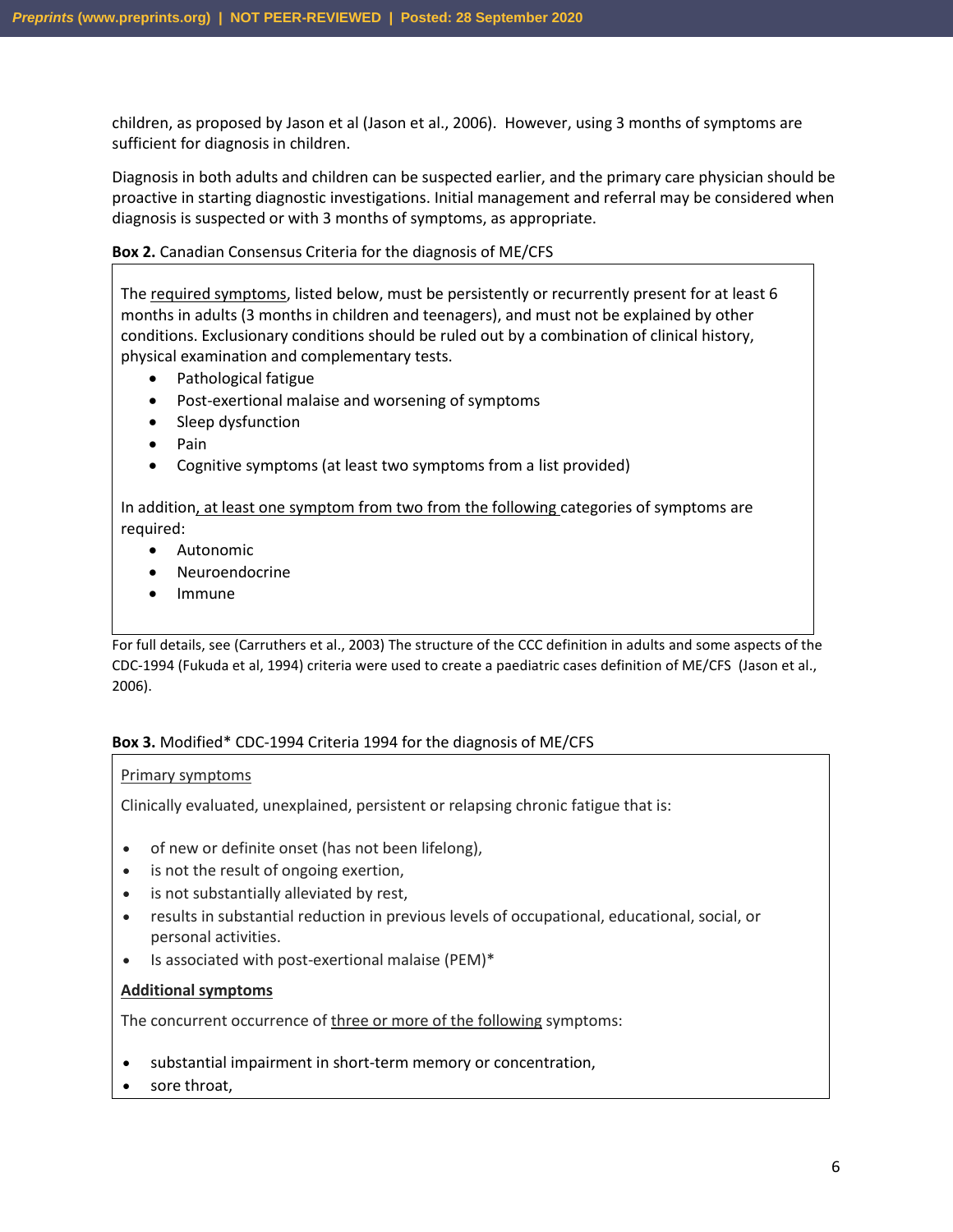children, as proposed by Jason et al (Jason et al., 2006). However, using 3 months of symptoms are sufficient for diagnosis in children.

Diagnosis in both adults and children can be suspected earlier, and the primary care physician should be proactive in starting diagnostic investigations. Initial management and referral may be considered when diagnosis is suspected or with 3 months of symptoms, as appropriate.

#### **Box 2.** Canadian Consensus Criteria for the diagnosis of ME/CFS

The required symptoms, listed below, must be persistently or recurrently present for at least 6 months in adults (3 months in children and teenagers), and must not be explained by other conditions. Exclusionary conditions should be ruled out by a combination of clinical history, physical examination and complementary tests.

- Pathological fatigue
- Post-exertional malaise and worsening of symptoms
- Sleep dysfunction
- Pain
- Cognitive symptoms (at least two symptoms from a list provided)

In addition, at least one symptom from two from the following categories of symptoms are required:

- Autonomic
- Neuroendocrine
- Immune

For full details, see (Carruthers et al., 2003) The structure of the CCC definition in adults and some aspects of the CDC-1994 (Fukuda et al, 1994) criteria were used to create a paediatric cases definition of ME/CFS (Jason et al., 2006).

#### **Box 3.** Modified\* CDC-1994 Criteria 1994 for the diagnosis of ME/CFS

#### Primary symptoms

Clinically evaluated, unexplained, persistent or relapsing chronic fatigue that is:

- of new or definite onset (has not been lifelong),
- is not the result of ongoing exertion,
- is not substantially alleviated by rest,
- results in substantial reduction in previous levels of occupational, educational, social, or personal activities.
- Is associated with post-exertional malaise (PEM)\*

#### **Additional symptoms**

The concurrent occurrence of three or more of the following symptoms:

- substantial impairment in short-term memory or concentration,
- sore throat,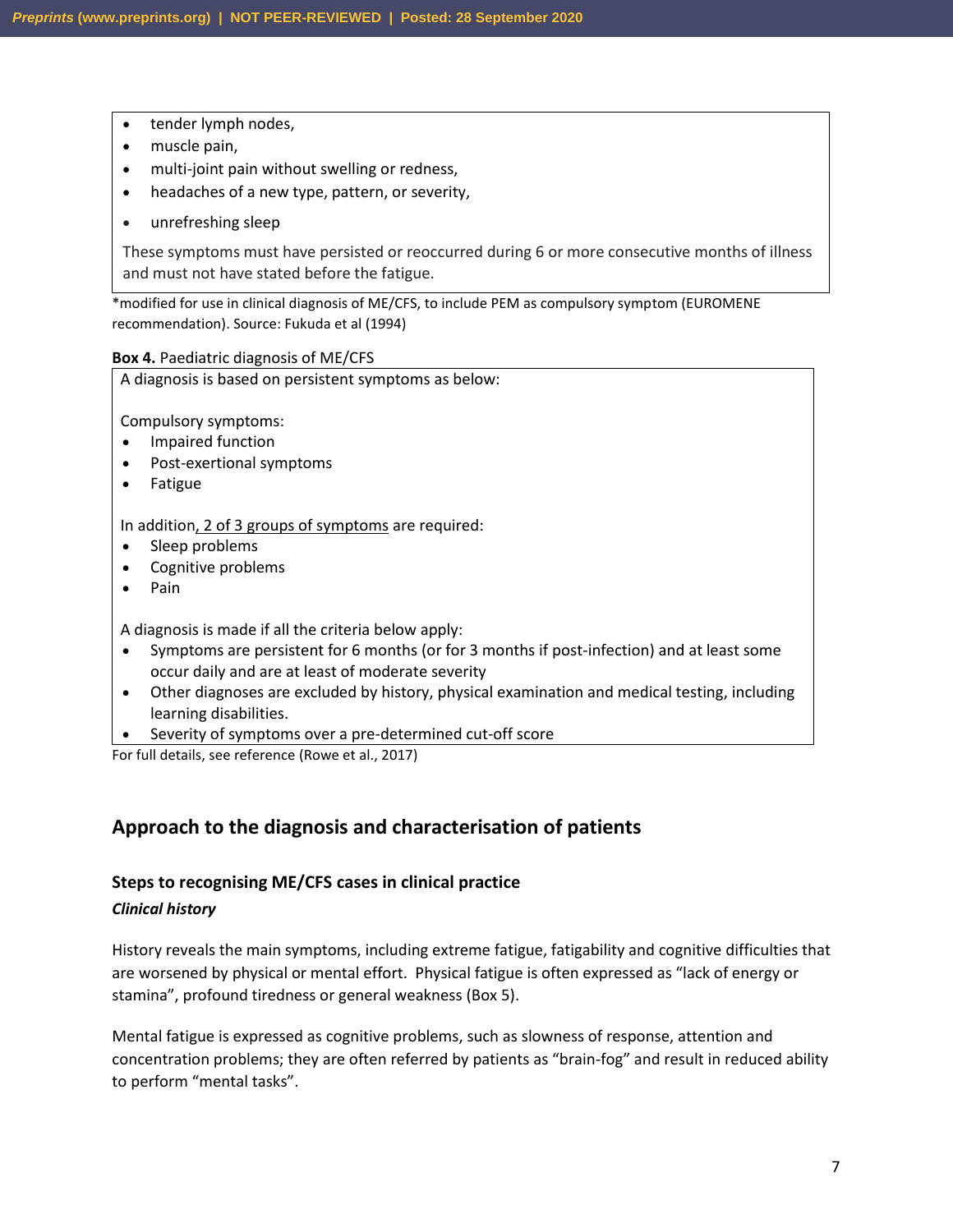- tender lymph nodes,
- muscle pain,
- multi-joint pain without swelling or redness,
- headaches of a new type, pattern, or severity,
- unrefreshing sleep

These symptoms must have persisted or reoccurred during 6 or more consecutive months of illness and must not have stated before the fatigue.

\*modified for use in clinical diagnosis of ME/CFS, to include PEM as compulsory symptom (EUROMENE recommendation). Source: Fukuda et al (1994)

#### **Box 4.** Paediatric diagnosis of ME/CFS

A diagnosis is based on persistent symptoms as below: Compulsory symptoms: • Impaired function • Post-exertional symptoms • Fatigue In addition, 2 of 3 groups of symptoms are required: Sleep problems • Cognitive problems • Pain A diagnosis is made if all the criteria below apply:

- Symptoms are persistent for 6 months (or for 3 months if post-infection) and at least some occur daily and are at least of moderate severity
- Other diagnoses are excluded by history, physical examination and medical testing, including learning disabilities.
- Severity of symptoms over a pre-determined cut-off score

For full details, see reference (Rowe et al., 2017)

### **Approach to the diagnosis and characterisation of patients**

#### **Steps to recognising ME/CFS cases in clinical practice**

#### *Clinical history*

History reveals the main symptoms, including extreme fatigue, fatigability and cognitive difficulties that are worsened by physical or mental effort. Physical fatigue is often expressed as "lack of energy or stamina", profound tiredness or general weakness (Box 5).

Mental fatigue is expressed as cognitive problems, such as slowness of response, attention and concentration problems; they are often referred by patients as "brain-fog" and result in reduced ability to perform "mental tasks".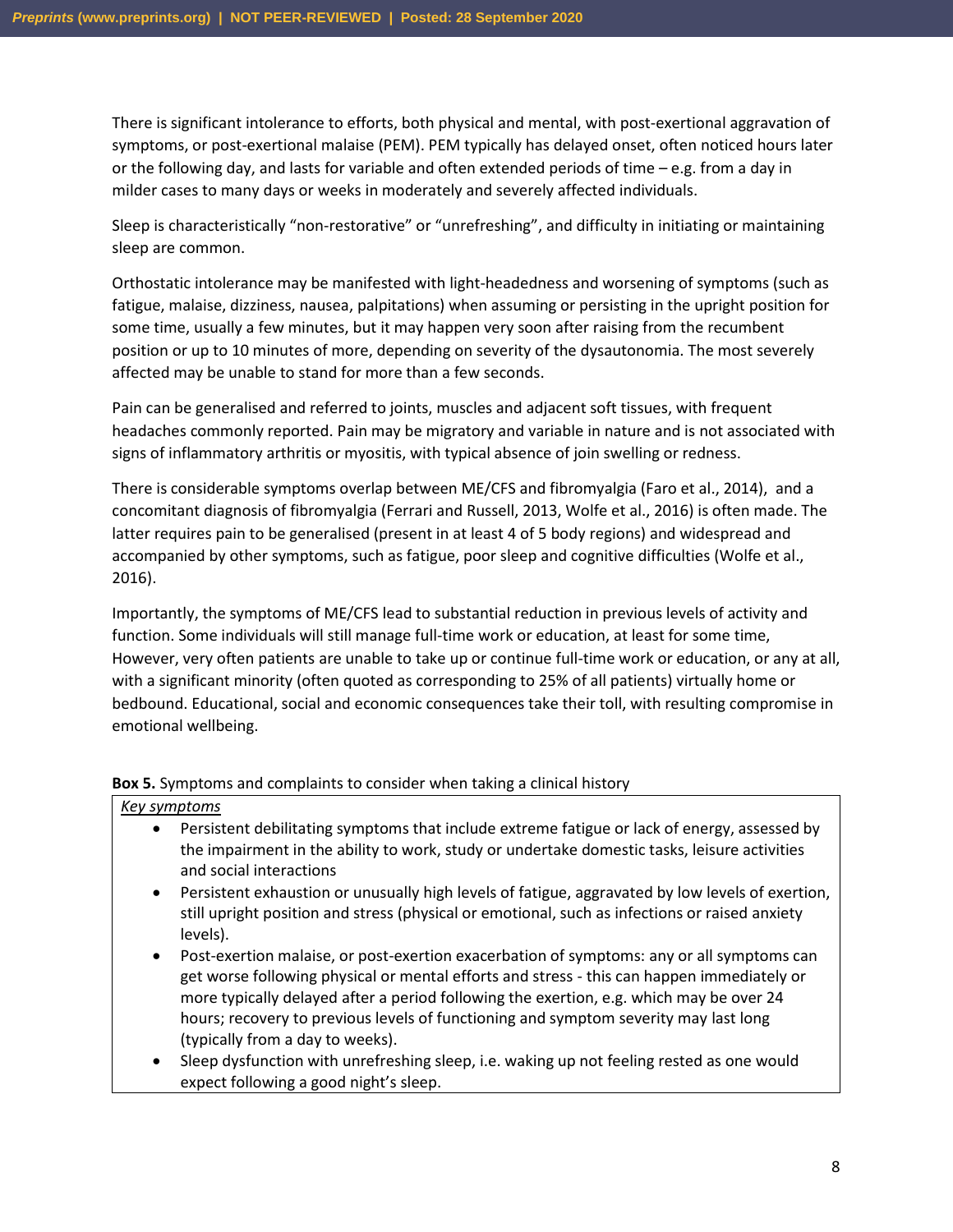There is significant intolerance to efforts, both physical and mental, with post-exertional aggravation of symptoms, or post-exertional malaise (PEM). PEM typically has delayed onset, often noticed hours later or the following day, and lasts for variable and often extended periods of time – e.g. from a day in milder cases to many days or weeks in moderately and severely affected individuals.

Sleep is characteristically "non-restorative" or "unrefreshing", and difficulty in initiating or maintaining sleep are common.

Orthostatic intolerance may be manifested with light-headedness and worsening of symptoms (such as fatigue, malaise, dizziness, nausea, palpitations) when assuming or persisting in the upright position for some time, usually a few minutes, but it may happen very soon after raising from the recumbent position or up to 10 minutes of more, depending on severity of the dysautonomia. The most severely affected may be unable to stand for more than a few seconds.

Pain can be generalised and referred to joints, muscles and adjacent soft tissues, with frequent headaches commonly reported. Pain may be migratory and variable in nature and is not associated with signs of inflammatory arthritis or myositis, with typical absence of join swelling or redness.

There is considerable symptoms overlap between ME/CFS and fibromyalgia (Faro et al., 2014), and a concomitant diagnosis of fibromyalgia (Ferrari and Russell, 2013, Wolfe et al., 2016) is often made. The latter requires pain to be generalised (present in at least 4 of 5 body regions) and widespread and accompanied by other symptoms, such as fatigue, poor sleep and cognitive difficulties (Wolfe et al., 2016).

Importantly, the symptoms of ME/CFS lead to substantial reduction in previous levels of activity and function. Some individuals will still manage full-time work or education, at least for some time, However, very often patients are unable to take up or continue full-time work or education, or any at all, with a significant minority (often quoted as corresponding to 25% of all patients) virtually home or bedbound. Educational, social and economic consequences take their toll, with resulting compromise in emotional wellbeing.

#### **Box 5.** Symptoms and complaints to consider when taking a clinical history

#### *Key symptoms*

- Persistent debilitating symptoms that include extreme fatigue or lack of energy, assessed by the impairment in the ability to work, study or undertake domestic tasks, leisure activities and social interactions
- Persistent exhaustion or unusually high levels of fatigue, aggravated by low levels of exertion, still upright position and stress (physical or emotional, such as infections or raised anxiety levels).
- Post-exertion malaise, or post-exertion exacerbation of symptoms: any or all symptoms can get worse following physical or mental efforts and stress - this can happen immediately or more typically delayed after a period following the exertion, e.g. which may be over 24 hours; recovery to previous levels of functioning and symptom severity may last long (typically from a day to weeks).
- Sleep dysfunction with unrefreshing sleep, i.e. waking up not feeling rested as one would expect following a good night's sleep.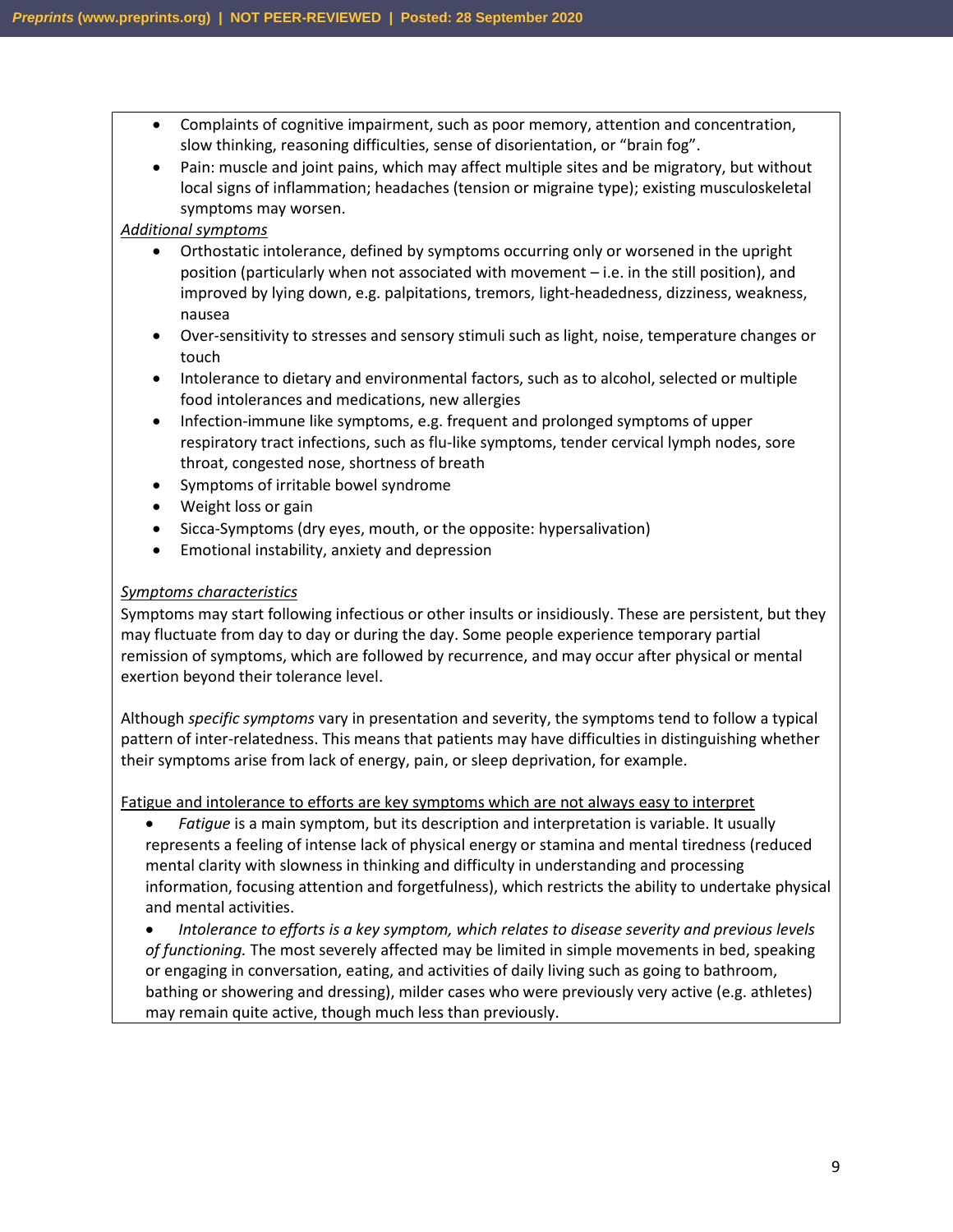- Complaints of cognitive impairment, such as poor memory, attention and concentration, slow thinking, reasoning difficulties, sense of disorientation, or "brain fog".
- Pain: muscle and joint pains, which may affect multiple sites and be migratory, but without local signs of inflammation; headaches (tension or migraine type); existing musculoskeletal symptoms may worsen.

#### *Additional symptoms*

- Orthostatic intolerance, defined by symptoms occurring only or worsened in the upright position (particularly when not associated with movement – i.e. in the still position), and improved by lying down, e.g. palpitations, tremors, light-headedness, dizziness, weakness, nausea
- Over-sensitivity to stresses and sensory stimuli such as light, noise, temperature changes or touch
- Intolerance to dietary and environmental factors, such as to alcohol, selected or multiple food intolerances and medications, new allergies
- Infection-immune like symptoms, e.g. frequent and prolonged symptoms of upper respiratory tract infections, such as flu-like symptoms, tender cervical lymph nodes, sore throat, congested nose, shortness of breath
- Symptoms of irritable bowel syndrome
- Weight loss or gain
- Sicca-Symptoms (dry eyes, mouth, or the opposite: hypersalivation)
- Emotional instability, anxiety and depression

#### *Symptoms characteristics*

• Symptoms may start following infectious or other insults or insidiously. These are persistent, but they may fluctuate from day to day or during the day. Some people experience temporary partial remission of symptoms, which are followed by recurrence, and may occur after physical or mental exertion beyond their tolerance level.

Although *specific symptoms* vary in presentation and severity, the symptoms tend to follow a typical pattern of inter-relatedness. This means that patients may have difficulties in distinguishing whether their symptoms arise from lack of energy, pain, or sleep deprivation, for example.

Fatigue and intolerance to efforts are key symptoms which are not always easy to interpret

• *Fatigue* is a main symptom, but its description and interpretation is variable. It usually represents a feeling of intense lack of physical energy or stamina and mental tiredness (reduced mental clarity with slowness in thinking and difficulty in understanding and processing information, focusing attention and forgetfulness), which restricts the ability to undertake physical and mental activities.

• *Intolerance to efforts is a key symptom, which relates to disease severity and previous levels of functioning.* The most severely affected may be limited in simple movements in bed, speaking or engaging in conversation, eating, and activities of daily living such as going to bathroom, bathing or showering and dressing), milder cases who were previously very active (e.g. athletes) may remain quite active, though much less than previously.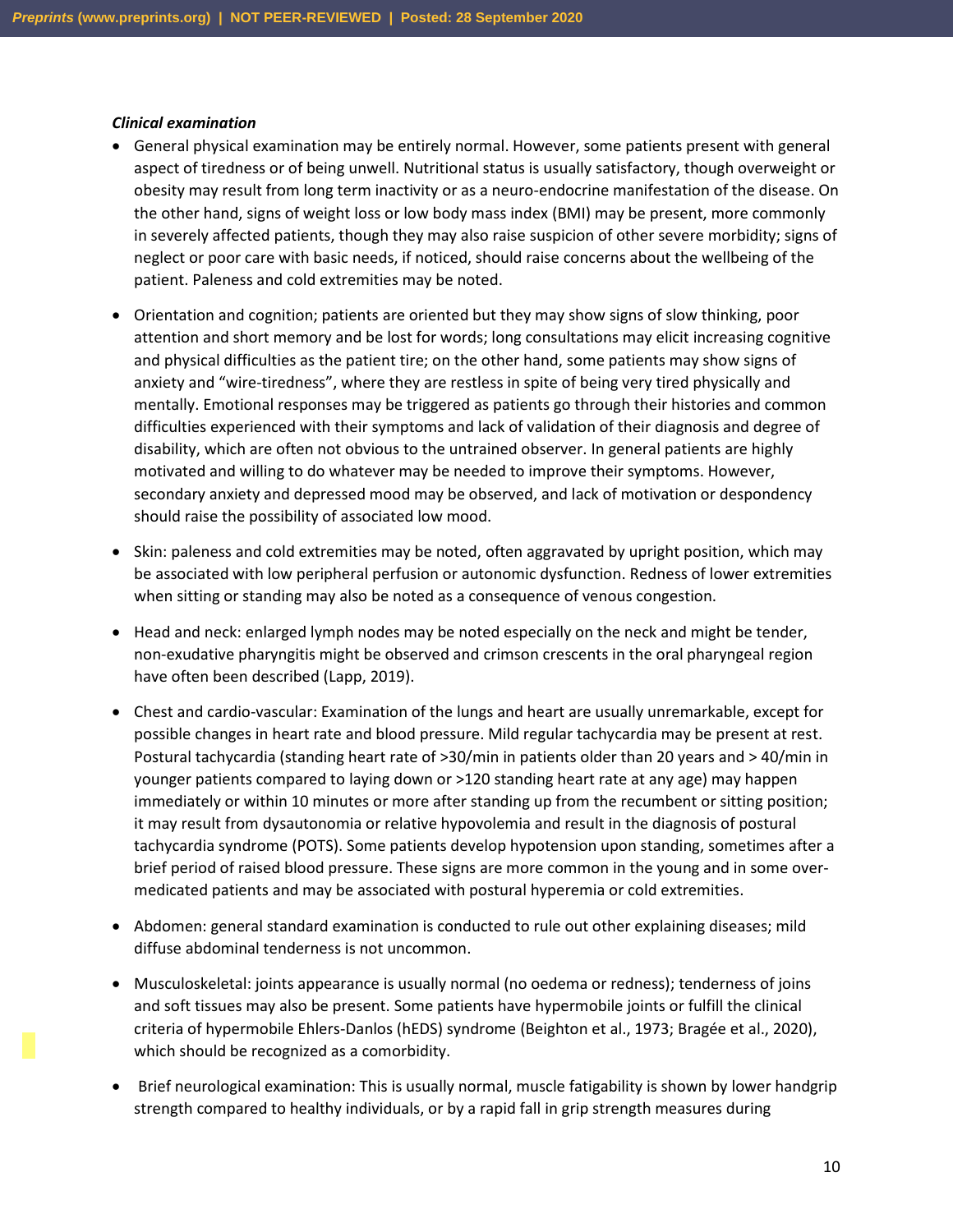#### *Clinical examination*

- General physical examination may be entirely normal. However, some patients present with general aspect of tiredness or of being unwell. Nutritional status is usually satisfactory, though overweight or obesity may result from long term inactivity or as a neuro-endocrine manifestation of the disease. On the other hand, signs of weight loss or low body mass index (BMI) may be present, more commonly in severely affected patients, though they may also raise suspicion of other severe morbidity; signs of neglect or poor care with basic needs, if noticed, should raise concerns about the wellbeing of the patient. Paleness and cold extremities may be noted.
- Orientation and cognition; patients are oriented but they may show signs of slow thinking, poor attention and short memory and be lost for words; long consultations may elicit increasing cognitive and physical difficulties as the patient tire; on the other hand, some patients may show signs of anxiety and "wire-tiredness", where they are restless in spite of being very tired physically and mentally. Emotional responses may be triggered as patients go through their histories and common difficulties experienced with their symptoms and lack of validation of their diagnosis and degree of disability, which are often not obvious to the untrained observer. In general patients are highly motivated and willing to do whatever may be needed to improve their symptoms. However, secondary anxiety and depressed mood may be observed, and lack of motivation or despondency should raise the possibility of associated low mood.
- Skin: paleness and cold extremities may be noted, often aggravated by upright position, which may be associated with low peripheral perfusion or autonomic dysfunction. Redness of lower extremities when sitting or standing may also be noted as a consequence of venous congestion.
- Head and neck: enlarged lymph nodes may be noted especially on the neck and might be tender, non-exudative pharyngitis might be observed and crimson crescents in the oral pharyngeal region have often been described (Lapp, 2019).
- Chest and cardio-vascular: Examination of the lungs and heart are usually unremarkable, except for possible changes in heart rate and blood pressure. Mild regular tachycardia may be present at rest. Postural tachycardia (standing heart rate of >30/min in patients older than 20 years and > 40/min in younger patients compared to laying down or >120 standing heart rate at any age) may happen immediately or within 10 minutes or more after standing up from the recumbent or sitting position; it may result from dysautonomia or relative hypovolemia and result in the diagnosis of postural tachycardia syndrome (POTS). Some patients develop hypotension upon standing, sometimes after a brief period of raised blood pressure. These signs are more common in the young and in some overmedicated patients and may be associated with postural hyperemia or cold extremities.
- Abdomen: general standard examination is conducted to rule out other explaining diseases; mild diffuse abdominal tenderness is not uncommon.
- Musculoskeletal: joints appearance is usually normal (no oedema or redness); tenderness of joins and soft tissues may also be present. Some patients have hypermobile joints or fulfill the clinical criteria of hypermobile Ehlers-Danlos (hEDS) syndrome (Beighton et al., 1973; Bragée et al., 2020), which should be recognized as a comorbidity.
- Brief neurological examination: This is usually normal, muscle fatigability is shown by lower handgrip strength compared to healthy individuals, or by a rapid fall in grip strength measures during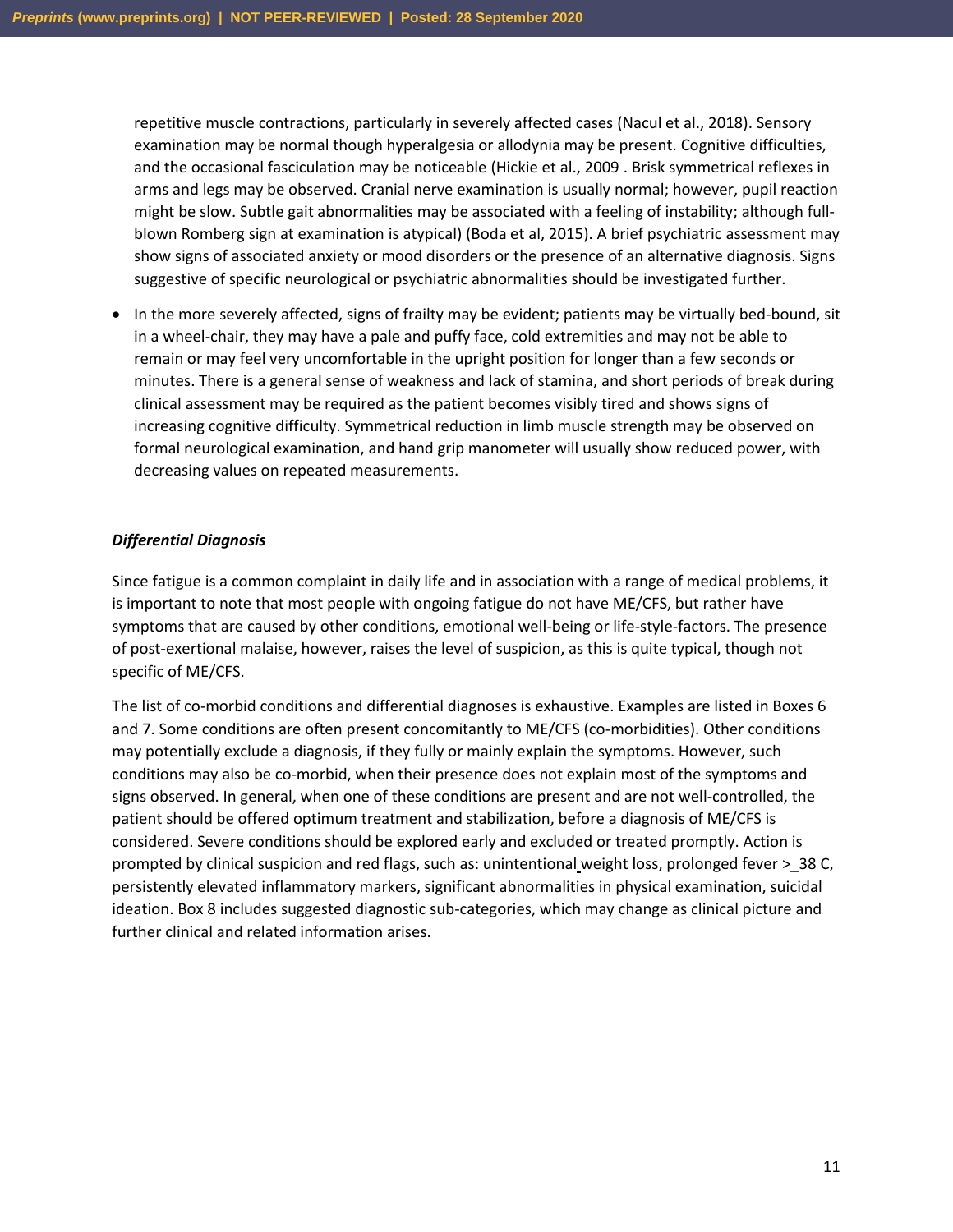repetitive muscle contractions, particularly in severely affected cases (Nacul et al., 2018). Sensory examination may be normal though hyperalgesia or allodynia may be present. Cognitive difficulties, and the occasional fasciculation may be noticeable (Hickie et al., 2009 . Brisk symmetrical reflexes in arms and legs may be observed. Cranial nerve examination is usually normal; however, pupil reaction might be slow. Subtle gait abnormalities may be associated with a feeling of instability; although fullblown Romberg sign at examination is atypical) (Boda et al, 2015). A brief psychiatric assessment may show signs of associated anxiety or mood disorders or the presence of an alternative diagnosis. Signs suggestive of specific neurological or psychiatric abnormalities should be investigated further.

• In the more severely affected, signs of frailty may be evident; patients may be virtually bed-bound, sit in a wheel-chair, they may have a pale and puffy face, cold extremities and may not be able to remain or may feel very uncomfortable in the upright position for longer than a few seconds or minutes. There is a general sense of weakness and lack of stamina, and short periods of break during clinical assessment may be required as the patient becomes visibly tired and shows signs of increasing cognitive difficulty. Symmetrical reduction in limb muscle strength may be observed on formal neurological examination, and hand grip manometer will usually show reduced power, with decreasing values on repeated measurements.

#### *Differential Diagnosis*

Since fatigue is a common complaint in daily life and in association with a range of medical problems, it is important to note that most people with ongoing fatigue do not have ME/CFS, but rather have symptoms that are caused by other conditions, emotional well-being or life-style-factors. The presence of post-exertional malaise, however, raises the level of suspicion, as this is quite typical, though not specific of ME/CFS.

The list of co-morbid conditions and differential diagnoses is exhaustive. Examples are listed in Boxes 6 and 7. Some conditions are often present concomitantly to ME/CFS (co-morbidities). Other conditions may potentially exclude a diagnosis, if they fully or mainly explain the symptoms. However, such conditions may also be co-morbid, when their presence does not explain most of the symptoms and signs observed. In general, when one of these conditions are present and are not well-controlled, the patient should be offered optimum treatment and stabilization, before a diagnosis of ME/CFS is considered. Severe conditions should be explored early and excluded or treated promptly. Action is prompted by clinical suspicion and red flags, such as: unintentional weight loss, prolonged fever > \_38 C, persistently elevated inflammatory markers, significant abnormalities in physical examination, suicidal ideation. Box 8 includes suggested diagnostic sub-categories, which may change as clinical picture and further clinical and related information arises.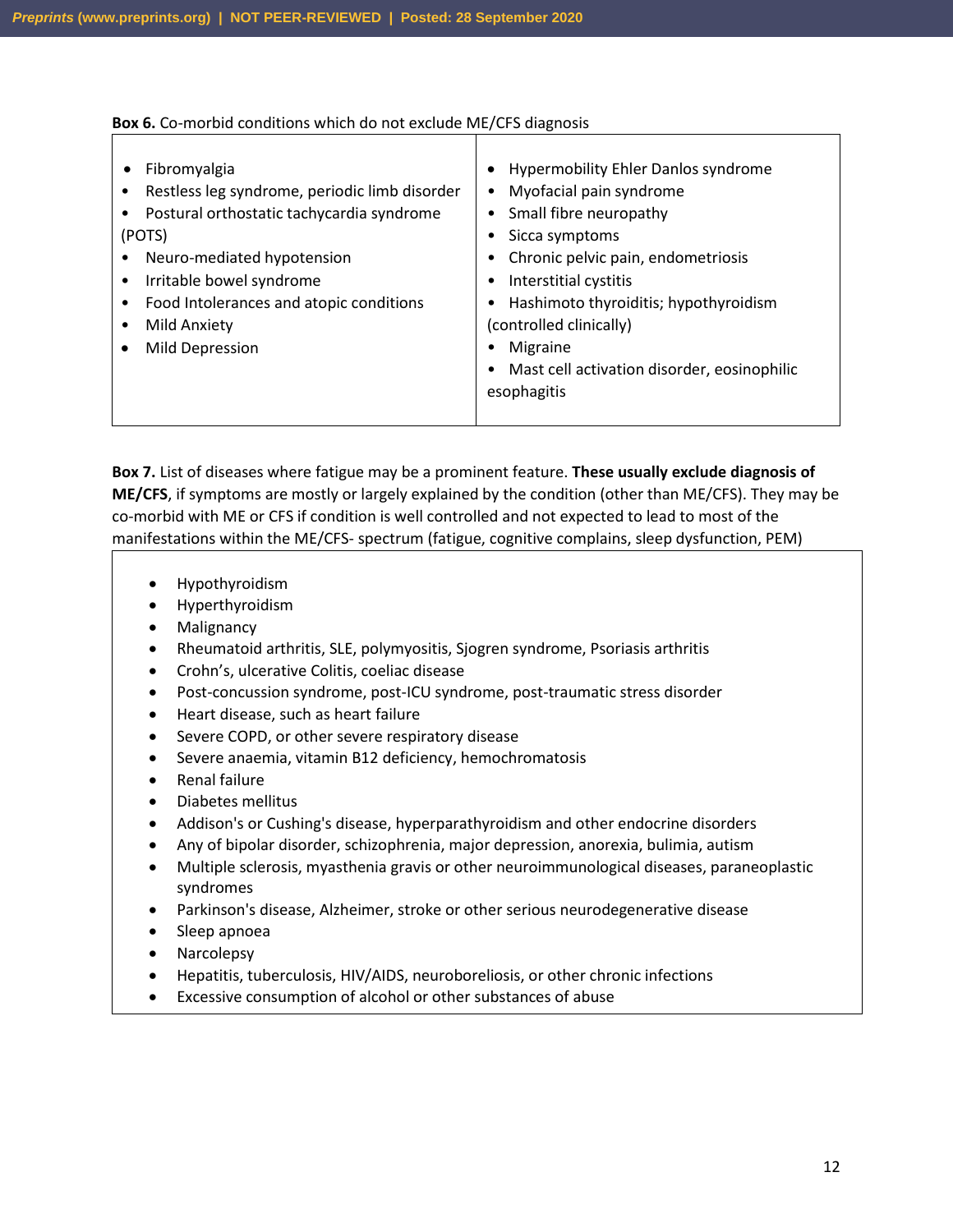#### **Box 6.** Co-morbid conditions which do not exclude ME/CFS diagnosis

**Box 7.** List of diseases where fatigue may be a prominent feature. **These usually exclude diagnosis of ME/CFS**, if symptoms are mostly or largely explained by the condition (other than ME/CFS). They may be co-morbid with ME or CFS if condition is well controlled and not expected to lead to most of the manifestations within the ME/CFS- spectrum (fatigue, cognitive complains, sleep dysfunction, PEM)

- Hypothyroidism
- Hyperthyroidism
- Malignancy
- Rheumatoid arthritis, SLE, polymyositis, Sjogren syndrome, Psoriasis arthritis
- Crohn's, ulcerative Colitis, coeliac disease
- Post-concussion syndrome, post-ICU syndrome, post-traumatic stress disorder
- Heart disease, such as heart failure
- Severe COPD, or other severe respiratory disease
- Severe anaemia, vitamin B12 deficiency, hemochromatosis
- Renal failure
- Diabetes mellitus
- Addison's or Cushing's disease, hyperparathyroidism and other endocrine disorders
- Any of bipolar disorder, schizophrenia, major depression, anorexia, bulimia, autism
- Multiple sclerosis, myasthenia gravis or other neuroimmunological diseases, paraneoplastic syndromes
- Parkinson's disease, Alzheimer, stroke or other serious neurodegenerative disease
- Sleep apnoea
- Narcolepsy
- Hepatitis, tuberculosis, HIV/AIDS, neuroboreliosis, or other chronic infections
- Excessive consumption of alcohol or other substances of abuse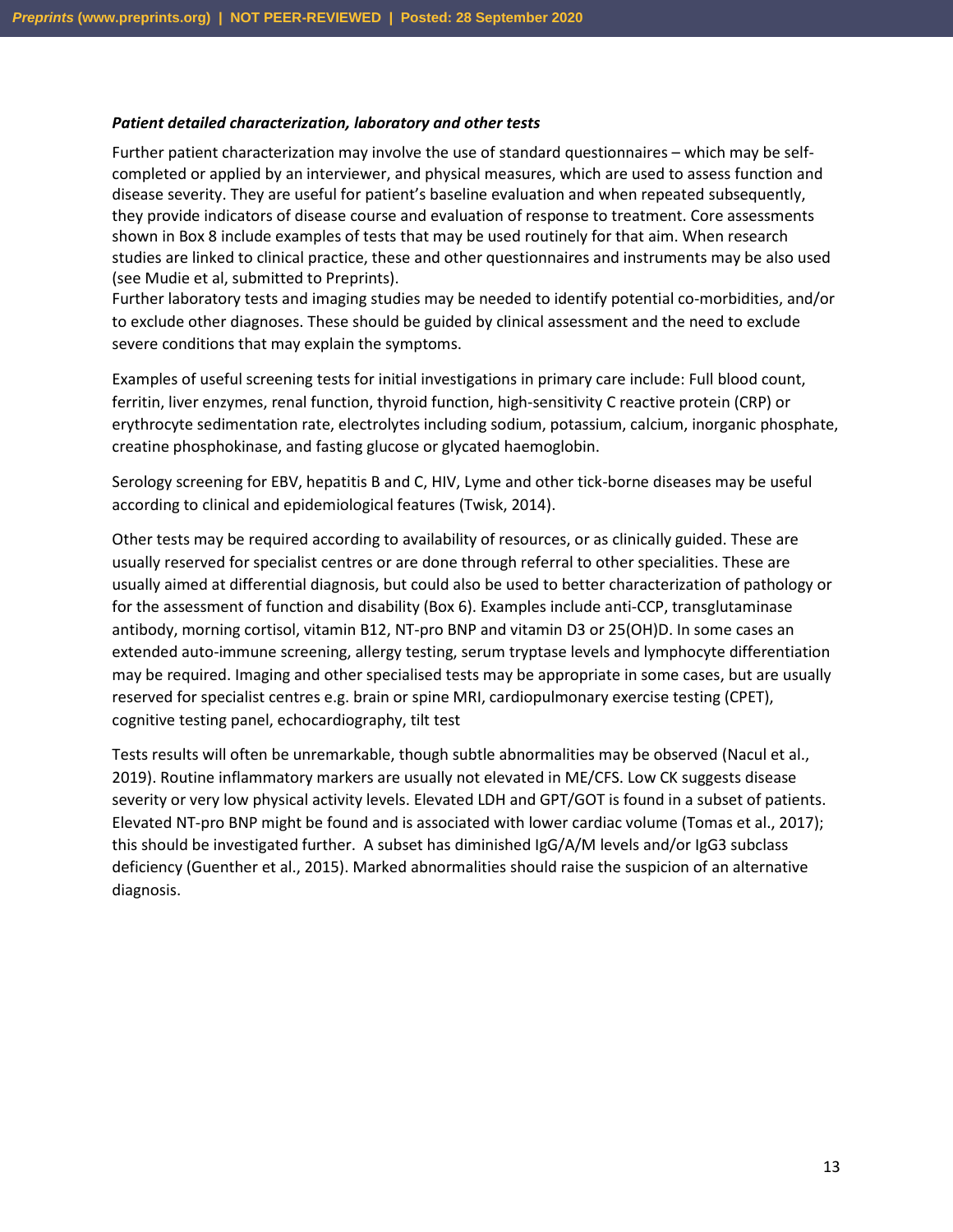#### *Patient detailed characterization, laboratory and other tests*

Further patient characterization may involve the use of standard questionnaires – which may be selfcompleted or applied by an interviewer, and physical measures, which are used to assess function and disease severity. They are useful for patient's baseline evaluation and when repeated subsequently, they provide indicators of disease course and evaluation of response to treatment. Core assessments shown in Box 8 include examples of tests that may be used routinely for that aim. When research studies are linked to clinical practice, these and other questionnaires and instruments may be also used (see Mudie et al, submitted to Preprints).

Further laboratory tests and imaging studies may be needed to identify potential co-morbidities, and/or to exclude other diagnoses. These should be guided by clinical assessment and the need to exclude severe conditions that may explain the symptoms.

Examples of useful screening tests for initial investigations in primary care include: Full blood count, ferritin, liver enzymes, renal function, thyroid function, high-sensitivity C reactive protein (CRP) or erythrocyte sedimentation rate, electrolytes including sodium, potassium, calcium, inorganic phosphate, creatine phosphokinase, and fasting glucose or glycated haemoglobin.

Serology screening for EBV, hepatitis B and C, HIV, Lyme and other tick-borne diseases may be useful according to clinical and epidemiological features (Twisk, 2014).

Other tests may be required according to availability of resources, or as clinically guided. These are usually reserved for specialist centres or are done through referral to other specialities. These are usually aimed at differential diagnosis, but could also be used to better characterization of pathology or for the assessment of function and disability (Box 6). Examples include anti-CCP, transglutaminase antibody, morning cortisol, vitamin B12, NT-pro BNP and vitamin D3 or 25(OH)D. In some cases an extended auto-immune screening, allergy testing, serum tryptase levels and lymphocyte differentiation may be required. Imaging and other specialised tests may be appropriate in some cases, but are usually reserved for specialist centres e.g. brain or spine MRI, cardiopulmonary exercise testing (CPET), cognitive testing panel, echocardiography, tilt test

Tests results will often be unremarkable, though subtle abnormalities may be observed (Nacul et al., 2019). Routine inflammatory markers are usually not elevated in ME/CFS. Low CK suggests disease severity or very low physical activity levels. Elevated LDH and GPT/GOT is found in a subset of patients. Elevated NT-pro BNP might be found and is associated with lower cardiac volume (Tomas et al., 2017); this should be investigated further. A subset has diminished IgG/A/M levels and/or IgG3 subclass deficiency (Guenther et al., 2015). Marked abnormalities should raise the suspicion of an alternative diagnosis.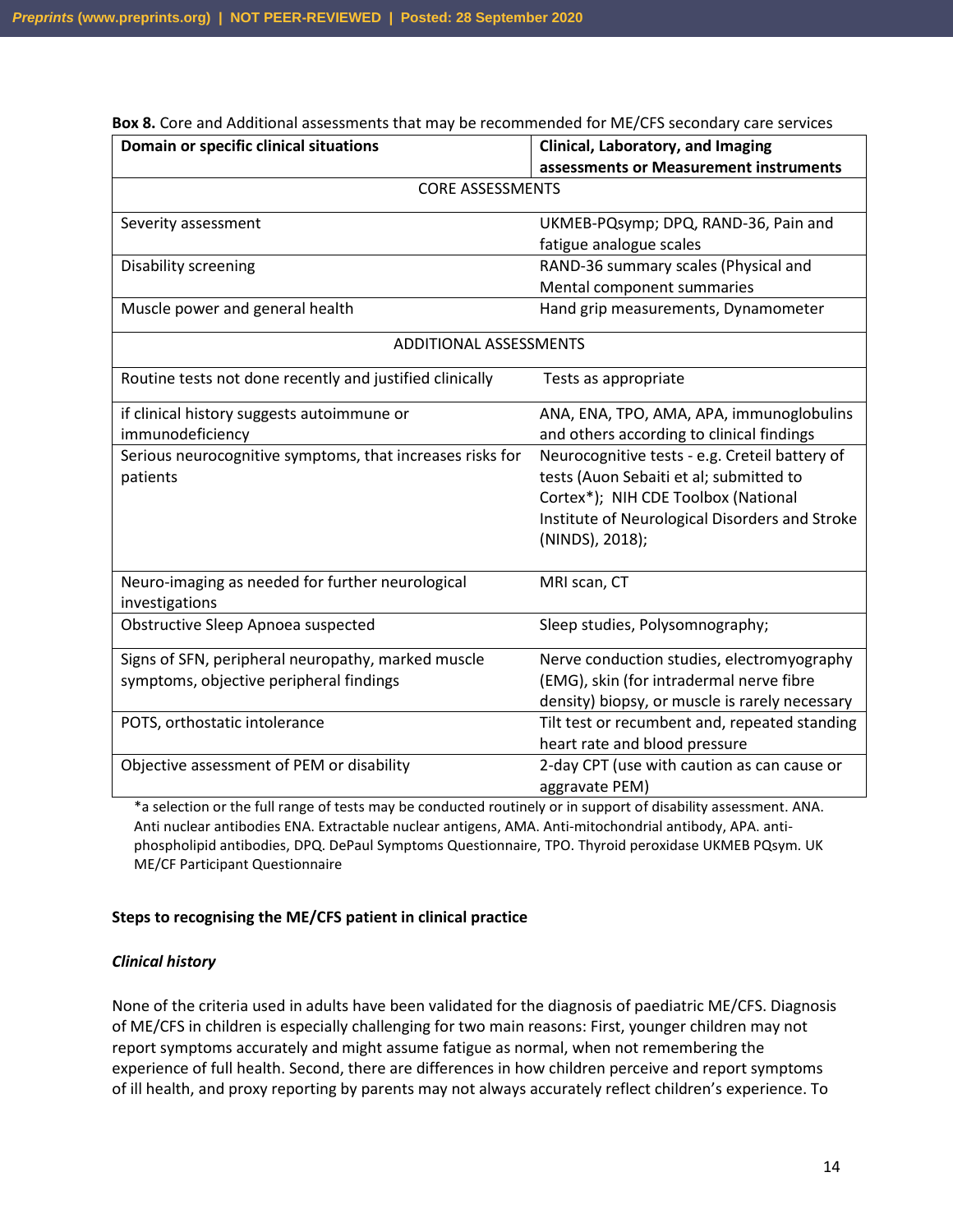| Domain or specific clinical situations                             | Clinical, Laboratory, and Imaging                             |  |  |
|--------------------------------------------------------------------|---------------------------------------------------------------|--|--|
|                                                                    | assessments or Measurement instruments                        |  |  |
| <b>CORE ASSESSMENTS</b>                                            |                                                               |  |  |
| Severity assessment                                                | UKMEB-PQsymp; DPQ, RAND-36, Pain and                          |  |  |
|                                                                    | fatigue analogue scales                                       |  |  |
| <b>Disability screening</b>                                        | RAND-36 summary scales (Physical and                          |  |  |
|                                                                    | Mental component summaries                                    |  |  |
| Muscle power and general health                                    | Hand grip measurements, Dynamometer                           |  |  |
| <b>ADDITIONAL ASSESSMENTS</b>                                      |                                                               |  |  |
| Routine tests not done recently and justified clinically           | Tests as appropriate                                          |  |  |
| if clinical history suggests autoimmune or                         | ANA, ENA, TPO, AMA, APA, immunoglobulins                      |  |  |
| immunodeficiency                                                   | and others according to clinical findings                     |  |  |
| Serious neurocognitive symptoms, that increases risks for          | Neurocognitive tests - e.g. Creteil battery of                |  |  |
| patients                                                           | tests (Auon Sebaiti et al; submitted to                       |  |  |
|                                                                    | Cortex*); NIH CDE Toolbox (National                           |  |  |
|                                                                    | Institute of Neurological Disorders and Stroke                |  |  |
|                                                                    | (NINDS), 2018);                                               |  |  |
| Neuro-imaging as needed for further neurological<br>investigations | MRI scan, CT                                                  |  |  |
| Obstructive Sleep Apnoea suspected                                 | Sleep studies, Polysomnography;                               |  |  |
| Signs of SFN, peripheral neuropathy, marked muscle                 | Nerve conduction studies, electromyography                    |  |  |
| symptoms, objective peripheral findings                            | (EMG), skin (for intradermal nerve fibre                      |  |  |
|                                                                    | density) biopsy, or muscle is rarely necessary                |  |  |
| POTS, orthostatic intolerance                                      | Tilt test or recumbent and, repeated standing                 |  |  |
|                                                                    | heart rate and blood pressure                                 |  |  |
| Objective assessment of PEM or disability                          | 2-day CPT (use with caution as can cause or<br>aggravate PEM) |  |  |

**Box 8.** Core and Additional assessments that may be recommended for ME/CFS secondary care services

\*a selection or the full range of tests may be conducted routinely or in support of disability assessment. ANA. Anti nuclear antibodies ENA. Extractable nuclear antigens, AMA. Anti-mitochondrial antibody, APA. antiphospholipid antibodies, DPQ. DePaul Symptoms Questionnaire, TPO. Thyroid peroxidase UKMEB PQsym. UK ME/CF Participant Questionnaire

#### **Steps to recognising the ME/CFS patient in clinical practice**

#### *Clinical history*

None of the criteria used in adults have been validated for the diagnosis of paediatric ME/CFS. Diagnosis of ME/CFS in children is especially challenging for two main reasons: First, younger children may not report symptoms accurately and might assume fatigue as normal, when not remembering the experience of full health. Second, there are differences in how children perceive and report symptoms of ill health, and proxy reporting by parents may not always accurately reflect children's experience. To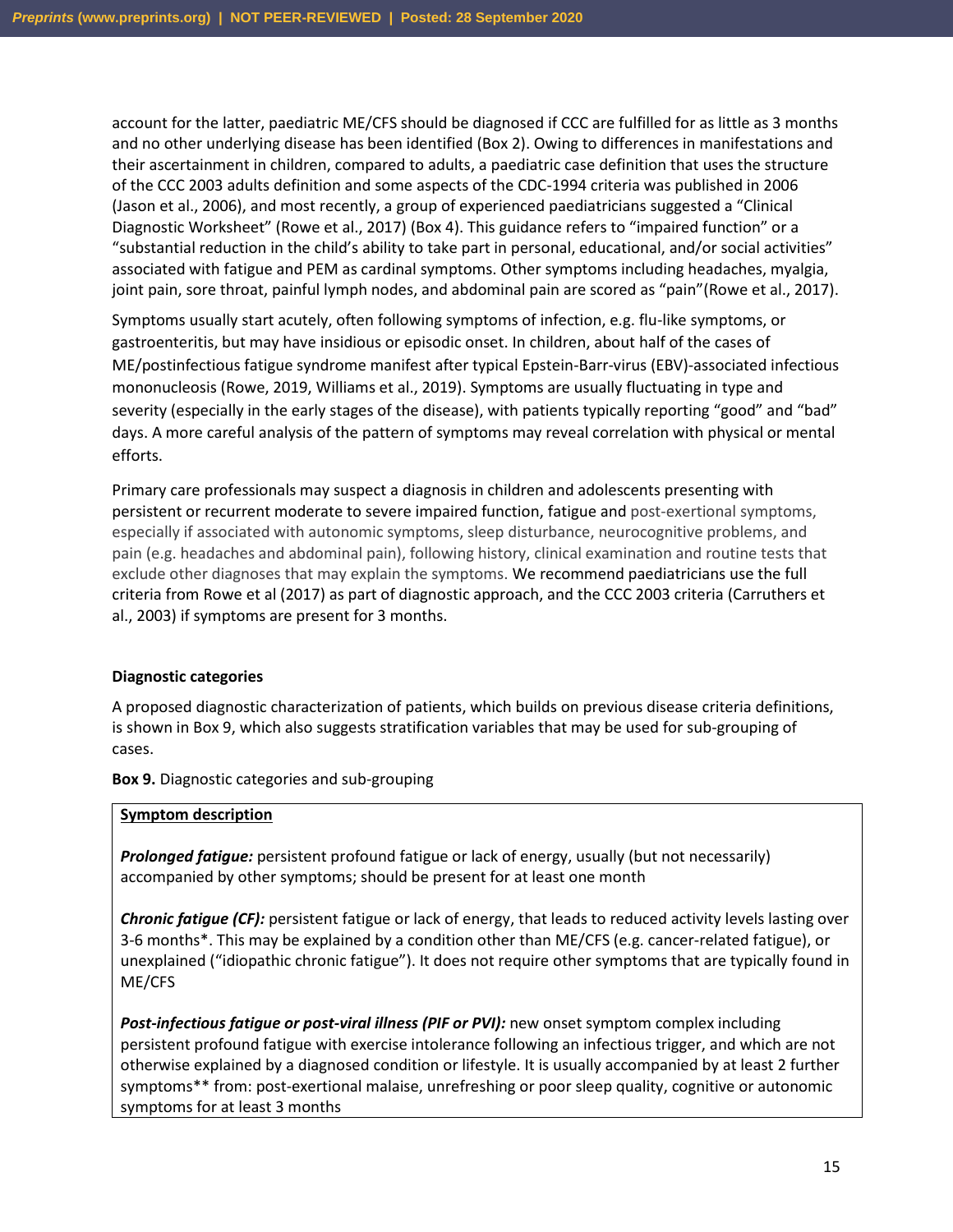account for the latter, paediatric ME/CFS should be diagnosed if CCC are fulfilled for as little as 3 months and no other underlying disease has been identified (Box 2). Owing to differences in manifestations and their ascertainment in children, compared to adults, a paediatric case definition that uses the structure of the CCC 2003 adults definition and some aspects of the CDC-1994 criteria was published in 2006 (Jason et al., 2006), and most recently, a group of experienced paediatricians suggested a "Clinical Diagnostic Worksheet" (Rowe et al., 2017) (Box 4). This guidance refers to "impaired function" or a "substantial reduction in the child's ability to take part in personal, educational, and/or social activities" associated with fatigue and PEM as cardinal symptoms. Other symptoms including headaches, myalgia, joint pain, sore throat, painful lymph nodes, and abdominal pain are scored as "pain"(Rowe et al., 2017).

Symptoms usually start acutely, often following symptoms of infection, e.g. flu-like symptoms, or gastroenteritis, but may have insidious or episodic onset. In children, about half of the cases of ME/postinfectious fatigue syndrome manifest after typical Epstein-Barr-virus (EBV)-associated infectious mononucleosis (Rowe, 2019, Williams et al., 2019). Symptoms are usually fluctuating in type and severity (especially in the early stages of the disease), with patients typically reporting "good" and "bad" days. A more careful analysis of the pattern of symptoms may reveal correlation with physical or mental efforts.

Primary care professionals may suspect a diagnosis in children and adolescents presenting with persistent or recurrent moderate to severe impaired function, fatigue and post-exertional symptoms, especially if associated with autonomic symptoms, sleep disturbance, neurocognitive problems, and pain (e.g. headaches and abdominal pain), following history, clinical examination and routine tests that exclude other diagnoses that may explain the symptoms. We recommend paediatricians use the full criteria from Rowe et al (2017) as part of diagnostic approach, and the CCC 2003 criteria (Carruthers et al., 2003) if symptoms are present for 3 months.

#### **Diagnostic categories**

A proposed diagnostic characterization of patients, which builds on previous disease criteria definitions, is shown in Box 9, which also suggests stratification variables that may be used for sub-grouping of cases.

**Box 9.** Diagnostic categories and sub-grouping

#### **Symptom description**

*Prolonged fatigue:* persistent profound fatigue or lack of energy, usually (but not necessarily) accompanied by other symptoms; should be present for at least one month

*Chronic fatigue (CF):* persistent fatigue or lack of energy, that leads to reduced activity levels lasting over 3-6 months\*. This may be explained by a condition other than ME/CFS (e.g. cancer-related fatigue), or unexplained ("idiopathic chronic fatigue"). It does not require other symptoms that are typically found in ME/CFS

*Post-infectious fatigue or post-viral illness (PIF or PVI):* new onset symptom complex including persistent profound fatigue with exercise intolerance following an infectious trigger, and which are not otherwise explained by a diagnosed condition or lifestyle. It is usually accompanied by at least 2 further symptoms\*\* from: post-exertional malaise, unrefreshing or poor sleep quality, cognitive or autonomic symptoms for at least 3 months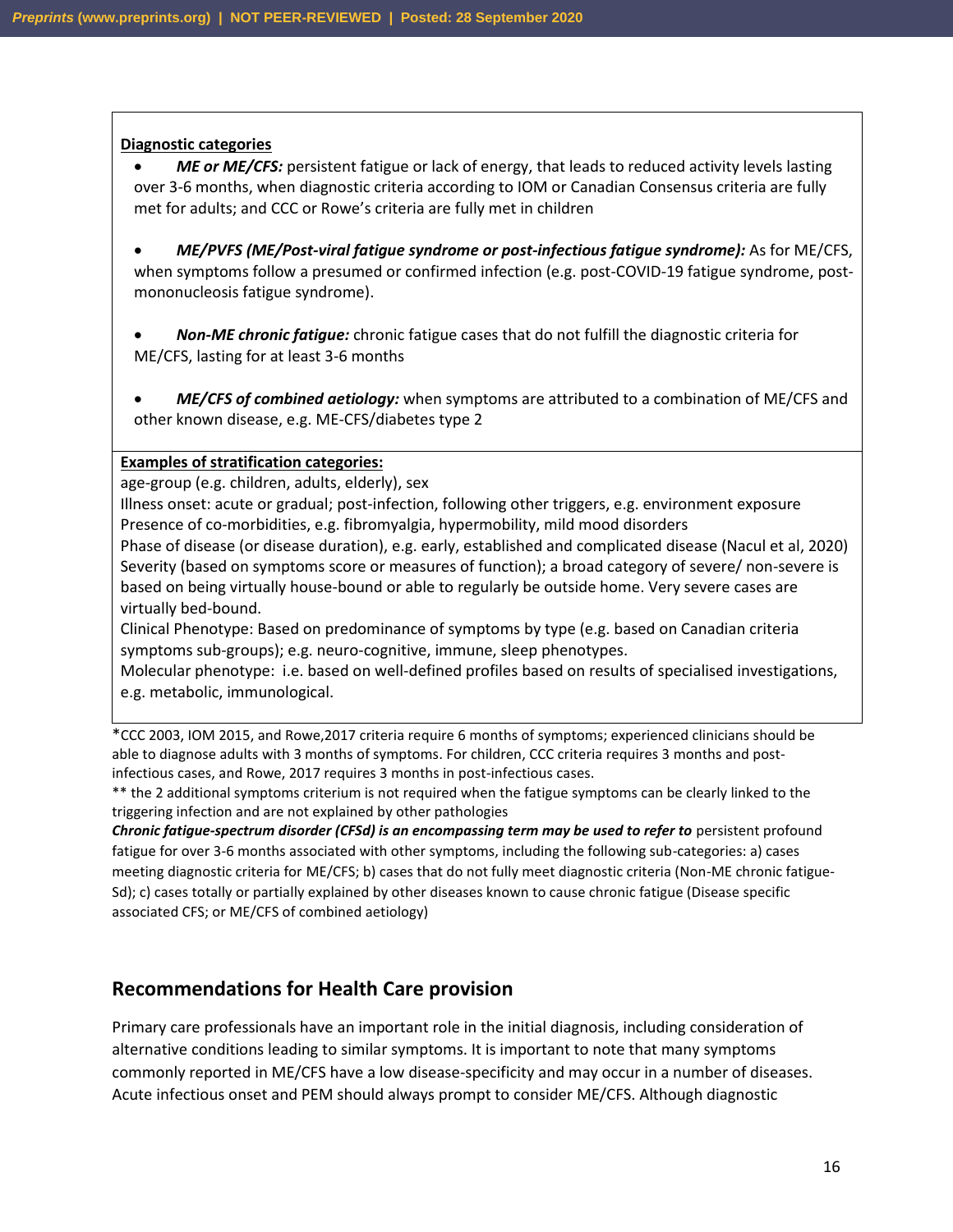#### **Diagnostic categories**

- *ME or ME/CFS:* persistent fatigue or lack of energy, that leads to reduced activity levels lasting over 3-6 months, when diagnostic criteria according to IOM or Canadian Consensus criteria are fully met for adults; and CCC or Rowe's criteria are fully met in children
- *ME/PVFS (ME/Post-viral fatigue syndrome or post-infectious fatigue syndrome):* As for ME/CFS, when symptoms follow a presumed or confirmed infection (e.g. post-COVID-19 fatigue syndrome, postmononucleosis fatigue syndrome).
- *Non-ME chronic fatigue:* chronic fatigue cases that do not fulfill the diagnostic criteria for ME/CFS, lasting for at least 3-6 months
- *ME/CFS of combined aetiology:* when symptoms are attributed to a combination of ME/CFS and other known disease, e.g. ME-CFS/diabetes type 2

#### **Examples of stratification categories:**

age-group (e.g. children, adults, elderly), sex

Illness onset: acute or gradual; post-infection, following other triggers, e.g. environment exposure Presence of co-morbidities, e.g. fibromyalgia, hypermobility, mild mood disorders Phase of disease (or disease duration), e.g. early, established and complicated disease (Nacul et al, 2020) Severity (based on symptoms score or measures of function); a broad category of severe/ non-severe is based on being virtually house-bound or able to regularly be outside home. Very severe cases are virtually bed-bound.

Clinical Phenotype: Based on predominance of symptoms by type (e.g. based on Canadian criteria symptoms sub-groups); e.g. neuro-cognitive, immune, sleep phenotypes.

Molecular phenotype: i.e. based on well-defined profiles based on results of specialised investigations, e.g. metabolic, immunological.

\*CCC 2003, IOM 2015, and Rowe,2017 criteria require 6 months of symptoms; experienced clinicians should be able to diagnose adults with 3 months of symptoms. For children, CCC criteria requires 3 months and postinfectious cases, and Rowe, 2017 requires 3 months in post-infectious cases.

\*\* the 2 additional symptoms criterium is not required when the fatigue symptoms can be clearly linked to the triggering infection and are not explained by other pathologies

*Chronic fatigue-spectrum disorder (CFSd) is an encompassing term may be used to refer to* persistent profound fatigue for over 3-6 months associated with other symptoms, including the following sub-categories: a) cases meeting diagnostic criteria for ME/CFS; b) cases that do not fully meet diagnostic criteria (Non-ME chronic fatigue-Sd); c) cases totally or partially explained by other diseases known to cause chronic fatigue (Disease specific associated CFS; or ME/CFS of combined aetiology)

#### **Recommendations for Health Care provision**

Primary care professionals have an important role in the initial diagnosis, including consideration of alternative conditions leading to similar symptoms. It is important to note that many symptoms commonly reported in ME/CFS have a low disease-specificity and may occur in a number of diseases. Acute infectious onset and PEM should always prompt to consider ME/CFS. Although diagnostic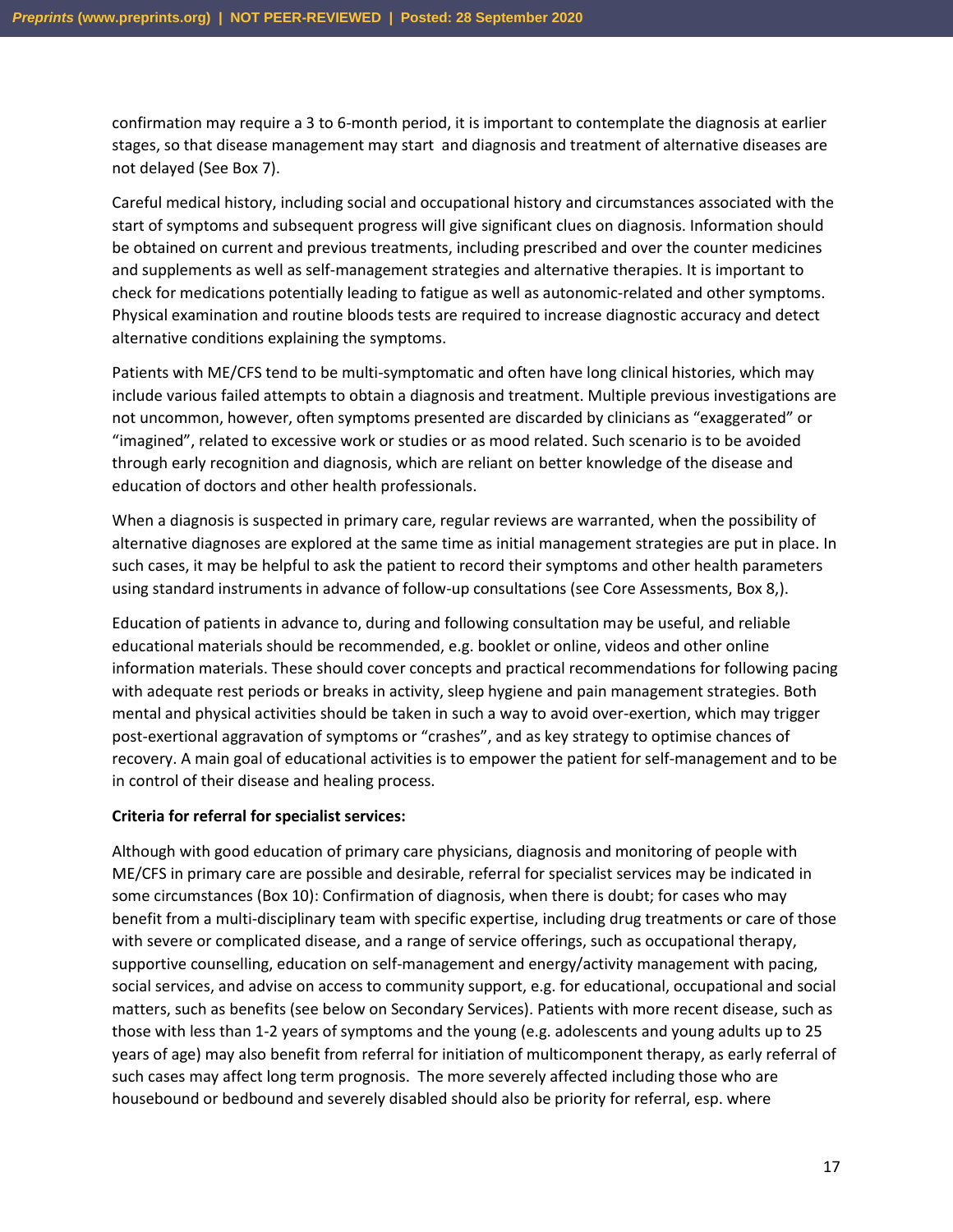confirmation may require a 3 to 6-month period, it is important to contemplate the diagnosis at earlier stages, so that disease management may start and diagnosis and treatment of alternative diseases are not delayed (See Box 7).

Careful medical history, including social and occupational history and circumstances associated with the start of symptoms and subsequent progress will give significant clues on diagnosis. Information should be obtained on current and previous treatments, including prescribed and over the counter medicines and supplements as well as self-management strategies and alternative therapies. It is important to check for medications potentially leading to fatigue as well as autonomic-related and other symptoms. Physical examination and routine bloods tests are required to increase diagnostic accuracy and detect alternative conditions explaining the symptoms.

Patients with ME/CFS tend to be multi-symptomatic and often have long clinical histories, which may include various failed attempts to obtain a diagnosis and treatment. Multiple previous investigations are not uncommon, however, often symptoms presented are discarded by clinicians as "exaggerated" or "imagined", related to excessive work or studies or as mood related. Such scenario is to be avoided through early recognition and diagnosis, which are reliant on better knowledge of the disease and education of doctors and other health professionals.

When a diagnosis is suspected in primary care, regular reviews are warranted, when the possibility of alternative diagnoses are explored at the same time as initial management strategies are put in place. In such cases, it may be helpful to ask the patient to record their symptoms and other health parameters using standard instruments in advance of follow-up consultations (see Core Assessments, Box 8,).

Education of patients in advance to, during and following consultation may be useful, and reliable educational materials should be recommended, e.g. booklet or online, videos and other online information materials. These should cover concepts and practical recommendations for following pacing with adequate rest periods or breaks in activity, sleep hygiene and pain management strategies. Both mental and physical activities should be taken in such a way to avoid over-exertion, which may trigger post-exertional aggravation of symptoms or "crashes", and as key strategy to optimise chances of recovery. A main goal of educational activities is to empower the patient for self-management and to be in control of their disease and healing process.

#### **Criteria for referral for specialist services:**

Although with good education of primary care physicians, diagnosis and monitoring of people with ME/CFS in primary care are possible and desirable, referral for specialist services may be indicated in some circumstances (Box 10): Confirmation of diagnosis, when there is doubt; for cases who may benefit from a multi-disciplinary team with specific expertise, including drug treatments or care of those with severe or complicated disease, and a range of service offerings, such as occupational therapy, supportive counselling, education on self-management and energy/activity management with pacing, social services, and advise on access to community support, e.g. for educational, occupational and social matters, such as benefits (see below on Secondary Services). Patients with more recent disease, such as those with less than 1-2 years of symptoms and the young (e.g. adolescents and young adults up to 25 years of age) may also benefit from referral for initiation of multicomponent therapy, as early referral of such cases may affect long term prognosis. The more severely affected including those who are housebound or bedbound and severely disabled should also be priority for referral, esp. where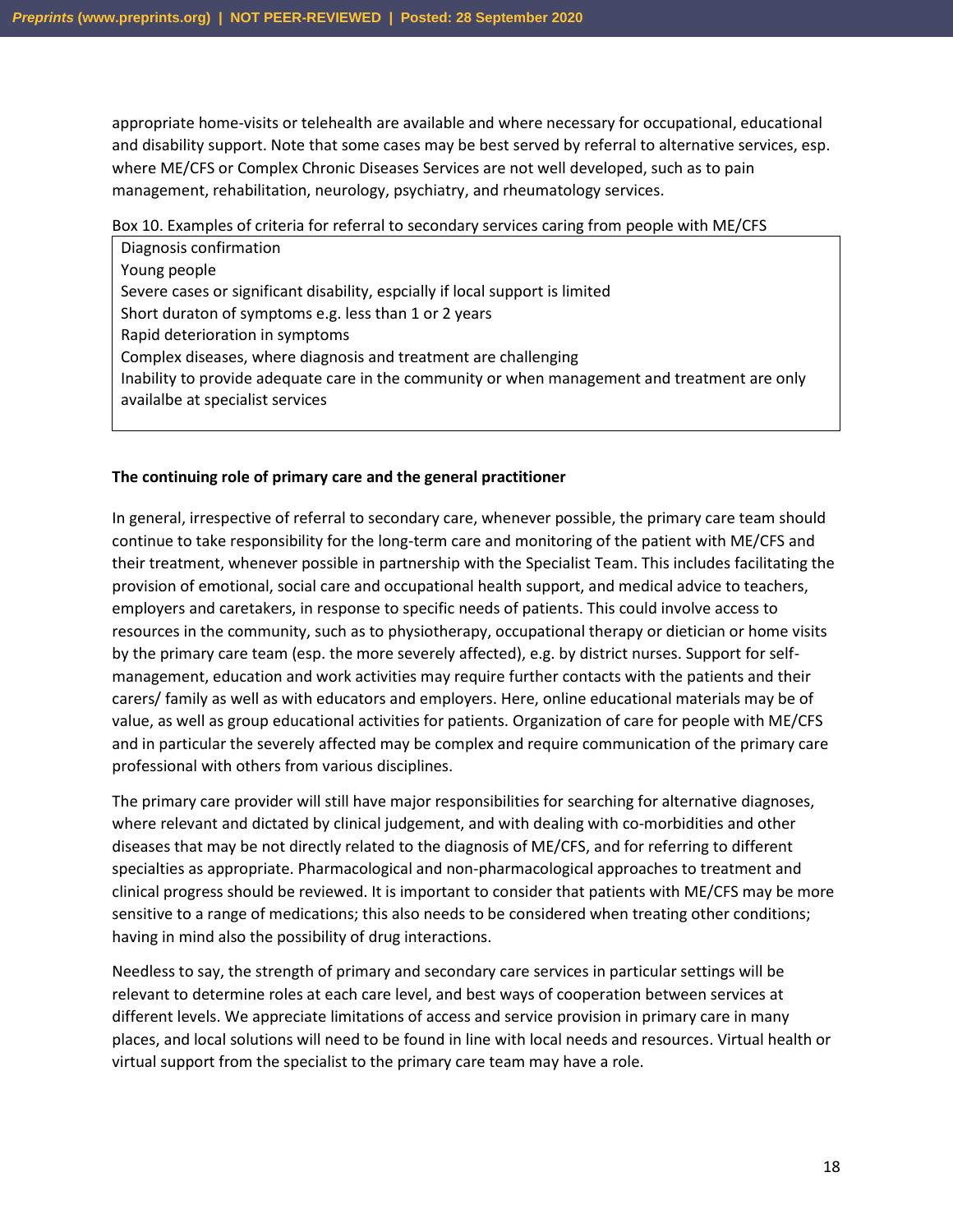appropriate home-visits or telehealth are available and where necessary for occupational, educational and disability support. Note that some cases may be best served by referral to alternative services, esp. where ME/CFS or Complex Chronic Diseases Services are not well developed, such as to pain management, rehabilitation, neurology, psychiatry, and rheumatology services.

Box 10. Examples of criteria for referral to secondary services caring from people with ME/CFS

• Diagnosis confirmation • Young people Severe cases or significant disability, espcially if local support is limited Short duraton of symptoms e.g. less than 1 or 2 years • Rapid deterioration in symptoms • Complex diseases, where diagnosis and treatment are challenging • Inability to provide adequate care in the community or when management and treatment are only availalbe at specialist services

#### **The continuing role of primary care and the general practitioner**

In general, irrespective of referral to secondary care, whenever possible, the primary care team should continue to take responsibility for the long-term care and monitoring of the patient with ME/CFS and their treatment, whenever possible in partnership with the Specialist Team. This includes facilitating the provision of emotional, social care and occupational health support, and medical advice to teachers, employers and caretakers, in response to specific needs of patients. This could involve access to resources in the community, such as to physiotherapy, occupational therapy or dietician or home visits by the primary care team (esp. the more severely affected), e.g. by district nurses. Support for selfmanagement, education and work activities may require further contacts with the patients and their carers/ family as well as with educators and employers. Here, online educational materials may be of value, as well as group educational activities for patients. Organization of care for people with ME/CFS and in particular the severely affected may be complex and require communication of the primary care professional with others from various disciplines.

The primary care provider will still have major responsibilities for searching for alternative diagnoses, where relevant and dictated by clinical judgement, and with dealing with co-morbidities and other diseases that may be not directly related to the diagnosis of ME/CFS, and for referring to different specialties as appropriate. Pharmacological and non-pharmacological approaches to treatment and clinical progress should be reviewed. It is important to consider that patients with ME/CFS may be more sensitive to a range of medications; this also needs to be considered when treating other conditions; having in mind also the possibility of drug interactions.

Needless to say, the strength of primary and secondary care services in particular settings will be relevant to determine roles at each care level, and best ways of cooperation between services at different levels. We appreciate limitations of access and service provision in primary care in many places, and local solutions will need to be found in line with local needs and resources. Virtual health or virtual support from the specialist to the primary care team may have a role.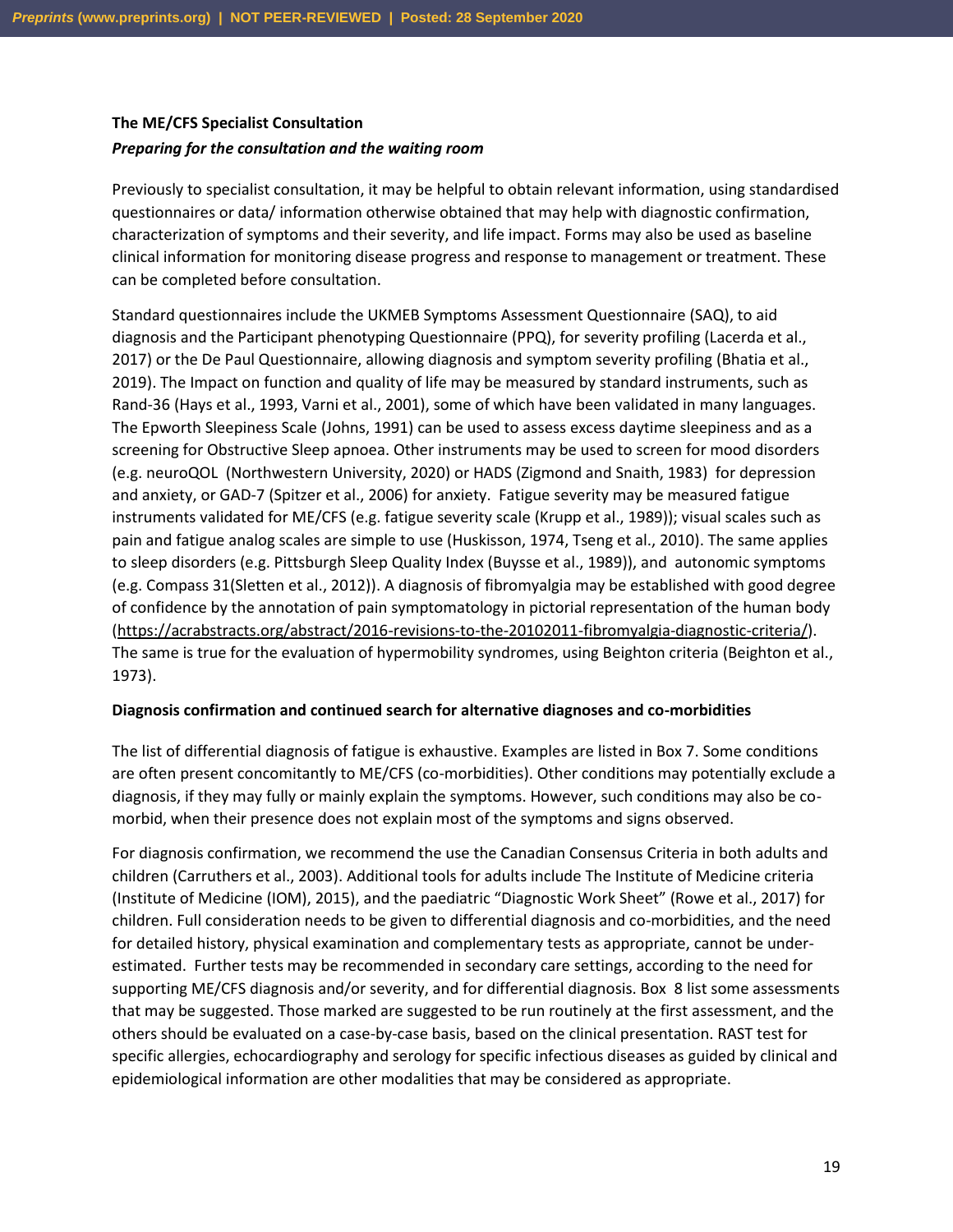### **The ME/CFS Specialist Consultation**

#### *Preparing for the consultation and the waiting room*

Previously to specialist consultation, it may be helpful to obtain relevant information, using standardised questionnaires or data/ information otherwise obtained that may help with diagnostic confirmation, characterization of symptoms and their severity, and life impact. Forms may also be used as baseline clinical information for monitoring disease progress and response to management or treatment. These can be completed before consultation.

Standard questionnaires include the UKMEB Symptoms Assessment Questionnaire (SAQ), to aid diagnosis and the Participant phenotyping Questionnaire (PPQ), for severity profiling (Lacerda et al., 2017) or the De Paul Questionnaire, allowing diagnosis and symptom severity profiling (Bhatia et al., 2019). The Impact on function and quality of life may be measured by standard instruments, such as Rand-36 (Hays et al., 1993, Varni et al., 2001), some of which have been validated in many languages. The Epworth Sleepiness Scale (Johns, 1991) can be used to assess excess daytime sleepiness and as a screening for Obstructive Sleep apnoea. Other instruments may be used to screen for mood disorders (e.g. neuroQOL (Northwestern University, 2020) or HADS (Zigmond and Snaith, 1983) for depression and anxiety, or GAD-7 (Spitzer et al., 2006) for anxiety. Fatigue severity may be measured fatigue instruments validated for ME/CFS (e.g. fatigue severity scale (Krupp et al., 1989)); visual scales such as pain and fatigue analog scales are simple to use (Huskisson, 1974, Tseng et al., 2010). The same applies to sleep disorders (e.g. Pittsburgh Sleep Quality Index (Buysse et al., 1989)), and autonomic symptoms (e.g. Compass 31(Sletten et al., 2012)). A diagnosis of fibromyalgia may be established with good degree of confidence by the annotation of pain symptomatology in pictorial representation of the human body [\(https://acrabstracts.org/abstract/2016-revisions-to-the-20102011-fibromyalgia-diagnostic-criteria/\)](https://acrabstracts.org/abstract/2016-revisions-to-the-20102011-fibromyalgia-diagnostic-criteria/). The same is true for the evaluation of hypermobility syndromes, using Beighton criteria (Beighton et al., 1973).

#### **Diagnosis confirmation and continued search for alternative diagnoses and co-morbidities**

The list of differential diagnosis of fatigue is exhaustive. Examples are listed in Box 7. Some conditions are often present concomitantly to ME/CFS (co-morbidities). Other conditions may potentially exclude a diagnosis, if they may fully or mainly explain the symptoms. However, such conditions may also be comorbid, when their presence does not explain most of the symptoms and signs observed.

For diagnosis confirmation, we recommend the use the Canadian Consensus Criteria in both adults and children (Carruthers et al., 2003). Additional tools for adults include The Institute of Medicine criteria (Institute of Medicine (IOM), 2015), and the paediatric "Diagnostic Work Sheet" (Rowe et al., 2017) for children. Full consideration needs to be given to differential diagnosis and co-morbidities, and the need for detailed history, physical examination and complementary tests as appropriate, cannot be underestimated. Further tests may be recommended in secondary care settings, according to the need for supporting ME/CFS diagnosis and/or severity, and for differential diagnosis. Box 8 list some assessments that may be suggested. Those marked are suggested to be run routinely at the first assessment, and the others should be evaluated on a case-by-case basis, based on the clinical presentation. RAST test for specific allergies, echocardiography and serology for specific infectious diseases as guided by clinical and epidemiological information are other modalities that may be considered as appropriate.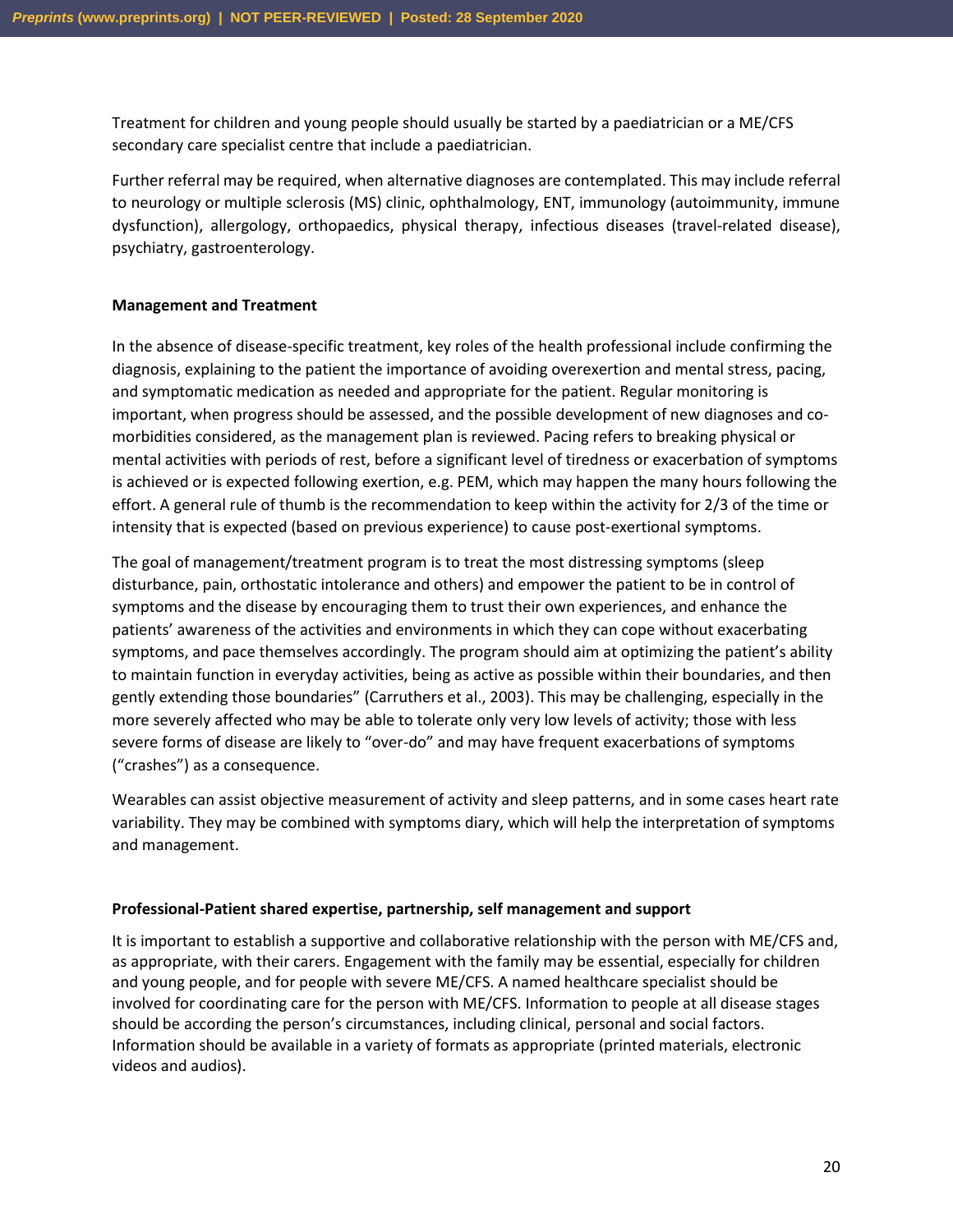Treatment for children and young people should usually be started by a paediatrician or a ME/CFS secondary care specialist centre that include a paediatrician.

Further referral may be required, when alternative diagnoses are contemplated. This may include referral to neurology or multiple sclerosis (MS) clinic, ophthalmology, ENT, immunology (autoimmunity, immune dysfunction), allergology, orthopaedics, physical therapy, infectious diseases (travel-related disease), psychiatry, gastroenterology.

#### **Management and Treatment**

In the absence of disease-specific treatment, key roles of the health professional include confirming the diagnosis, explaining to the patient the importance of avoiding overexertion and mental stress, pacing, and symptomatic medication as needed and appropriate for the patient. Regular monitoring is important, when progress should be assessed, and the possible development of new diagnoses and comorbidities considered, as the management plan is reviewed. Pacing refers to breaking physical or mental activities with periods of rest, before a significant level of tiredness or exacerbation of symptoms is achieved or is expected following exertion, e.g. PEM, which may happen the many hours following the effort. A general rule of thumb is the recommendation to keep within the activity for 2/3 of the time or intensity that is expected (based on previous experience) to cause post-exertional symptoms.

The goal of management/treatment program is to treat the most distressing symptoms (sleep disturbance, pain, orthostatic intolerance and others) and empower the patient to be in control of symptoms and the disease by encouraging them to trust their own experiences, and enhance the patients' awareness of the activities and environments in which they can cope without exacerbating symptoms, and pace themselves accordingly. The program should aim at optimizing the patient's ability to maintain function in everyday activities, being as active as possible within their boundaries, and then gently extending those boundaries" (Carruthers et al., 2003). This may be challenging, especially in the more severely affected who may be able to tolerate only very low levels of activity; those with less severe forms of disease are likely to "over-do" and may have frequent exacerbations of symptoms ("crashes") as a consequence.

Wearables can assist objective measurement of activity and sleep patterns, and in some cases heart rate variability. They may be combined with symptoms diary, which will help the interpretation of symptoms and management.

#### **Professional-Patient shared expertise, partnership, self management and support**

It is important to establish a supportive and collaborative relationship with the person with ME/CFS and, as appropriate, with their carers. Engagement with the family may be essential, especially for children and young people, and for people with severe ME/CFS. A named healthcare specialist should be involved for coordinating care for the person with ME/CFS. Information to people at all disease stages should be according the person's circumstances, including clinical, personal and social factors. Information should be available in a variety of formats as appropriate (printed materials, electronic videos and audios).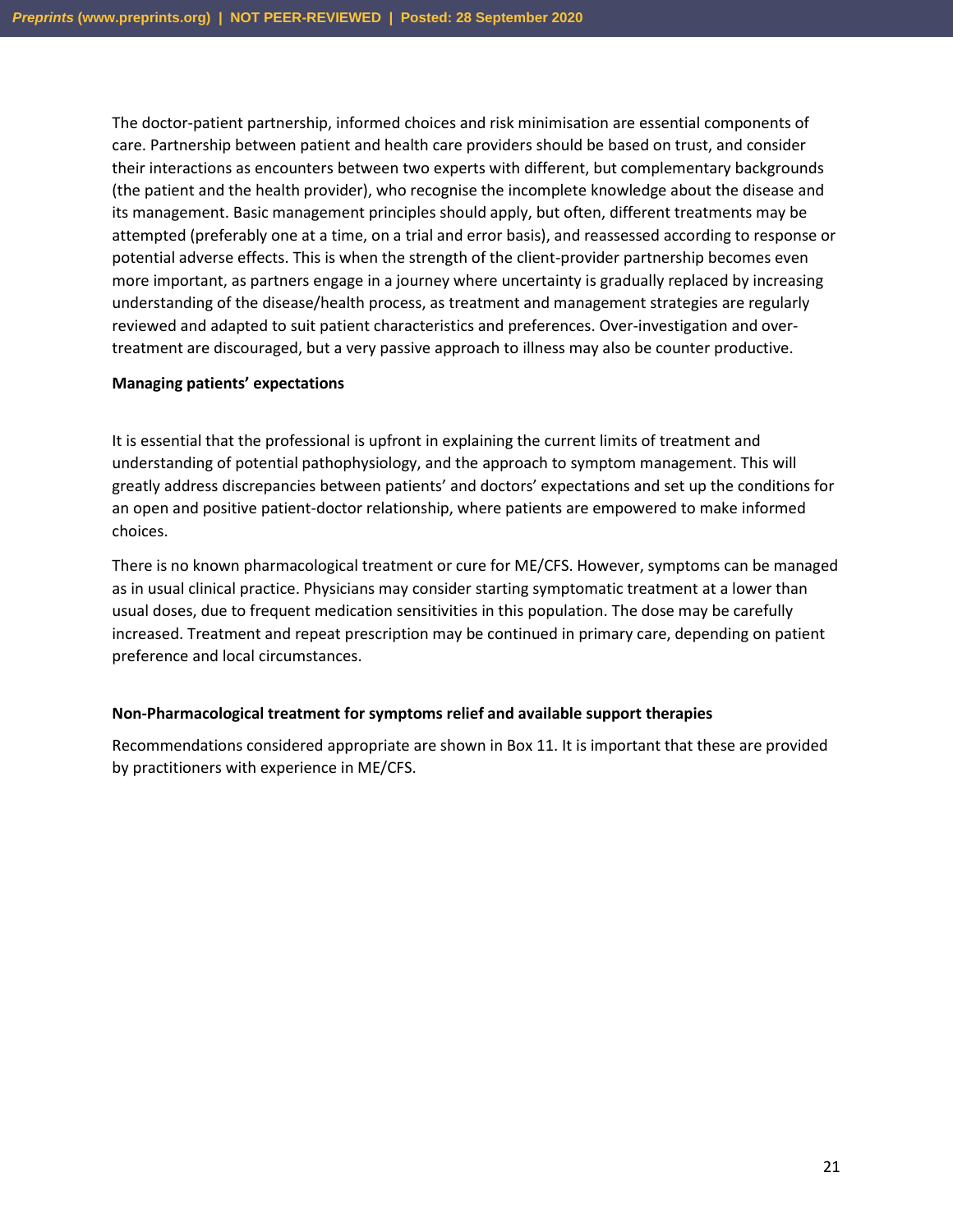The doctor-patient partnership, informed choices and risk minimisation are essential components of care. Partnership between patient and health care providers should be based on trust, and consider their interactions as encounters between two experts with different, but complementary backgrounds (the patient and the health provider), who recognise the incomplete knowledge about the disease and its management. Basic management principles should apply, but often, different treatments may be attempted (preferably one at a time, on a trial and error basis), and reassessed according to response or potential adverse effects. This is when the strength of the client-provider partnership becomes even more important, as partners engage in a journey where uncertainty is gradually replaced by increasing understanding of the disease/health process, as treatment and management strategies are regularly reviewed and adapted to suit patient characteristics and preferences. Over-investigation and overtreatment are discouraged, but a very passive approach to illness may also be counter productive.

#### **Managing patients' expectations**

It is essential that the professional is upfront in explaining the current limits of treatment and understanding of potential pathophysiology, and the approach to symptom management. This will greatly address discrepancies between patients' and doctors' expectations and set up the conditions for an open and positive patient-doctor relationship, where patients are empowered to make informed choices.

There is no known pharmacological treatment or cure for ME/CFS. However, symptoms can be managed as in usual clinical practice. Physicians may consider starting symptomatic treatment at a lower than usual doses, due to frequent medication sensitivities in this population. The dose may be carefully increased. Treatment and repeat prescription may be continued in primary care, depending on patient preference and local circumstances.

#### **Non-Pharmacological treatment for symptoms relief and available support therapies**

Recommendations considered appropriate are shown in Box 11. It is important that these are provided by practitioners with experience in ME/CFS.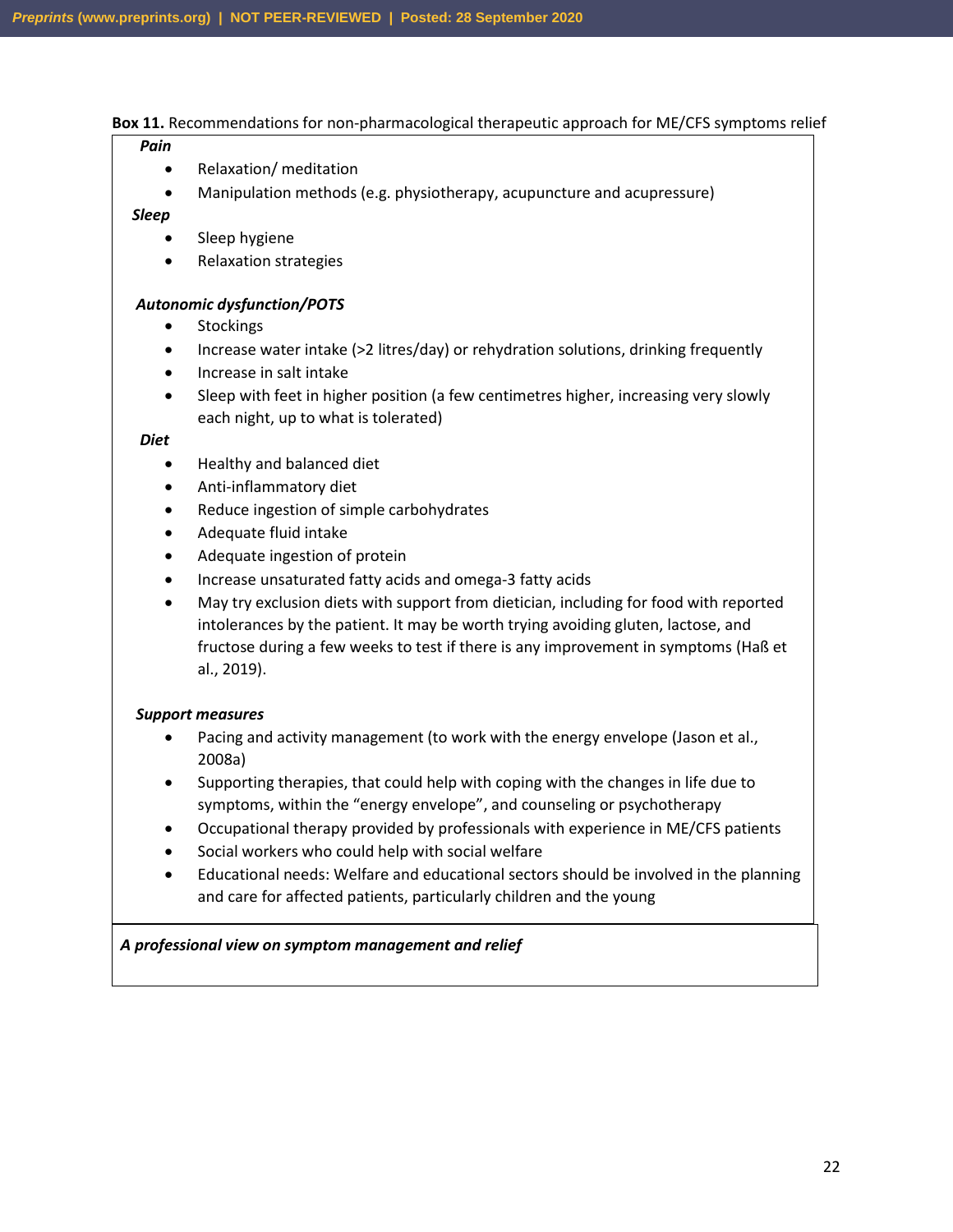#### **Box 11.** Recommendations for non-pharmacological therapeutic approach for ME/CFS symptoms relief

#### *Pain*

- Relaxation/ meditation
- Manipulation methods (e.g. physiotherapy, acupuncture and acupressure)

#### *Sleep*

- Sleep hygiene
- Relaxation strategies

#### *Autonomic dysfunction/POTS*

- Stockings
- Increase water intake (>2 litres/day) or rehydration solutions, drinking frequently
- Increase in salt intake
- Sleep with feet in higher position (a few centimetres higher, increasing very slowly each night, up to what is tolerated)

#### *Diet*

- Healthy and balanced diet
- Anti-inflammatory diet
- Reduce ingestion of simple carbohydrates
- Adequate fluid intake
- Adequate ingestion of protein
- Increase unsaturated fatty acids and omega-3 fatty acids
- May try exclusion diets with support from dietician, including for food with reported intolerances by the patient. It may be worth trying avoiding gluten, lactose, and fructose during a few weeks to test if there is any improvement in symptoms (Haß et al., 2019).

#### *Support measures*

- Pacing and activity management (to work with the energy envelope (Jason et al., 2008a)
- Supporting therapies, that could help with coping with the changes in life due to symptoms, within the "energy envelope", and counseling or psychotherapy
- Occupational therapy provided by professionals with experience in ME/CFS patients
- Social workers who could help with social welfare
- Educational needs: Welfare and educational sectors should be involved in the planning and care for affected patients, particularly children and the young

#### *A professional view on symptom management and relief*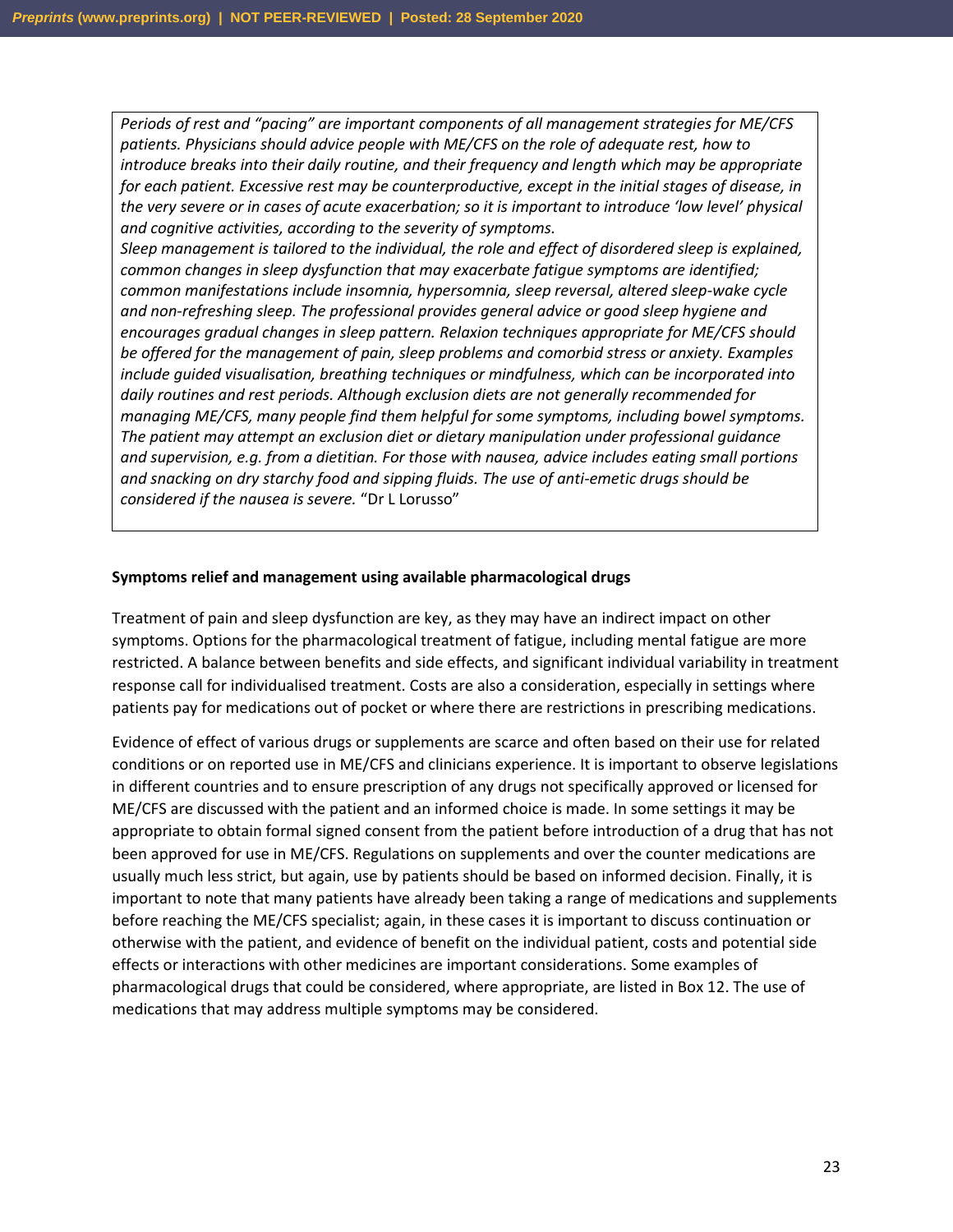*Periods of rest and "pacing" are important components of all management strategies for ME/CFS patients. Physicians should advice people with ME/CFS on the role of adequate rest, how to introduce breaks into their daily routine, and their frequency and length which may be appropriate for each patient. Excessive rest may be counterproductive, except in the initial stages of disease, in the very severe or in cases of acute exacerbation; so it is important to introduce 'low level' physical and cognitive activities, according to the severity of symptoms.* 

*Sleep management is tailored to the individual, the role and effect of disordered sleep is explained, common changes in sleep dysfunction that may exacerbate fatigue symptoms are identified; common manifestations include insomnia, hypersomnia, sleep reversal, altered sleep-wake cycle and non-refreshing sleep. The professional provides general advice or good sleep hygiene and encourages gradual changes in sleep pattern. Relaxion techniques appropriate for ME/CFS should be offered for the management of pain, sleep problems and comorbid stress or anxiety. Examples include guided visualisation, breathing techniques or mindfulness, which can be incorporated into daily routines and rest periods. Although exclusion diets are not generally recommended for managing ME/CFS, many people find them helpful for some symptoms, including bowel symptoms. The patient may attempt an exclusion diet or dietary manipulation under professional guidance and supervision, e.g. from a dietitian. For those with nausea, advice includes eating small portions and snacking on dry starchy food and sipping fluids. The use of anti-emetic drugs should be considered if the nausea is severe.* "Dr L Lorusso"

#### **Symptoms relief and management using available pharmacological drugs**

Treatment of pain and sleep dysfunction are key, as they may have an indirect impact on other symptoms. Options for the pharmacological treatment of fatigue, including mental fatigue are more restricted. A balance between benefits and side effects, and significant individual variability in treatment response call for individualised treatment. Costs are also a consideration, especially in settings where patients pay for medications out of pocket or where there are restrictions in prescribing medications.

Evidence of effect of various drugs or supplements are scarce and often based on their use for related conditions or on reported use in ME/CFS and clinicians experience. It is important to observe legislations in different countries and to ensure prescription of any drugs not specifically approved or licensed for ME/CFS are discussed with the patient and an informed choice is made. In some settings it may be appropriate to obtain formal signed consent from the patient before introduction of a drug that has not been approved for use in ME/CFS. Regulations on supplements and over the counter medications are usually much less strict, but again, use by patients should be based on informed decision. Finally, it is important to note that many patients have already been taking a range of medications and supplements before reaching the ME/CFS specialist; again, in these cases it is important to discuss continuation or otherwise with the patient, and evidence of benefit on the individual patient, costs and potential side effects or interactions with other medicines are important considerations. Some examples of pharmacological drugs that could be considered, where appropriate, are listed in Box 12. The use of medications that may address multiple symptoms may be considered.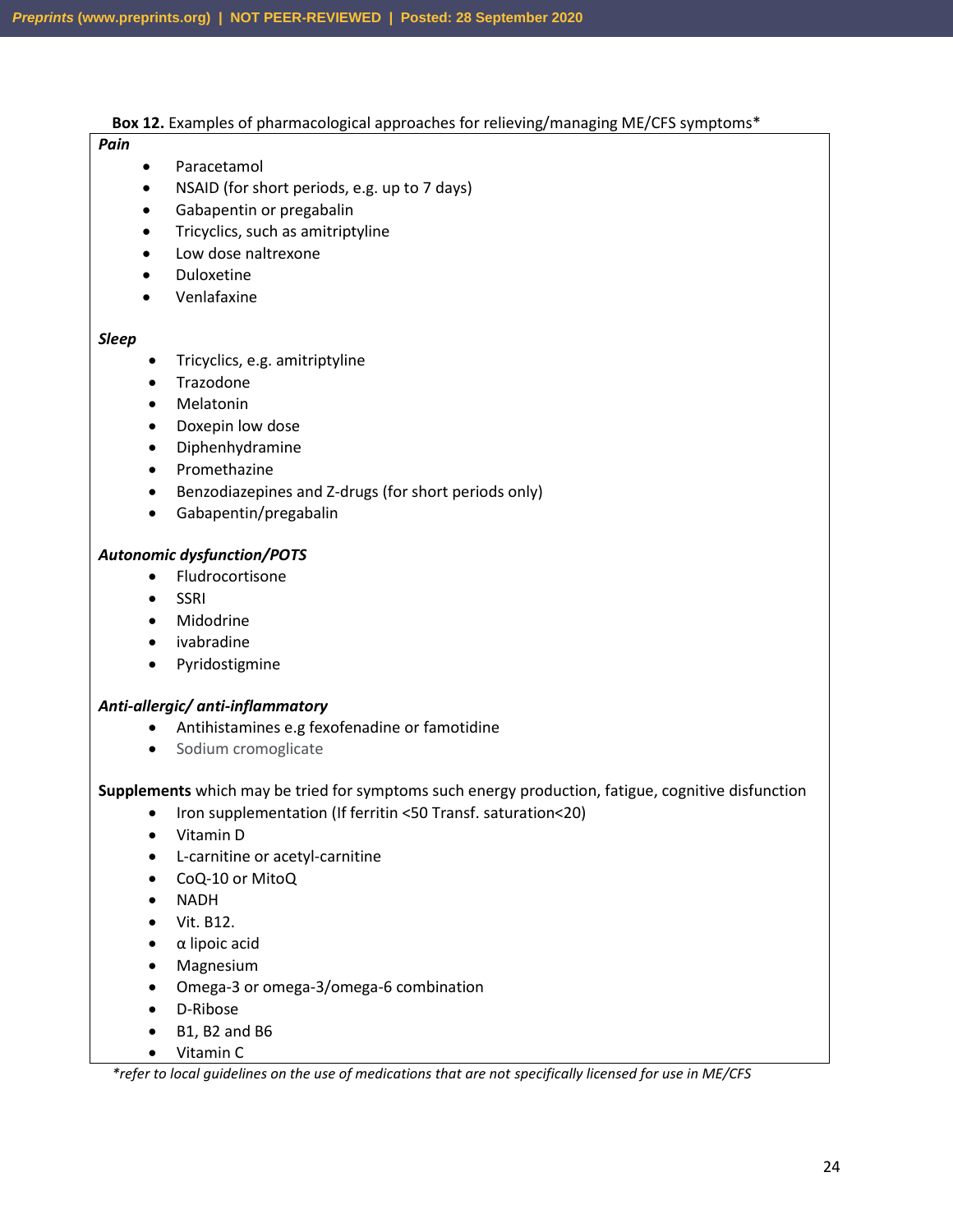#### **Box 12.** Examples of pharmacological approaches for relieving/managing ME/CFS symptoms\*

#### *Pain*

- Paracetamol
- NSAID (for short periods, e.g. up to 7 days)
- Gabapentin or pregabalin
- Tricyclics, such as amitriptyline
- Low dose naltrexone
- Duloxetine
- Venlafaxine

#### *Sleep*

- Tricyclics, e.g. amitriptyline
- Trazodone
- Melatonin
- Doxepin low dose
- Diphenhydramine
- Promethazine
- Benzodiazepines and Z-drugs (for short periods only)
- Gabapentin/pregabalin

#### *Autonomic dysfunction/POTS*

- Fludrocortisone
- SSRI
- Midodrine
- ivabradine
- Pyridostigmine

#### *Anti-allergic/ anti-inflammatory*

- Antihistamines e.g fexofenadine or famotidine
- Sodium cromoglicate

**Supplements** which may be tried for symptoms such energy production, fatigue, cognitive disfunction

- Iron supplementation (If ferritin <50 Transf. saturation<20)
- Vitamin D
- L-carnitine or acetyl-carnitine
- CoQ-10 or MitoQ
- NADH
- Vit. B12.
- α lipoic acid
- Magnesium
- Omega-3 or omega-3/omega-6 combination
- D-Ribose
- B1, B2 and B6
- Vitamin C

*\*refer to local guidelines on the use of medications that are not specifically licensed for use in ME/CFS*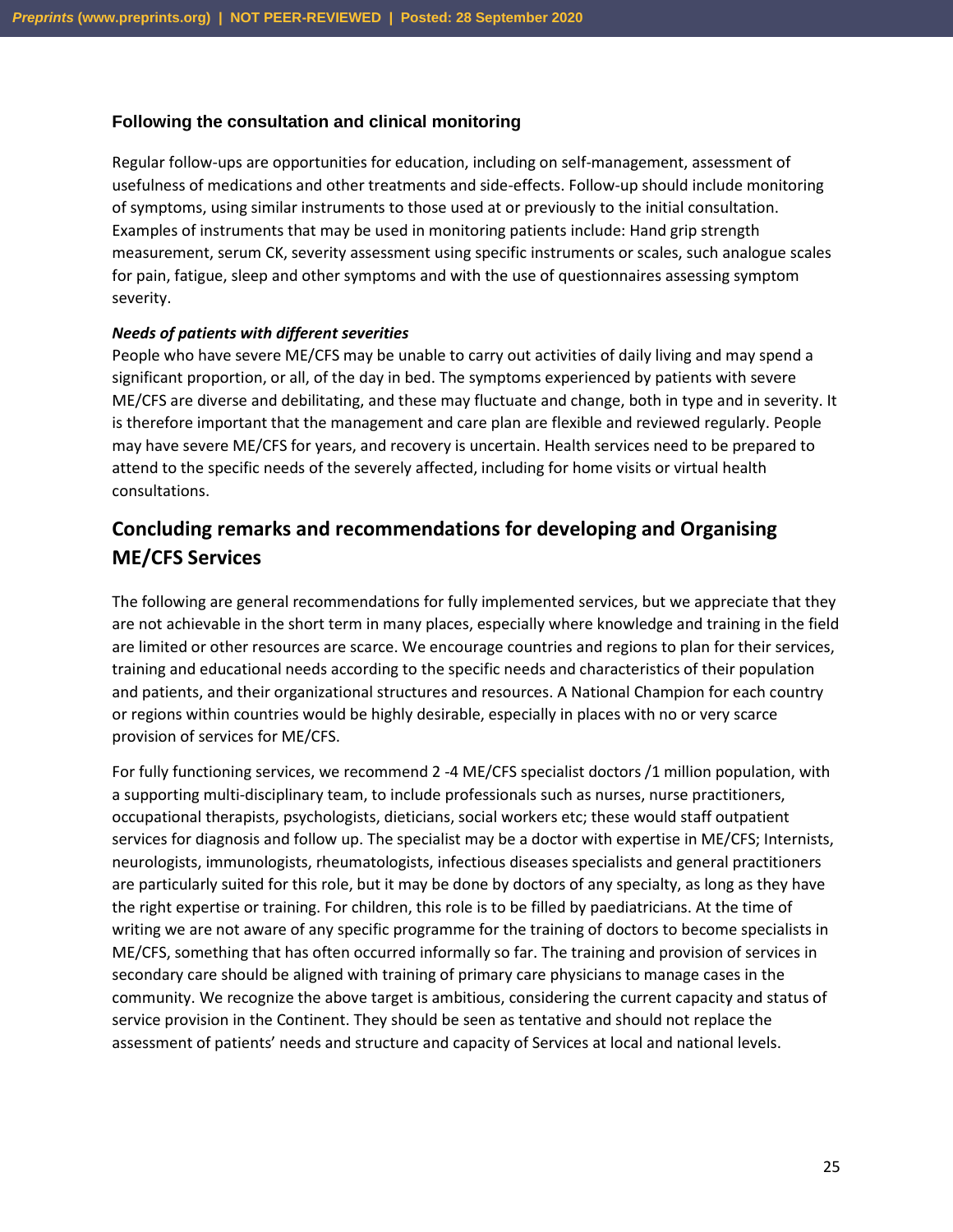#### **Following the consultation and clinical monitoring**

Regular follow-ups are opportunities for education, including on self-management, assessment of usefulness of medications and other treatments and side-effects. Follow-up should include monitoring of symptoms, using similar instruments to those used at or previously to the initial consultation. Examples of instruments that may be used in monitoring patients include: Hand grip strength measurement, serum CK, severity assessment using specific instruments or scales, such analogue scales for pain, fatigue, sleep and other symptoms and with the use of questionnaires assessing symptom severity.

#### *Needs of patients with different severities*

People who have severe ME/CFS may be unable to carry out activities of daily living and may spend a significant proportion, or all, of the day in bed. The symptoms experienced by patients with severe ME/CFS are diverse and debilitating, and these may fluctuate and change, both in type and in severity. It is therefore important that the management and care plan are flexible and reviewed regularly. People may have severe ME/CFS for years, and recovery is uncertain. Health services need to be prepared to attend to the specific needs of the severely affected, including for home visits or virtual health consultations.

### **Concluding remarks and recommendations for developing and Organising ME/CFS Services**

The following are general recommendations for fully implemented services, but we appreciate that they are not achievable in the short term in many places, especially where knowledge and training in the field are limited or other resources are scarce. We encourage countries and regions to plan for their services, training and educational needs according to the specific needs and characteristics of their population and patients, and their organizational structures and resources. A National Champion for each country or regions within countries would be highly desirable, especially in places with no or very scarce provision of services for ME/CFS.

For fully functioning services, we recommend 2 -4 ME/CFS specialist doctors /1 million population, with a supporting multi-disciplinary team, to include professionals such as nurses, nurse practitioners, occupational therapists, psychologists, dieticians, social workers etc; these would staff outpatient services for diagnosis and follow up. The specialist may be a doctor with expertise in ME/CFS; Internists, neurologists, immunologists, rheumatologists, infectious diseases specialists and general practitioners are particularly suited for this role, but it may be done by doctors of any specialty, as long as they have the right expertise or training. For children, this role is to be filled by paediatricians. At the time of writing we are not aware of any specific programme for the training of doctors to become specialists in ME/CFS, something that has often occurred informally so far. The training and provision of services in secondary care should be aligned with training of primary care physicians to manage cases in the community. We recognize the above target is ambitious, considering the current capacity and status of service provision in the Continent. They should be seen as tentative and should not replace the assessment of patients' needs and structure and capacity of Services at local and national levels.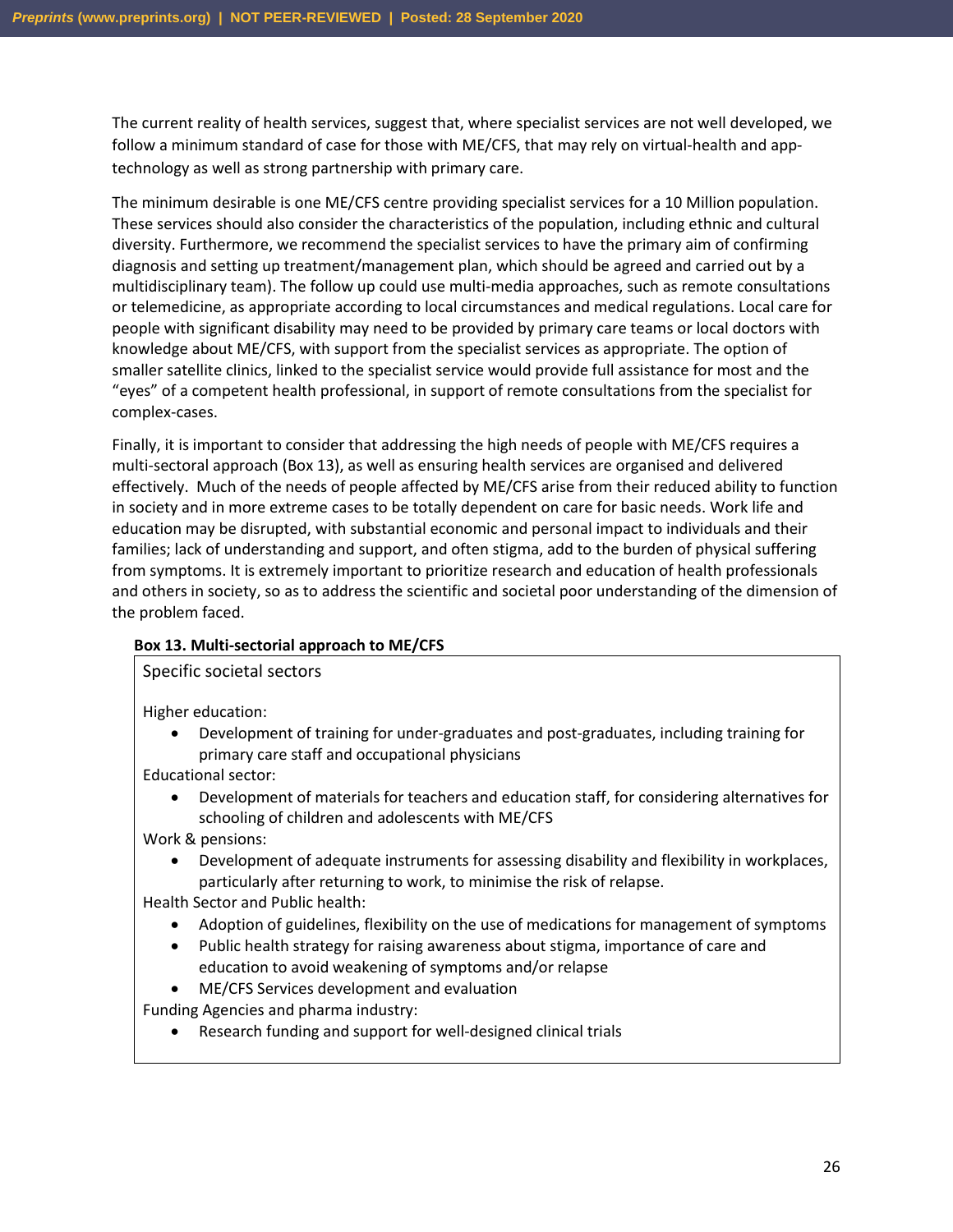The current reality of health services, suggest that, where specialist services are not well developed, we follow a minimum standard of case for those with ME/CFS, that may rely on virtual-health and apptechnology as well as strong partnership with primary care.

The minimum desirable is one ME/CFS centre providing specialist services for a 10 Million population. These services should also consider the characteristics of the population, including ethnic and cultural diversity. Furthermore, we recommend the specialist services to have the primary aim of confirming diagnosis and setting up treatment/management plan, which should be agreed and carried out by a multidisciplinary team). The follow up could use multi-media approaches, such as remote consultations or telemedicine, as appropriate according to local circumstances and medical regulations. Local care for people with significant disability may need to be provided by primary care teams or local doctors with knowledge about ME/CFS, with support from the specialist services as appropriate. The option of smaller satellite clinics, linked to the specialist service would provide full assistance for most and the "eyes" of a competent health professional, in support of remote consultations from the specialist for complex-cases.

Finally, it is important to consider that addressing the high needs of people with ME/CFS requires a multi-sectoral approach (Box 13), as well as ensuring health services are organised and delivered effectively. Much of the needs of people affected by ME/CFS arise from their reduced ability to function in society and in more extreme cases to be totally dependent on care for basic needs. Work life and education may be disrupted, with substantial economic and personal impact to individuals and their families; lack of understanding and support, and often stigma, add to the burden of physical suffering from symptoms. It is extremely important to prioritize research and education of health professionals and others in society, so as to address the scientific and societal poor understanding of the dimension of the problem faced.

#### **Box 13. Multi-sectorial approach to ME/CFS**

Specific societal sectors

Higher education:

• Development of training for under-graduates and post-graduates, including training for primary care staff and occupational physicians

Educational sector:

• Development of materials for teachers and education staff, for considering alternatives for schooling of children and adolescents with ME/CFS

Work & pensions:

• Development of adequate instruments for assessing disability and flexibility in workplaces, particularly after returning to work, to minimise the risk of relapse.

Health Sector and Public health:

- Adoption of guidelines, flexibility on the use of medications for management of symptoms
- Public health strategy for raising awareness about stigma, importance of care and education to avoid weakening of symptoms and/or relapse
- ME/CFS Services development and evaluation

Funding Agencies and pharma industry:

• Research funding and support for well-designed clinical trials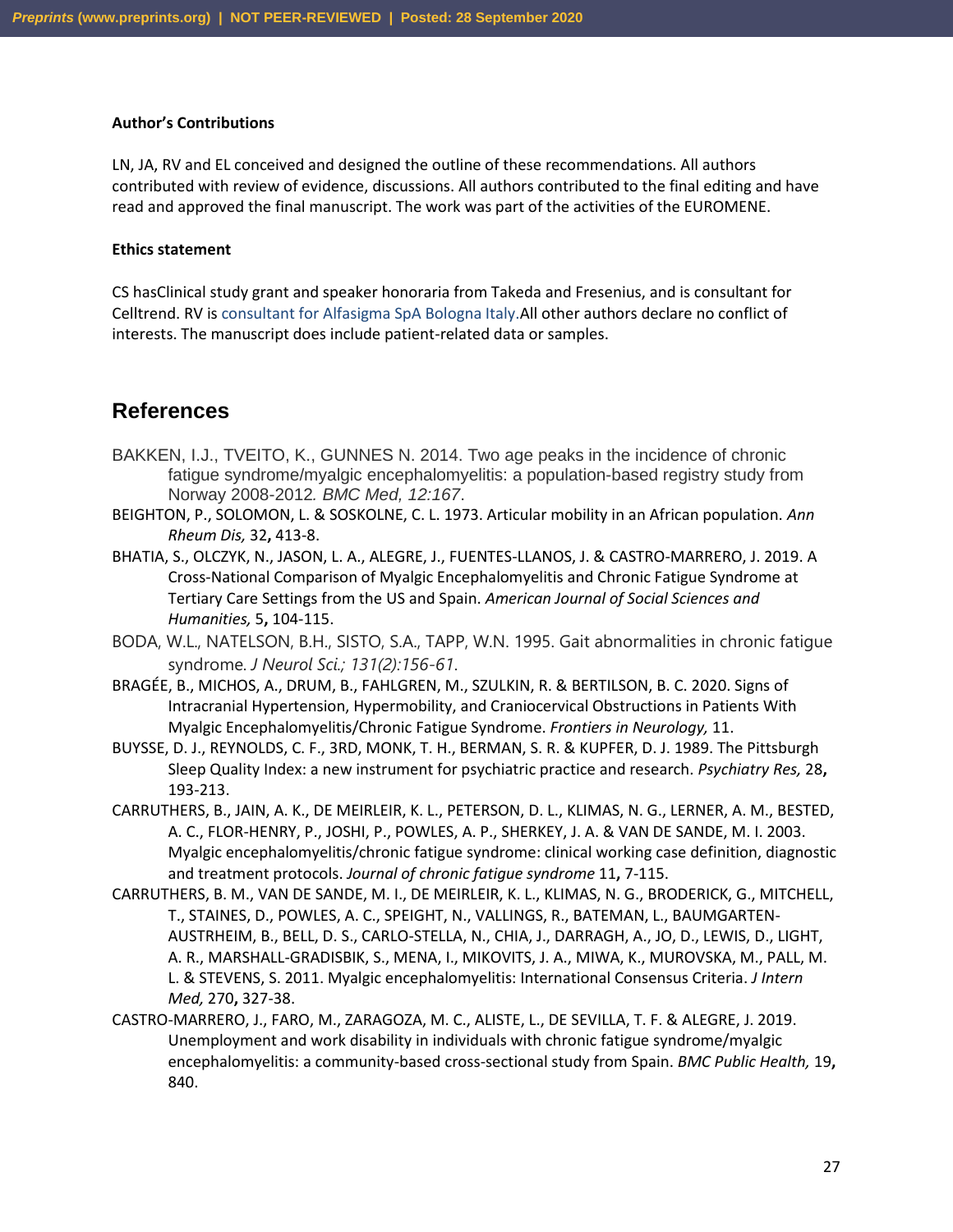#### **Author's Contributions**

LN, JA, RV and EL conceived and designed the outline of these recommendations. All authors contributed with review of evidence, discussions. All authors contributed to the final editing and have read and approved the final manuscript. The work was part of the activities of the EUROMENE.

#### **Ethics statement**

CS hasClinical study grant and speaker honoraria from Takeda and Fresenius, and is consultant for Celltrend. RV is consultant for Alfasigma SpA Bologna Italy.All other authors declare no conflict of interests. The manuscript does include patient-related data or samples.

### **References**

- BAKKEN, I.J., TVEITO, K., GUNNES N. 2014. Two age peaks in the incidence of chronic fatigue syndrome/myalgic encephalomyelitis: a population-based registry study from Norway 2008-2012*. BMC Med, 12:167*.
- BEIGHTON, P., SOLOMON, L. & SOSKOLNE, C. L. 1973. Articular mobility in an African population. *Ann Rheum Dis,* 32**,** 413-8.
- BHATIA, S., OLCZYK, N., JASON, L. A., ALEGRE, J., FUENTES-LLANOS, J. & CASTRO-MARRERO, J. 2019. A Cross-National Comparison of Myalgic Encephalomyelitis and Chronic Fatigue Syndrome at Tertiary Care Settings from the US and Spain. *American Journal of Social Sciences and Humanities,* 5**,** 104-115.
- BODA, W.L., NATELSON, B.H., SISTO, S.A., TAPP, W.N. 1995. Gait abnormalities in chronic fatigue syndrome. *J Neurol Sci.; 131(2):156-61*.
- BRAGÉE, B., MICHOS, A., DRUM, B., FAHLGREN, M., SZULKIN, R. & BERTILSON, B. C. 2020. Signs of Intracranial Hypertension, Hypermobility, and Craniocervical Obstructions in Patients With Myalgic Encephalomyelitis/Chronic Fatigue Syndrome. *Frontiers in Neurology,* 11.
- BUYSSE, D. J., REYNOLDS, C. F., 3RD, MONK, T. H., BERMAN, S. R. & KUPFER, D. J. 1989. The Pittsburgh Sleep Quality Index: a new instrument for psychiatric practice and research. *Psychiatry Res,* 28**,** 193-213.
- CARRUTHERS, B., JAIN, A. K., DE MEIRLEIR, K. L., PETERSON, D. L., KLIMAS, N. G., LERNER, A. M., BESTED, A. C., FLOR-HENRY, P., JOSHI, P., POWLES, A. P., SHERKEY, J. A. & VAN DE SANDE, M. I. 2003. Myalgic encephalomyelitis/chronic fatigue syndrome: clinical working case definition, diagnostic and treatment protocols. *Journal of chronic fatigue syndrome* 11**,** 7-115.
- CARRUTHERS, B. M., VAN DE SANDE, M. I., DE MEIRLEIR, K. L., KLIMAS, N. G., BRODERICK, G., MITCHELL, T., STAINES, D., POWLES, A. C., SPEIGHT, N., VALLINGS, R., BATEMAN, L., BAUMGARTEN-AUSTRHEIM, B., BELL, D. S., CARLO-STELLA, N., CHIA, J., DARRAGH, A., JO, D., LEWIS, D., LIGHT, A. R., MARSHALL-GRADISBIK, S., MENA, I., MIKOVITS, J. A., MIWA, K., MUROVSKA, M., PALL, M. L. & STEVENS, S. 2011. Myalgic encephalomyelitis: International Consensus Criteria. *J Intern Med,* 270**,** 327-38.
- CASTRO-MARRERO, J., FARO, M., ZARAGOZA, M. C., ALISTE, L., DE SEVILLA, T. F. & ALEGRE, J. 2019. Unemployment and work disability in individuals with chronic fatigue syndrome/myalgic encephalomyelitis: a community-based cross-sectional study from Spain. *BMC Public Health,* 19**,** 840.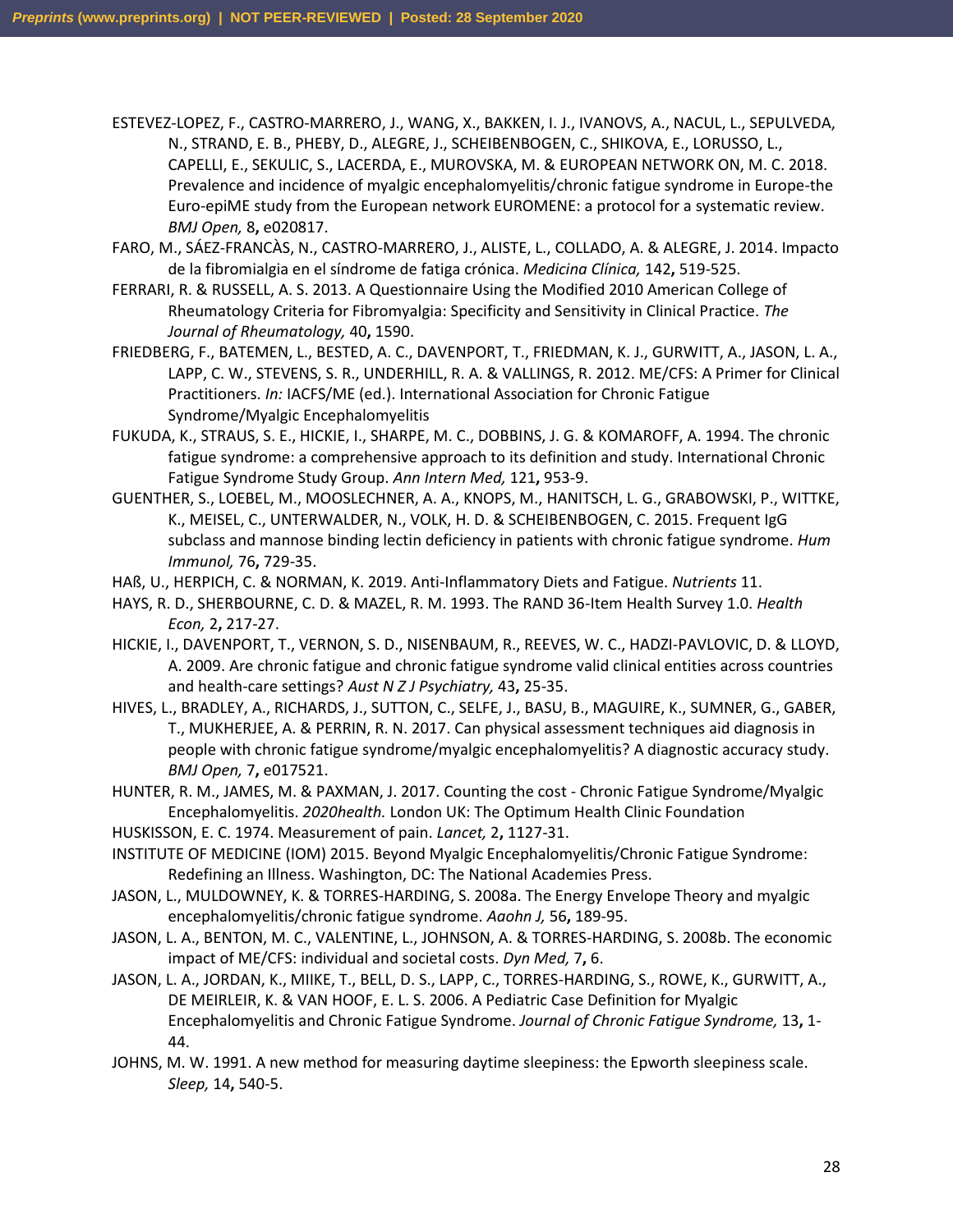ESTEVEZ-LOPEZ, F., CASTRO-MARRERO, J., WANG, X., BAKKEN, I. J., IVANOVS, A., NACUL, L., SEPULVEDA, N., STRAND, E. B., PHEBY, D., ALEGRE, J., SCHEIBENBOGEN, C., SHIKOVA, E., LORUSSO, L., CAPELLI, E., SEKULIC, S., LACERDA, E., MUROVSKA, M. & EUROPEAN NETWORK ON, M. C. 2018. Prevalence and incidence of myalgic encephalomyelitis/chronic fatigue syndrome in Europe-the Euro-epiME study from the European network EUROMENE: a protocol for a systematic review. *BMJ Open,* 8**,** e020817.

- FARO, M., SÁEZ-FRANCÀS, N., CASTRO-MARRERO, J., ALISTE, L., COLLADO, A. & ALEGRE, J. 2014. Impacto de la fibromialgia en el síndrome de fatiga crónica. *Medicina Clínica,* 142**,** 519-525.
- FERRARI, R. & RUSSELL, A. S. 2013. A Questionnaire Using the Modified 2010 American College of Rheumatology Criteria for Fibromyalgia: Specificity and Sensitivity in Clinical Practice. *The Journal of Rheumatology,* 40**,** 1590.
- FRIEDBERG, F., BATEMEN, L., BESTED, A. C., DAVENPORT, T., FRIEDMAN, K. J., GURWITT, A., JASON, L. A., LAPP, C. W., STEVENS, S. R., UNDERHILL, R. A. & VALLINGS, R. 2012. ME/CFS: A Primer for Clinical Practitioners. *In:* IACFS/ME (ed.). International Association for Chronic Fatigue Syndrome/Myalgic Encephalomyelitis
- FUKUDA, K., STRAUS, S. E., HICKIE, I., SHARPE, M. C., DOBBINS, J. G. & KOMAROFF, A. 1994. The chronic fatigue syndrome: a comprehensive approach to its definition and study. International Chronic Fatigue Syndrome Study Group. *Ann Intern Med,* 121**,** 953-9.
- GUENTHER, S., LOEBEL, M., MOOSLECHNER, A. A., KNOPS, M., HANITSCH, L. G., GRABOWSKI, P., WITTKE, K., MEISEL, C., UNTERWALDER, N., VOLK, H. D. & SCHEIBENBOGEN, C. 2015. Frequent IgG subclass and mannose binding lectin deficiency in patients with chronic fatigue syndrome. *Hum Immunol,* 76**,** 729-35.
- HAß, U., HERPICH, C. & NORMAN, K. 2019. Anti-Inflammatory Diets and Fatigue. *Nutrients* 11.
- HAYS, R. D., SHERBOURNE, C. D. & MAZEL, R. M. 1993. The RAND 36-Item Health Survey 1.0. *Health Econ,* 2**,** 217-27.
- HICKIE, I., DAVENPORT, T., VERNON, S. D., NISENBAUM, R., REEVES, W. C., HADZI-PAVLOVIC, D. & LLOYD, A. 2009. Are chronic fatigue and chronic fatigue syndrome valid clinical entities across countries and health-care settings? *Aust N Z J Psychiatry,* 43**,** 25-35.
- HIVES, L., BRADLEY, A., RICHARDS, J., SUTTON, C., SELFE, J., BASU, B., MAGUIRE, K., SUMNER, G., GABER, T., MUKHERJEE, A. & PERRIN, R. N. 2017. Can physical assessment techniques aid diagnosis in people with chronic fatigue syndrome/myalgic encephalomyelitis? A diagnostic accuracy study. *BMJ Open,* 7**,** e017521.
- HUNTER, R. M., JAMES, M. & PAXMAN, J. 2017. Counting the cost Chronic Fatigue Syndrome/Myalgic Encephalomyelitis. *2020health.* London UK: The Optimum Health Clinic Foundation
- HUSKISSON, E. C. 1974. Measurement of pain. *Lancet,* 2**,** 1127-31.
- INSTITUTE OF MEDICINE (IOM) 2015. Beyond Myalgic Encephalomyelitis/Chronic Fatigue Syndrome: Redefining an Illness. Washington, DC: The National Academies Press.
- JASON, L., MULDOWNEY, K. & TORRES-HARDING, S. 2008a. The Energy Envelope Theory and myalgic encephalomyelitis/chronic fatigue syndrome. *Aaohn J,* 56**,** 189-95.
- JASON, L. A., BENTON, M. C., VALENTINE, L., JOHNSON, A. & TORRES-HARDING, S. 2008b. The economic impact of ME/CFS: individual and societal costs. *Dyn Med,* 7**,** 6.
- JASON, L. A., JORDAN, K., MIIKE, T., BELL, D. S., LAPP, C., TORRES-HARDING, S., ROWE, K., GURWITT, A., DE MEIRLEIR, K. & VAN HOOF, E. L. S. 2006. A Pediatric Case Definition for Myalgic Encephalomyelitis and Chronic Fatigue Syndrome. *Journal of Chronic Fatigue Syndrome,* 13**,** 1- 44.
- JOHNS, M. W. 1991. A new method for measuring daytime sleepiness: the Epworth sleepiness scale. *Sleep,* 14**,** 540-5.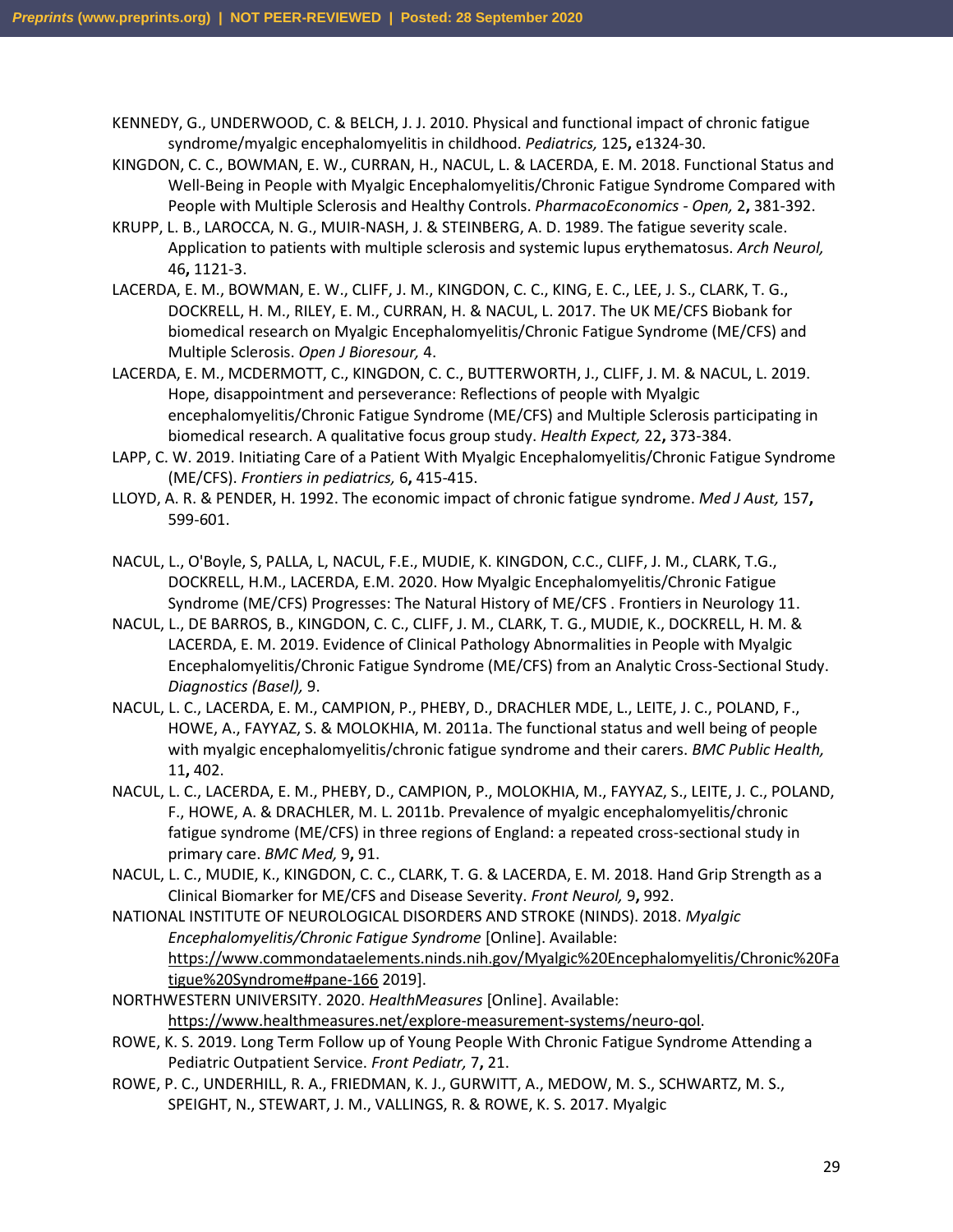KENNEDY, G., UNDERWOOD, C. & BELCH, J. J. 2010. Physical and functional impact of chronic fatigue syndrome/myalgic encephalomyelitis in childhood. *Pediatrics,* 125**,** e1324-30.

- KINGDON, C. C., BOWMAN, E. W., CURRAN, H., NACUL, L. & LACERDA, E. M. 2018. Functional Status and Well-Being in People with Myalgic Encephalomyelitis/Chronic Fatigue Syndrome Compared with People with Multiple Sclerosis and Healthy Controls. *PharmacoEconomics - Open,* 2**,** 381-392.
- KRUPP, L. B., LAROCCA, N. G., MUIR-NASH, J. & STEINBERG, A. D. 1989. The fatigue severity scale. Application to patients with multiple sclerosis and systemic lupus erythematosus. *Arch Neurol,* 46**,** 1121-3.
- LACERDA, E. M., BOWMAN, E. W., CLIFF, J. M., KINGDON, C. C., KING, E. C., LEE, J. S., CLARK, T. G., DOCKRELL, H. M., RILEY, E. M., CURRAN, H. & NACUL, L. 2017. The UK ME/CFS Biobank for biomedical research on Myalgic Encephalomyelitis/Chronic Fatigue Syndrome (ME/CFS) and Multiple Sclerosis. *Open J Bioresour,* 4.
- LACERDA, E. M., MCDERMOTT, C., KINGDON, C. C., BUTTERWORTH, J., CLIFF, J. M. & NACUL, L. 2019. Hope, disappointment and perseverance: Reflections of people with Myalgic encephalomyelitis/Chronic Fatigue Syndrome (ME/CFS) and Multiple Sclerosis participating in biomedical research. A qualitative focus group study. *Health Expect,* 22**,** 373-384.
- LAPP, C. W. 2019. Initiating Care of a Patient With Myalgic Encephalomyelitis/Chronic Fatigue Syndrome (ME/CFS). *Frontiers in pediatrics,* 6**,** 415-415.
- LLOYD, A. R. & PENDER, H. 1992. The economic impact of chronic fatigue syndrome. *Med J Aust,* 157**,** 599-601.
- NACUL, L., O'Boyle, S, PALLA, L, NACUL, F.E., MUDIE, K. KINGDON, C.C., CLIFF, J. M., CLARK, T.G., DOCKRELL, H.M., LACERDA, E.M. 2020. How Myalgic Encephalomyelitis/Chronic Fatigue Syndrome (ME/CFS) Progresses: The Natural History of ME/CFS . Frontiers in Neurology 11.
- NACUL, L., DE BARROS, B., KINGDON, C. C., CLIFF, J. M., CLARK, T. G., MUDIE, K., DOCKRELL, H. M. & LACERDA, E. M. 2019. Evidence of Clinical Pathology Abnormalities in People with Myalgic Encephalomyelitis/Chronic Fatigue Syndrome (ME/CFS) from an Analytic Cross-Sectional Study. *Diagnostics (Basel),* 9.
- NACUL, L. C., LACERDA, E. M., CAMPION, P., PHEBY, D., DRACHLER MDE, L., LEITE, J. C., POLAND, F., HOWE, A., FAYYAZ, S. & MOLOKHIA, M. 2011a. The functional status and well being of people with myalgic encephalomyelitis/chronic fatigue syndrome and their carers. *BMC Public Health,* 11**,** 402.
- NACUL, L. C., LACERDA, E. M., PHEBY, D., CAMPION, P., MOLOKHIA, M., FAYYAZ, S., LEITE, J. C., POLAND, F., HOWE, A. & DRACHLER, M. L. 2011b. Prevalence of myalgic encephalomyelitis/chronic fatigue syndrome (ME/CFS) in three regions of England: a repeated cross-sectional study in primary care. *BMC Med,* 9**,** 91.
- NACUL, L. C., MUDIE, K., KINGDON, C. C., CLARK, T. G. & LACERDA, E. M. 2018. Hand Grip Strength as a Clinical Biomarker for ME/CFS and Disease Severity. *Front Neurol,* 9**,** 992.
- NATIONAL INSTITUTE OF NEUROLOGICAL DISORDERS AND STROKE (NINDS). 2018. *Myalgic Encephalomyelitis/Chronic Fatigue Syndrome* [Online]. Available: [https://www.commondataelements.ninds.nih.gov/Myalgic%20Encephalomyelitis/Chronic%20Fa](https://www.commondataelements.ninds.nih.gov/Myalgic%20Encephalomyelitis/Chronic%20Fatigue%20Syndrome#pane-166) [tigue%20Syndrome#pane-166](https://www.commondataelements.ninds.nih.gov/Myalgic%20Encephalomyelitis/Chronic%20Fatigue%20Syndrome#pane-166) 2019].
- NORTHWESTERN UNIVERSITY. 2020. *HealthMeasures* [Online]. Available: [https://www.healthmeasures.net/explore-measurement-systems/neuro-qol.](https://www.healthmeasures.net/explore-measurement-systems/neuro-qol)
- ROWE, K. S. 2019. Long Term Follow up of Young People With Chronic Fatigue Syndrome Attending a Pediatric Outpatient Service. *Front Pediatr,* 7**,** 21.
- ROWE, P. C., UNDERHILL, R. A., FRIEDMAN, K. J., GURWITT, A., MEDOW, M. S., SCHWARTZ, M. S., SPEIGHT, N., STEWART, J. M., VALLINGS, R. & ROWE, K. S. 2017. Myalgic